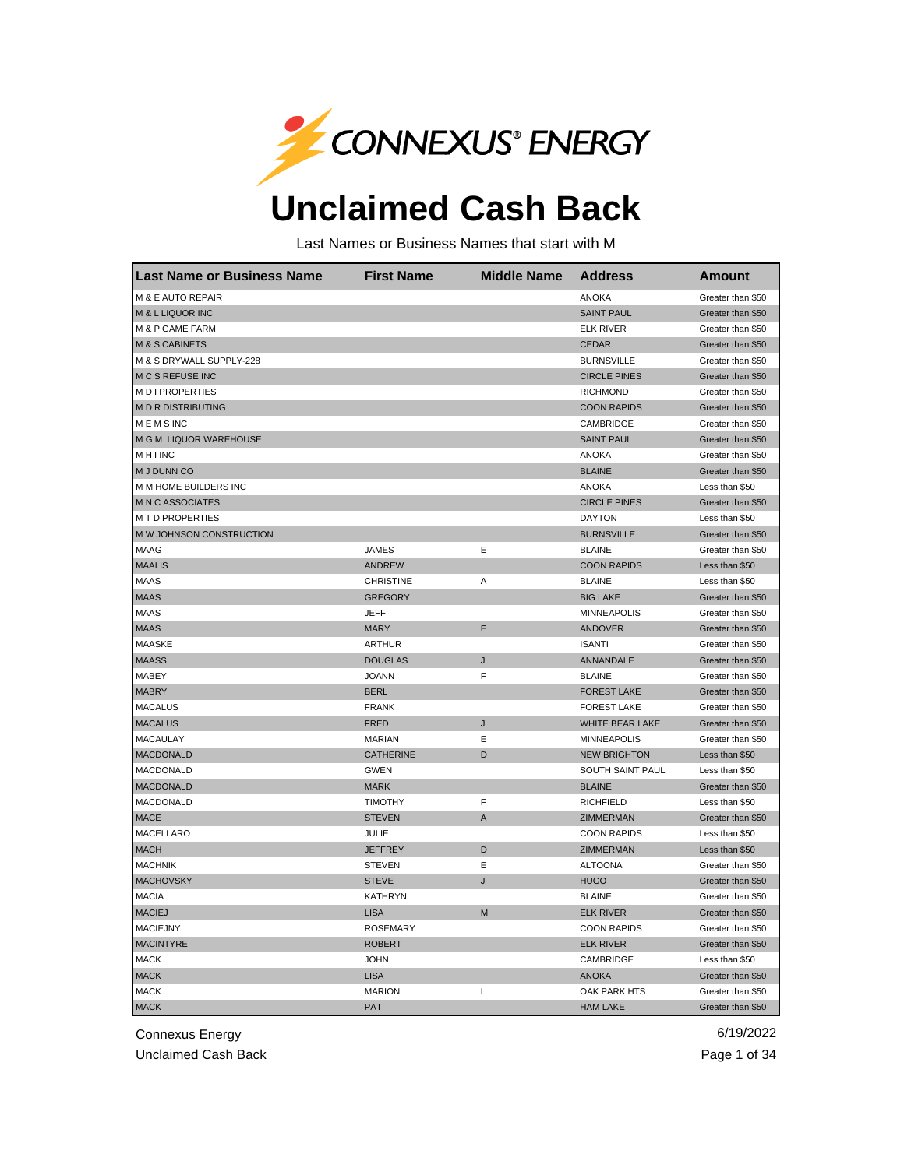

## **Unclaimed Cash Back**

Last Names or Business Names that start with M

| <b>Last Name or Business Name</b> | <b>First Name</b> | <b>Middle Name</b> | <b>Address</b>         | <b>Amount</b>     |
|-----------------------------------|-------------------|--------------------|------------------------|-------------------|
| M & E AUTO REPAIR                 |                   |                    | <b>ANOKA</b>           | Greater than \$50 |
| M & L LIQUOR INC                  |                   |                    | <b>SAINT PAUL</b>      | Greater than \$50 |
| M & P GAME FARM                   |                   |                    | <b>ELK RIVER</b>       | Greater than \$50 |
| <b>M &amp; S CABINETS</b>         |                   |                    | <b>CEDAR</b>           | Greater than \$50 |
| M & S DRYWALL SUPPLY-228          |                   |                    | <b>BURNSVILLE</b>      | Greater than \$50 |
| <b>M C S REFUSE INC</b>           |                   |                    | <b>CIRCLE PINES</b>    | Greater than \$50 |
| M D I PROPERTIES                  |                   |                    | <b>RICHMOND</b>        | Greater than \$50 |
| <b>MDRDISTRIBUTING</b>            |                   |                    | <b>COON RAPIDS</b>     | Greater than \$50 |
| <b>MEMSINC</b>                    |                   |                    | CAMBRIDGE              | Greater than \$50 |
| M G M LIQUOR WAREHOUSE            |                   |                    | <b>SAINT PAUL</b>      | Greater than \$50 |
| <b>MHINC</b>                      |                   |                    | <b>ANOKA</b>           | Greater than \$50 |
| M J DUNN CO                       |                   |                    | <b>BLAINE</b>          | Greater than \$50 |
| M M HOME BUILDERS INC             |                   |                    | <b>ANOKA</b>           | Less than \$50    |
| <b>MNC ASSOCIATES</b>             |                   |                    | <b>CIRCLE PINES</b>    | Greater than \$50 |
| <b>M T D PROPERTIES</b>           |                   |                    | <b>DAYTON</b>          | Less than \$50    |
| M W JOHNSON CONSTRUCTION          |                   |                    | <b>BURNSVILLE</b>      | Greater than \$50 |
| <b>MAAG</b>                       | <b>JAMES</b>      | E                  | <b>BLAINE</b>          | Greater than \$50 |
| <b>MAALIS</b>                     | <b>ANDREW</b>     |                    | <b>COON RAPIDS</b>     | Less than \$50    |
| <b>MAAS</b>                       | <b>CHRISTINE</b>  | Α                  | <b>BLAINE</b>          | Less than \$50    |
| <b>MAAS</b>                       | <b>GREGORY</b>    |                    | <b>BIG LAKE</b>        | Greater than \$50 |
| <b>MAAS</b>                       | <b>JEFF</b>       |                    | <b>MINNEAPOLIS</b>     | Greater than \$50 |
| <b>MAAS</b>                       | <b>MARY</b>       | E                  | <b>ANDOVER</b>         | Greater than \$50 |
| <b>MAASKE</b>                     | <b>ARTHUR</b>     |                    | <b>ISANTI</b>          | Greater than \$50 |
| <b>MAASS</b>                      | <b>DOUGLAS</b>    | J                  | ANNANDALE              | Greater than \$50 |
| MABEY                             | <b>JOANN</b>      | F                  | <b>BLAINE</b>          | Greater than \$50 |
| <b>MABRY</b>                      | <b>BERL</b>       |                    | <b>FOREST LAKE</b>     | Greater than \$50 |
| <b>MACALUS</b>                    | <b>FRANK</b>      |                    | <b>FOREST LAKE</b>     | Greater than \$50 |
| <b>MACALUS</b>                    | <b>FRED</b>       | J                  | <b>WHITE BEAR LAKE</b> | Greater than \$50 |
| <b>MACAULAY</b>                   | <b>MARIAN</b>     | Ε                  | <b>MINNEAPOLIS</b>     | Greater than \$50 |
| <b>MACDONALD</b>                  | <b>CATHERINE</b>  | D                  | <b>NEW BRIGHTON</b>    | Less than \$50    |
| MACDONALD                         | <b>GWEN</b>       |                    | SOUTH SAINT PAUL       | Less than \$50    |
| MACDONALD                         | <b>MARK</b>       |                    | <b>BLAINE</b>          | Greater than \$50 |
| MACDONALD                         | <b>TIMOTHY</b>    | F                  | <b>RICHFIELD</b>       | Less than \$50    |
| <b>MACE</b>                       | <b>STEVEN</b>     | A                  | ZIMMERMAN              | Greater than \$50 |
| MACELLARO                         | JULIE             |                    | <b>COON RAPIDS</b>     | Less than \$50    |
| <b>MACH</b>                       | <b>JEFFREY</b>    | D                  | <b>ZIMMERMAN</b>       | Less than \$50    |
| <b>MACHNIK</b>                    | <b>STEVEN</b>     | E                  | <b>ALTOONA</b>         | Greater than \$50 |
| <b>MACHOVSKY</b>                  | <b>STEVE</b>      | J                  | <b>HUGO</b>            | Greater than \$50 |
| <b>MACIA</b>                      | <b>KATHRYN</b>    |                    | <b>BLAINE</b>          | Greater than \$50 |
| <b>MACIEJ</b>                     | <b>LISA</b>       | M                  | <b>ELK RIVER</b>       | Greater than \$50 |
| <b>MACIEJNY</b>                   | <b>ROSEMARY</b>   |                    | <b>COON RAPIDS</b>     | Greater than \$50 |
| <b>MACINTYRE</b>                  | <b>ROBERT</b>     |                    | <b>ELK RIVER</b>       | Greater than \$50 |
| <b>MACK</b>                       | <b>JOHN</b>       |                    | CAMBRIDGE              | Less than \$50    |
| <b>MACK</b>                       | <b>LISA</b>       |                    | <b>ANOKA</b>           | Greater than \$50 |
| <b>MACK</b>                       | <b>MARION</b>     | Г                  | OAK PARK HTS           | Greater than \$50 |
| <b>MACK</b>                       | <b>PAT</b>        |                    | <b>HAM LAKE</b>        | Greater than \$50 |

Connexus Energy 6/19/2022

Unclaimed Cash Back **Page 1 of 34**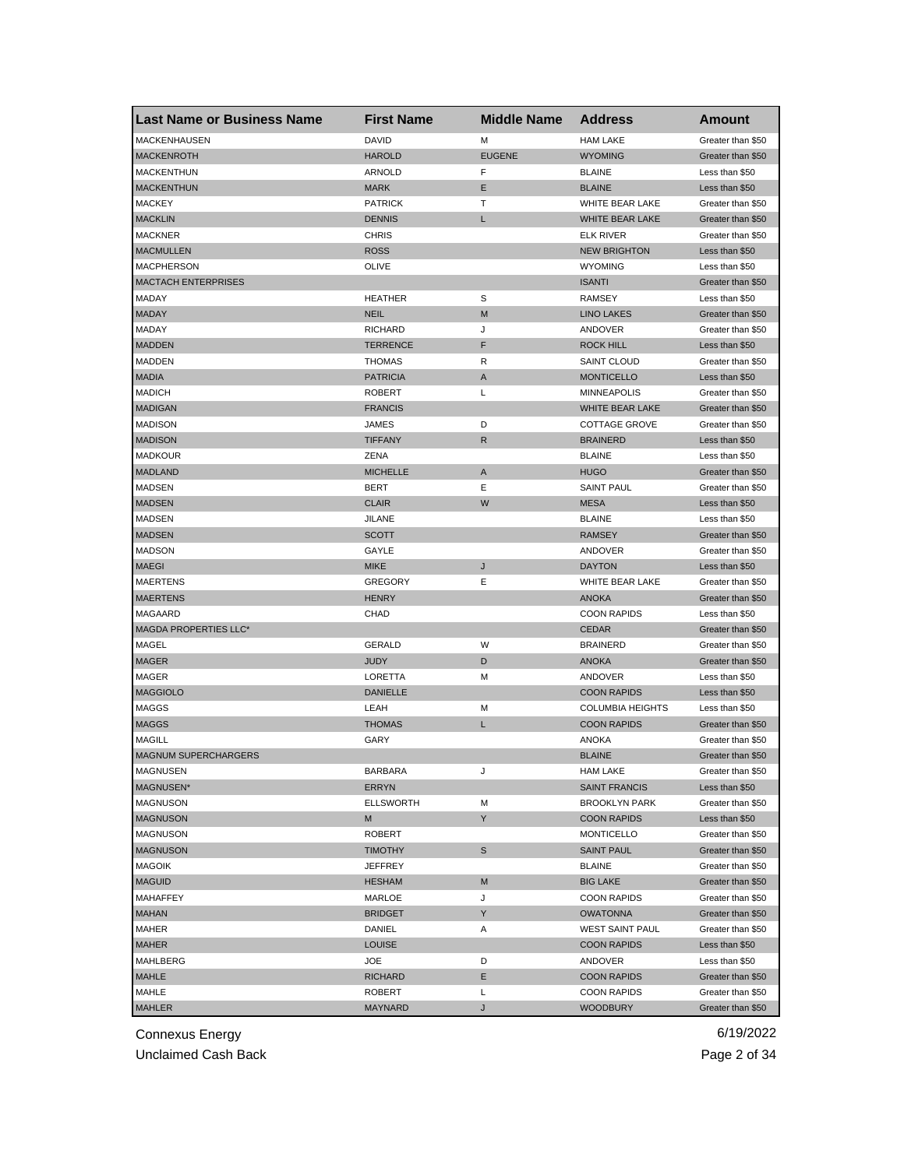| <b>Last Name or Business Name</b> | <b>First Name</b> | <b>Middle Name</b> | <b>Address</b>          | Amount            |
|-----------------------------------|-------------------|--------------------|-------------------------|-------------------|
| <b>MACKENHAUSEN</b>               | <b>DAVID</b>      | M                  | <b>HAM LAKE</b>         | Greater than \$50 |
| <b>MACKENROTH</b>                 | <b>HAROLD</b>     | <b>EUGENE</b>      | <b>WYOMING</b>          | Greater than \$50 |
| <b>MACKENTHUN</b>                 | ARNOLD            | F                  | <b>BLAINE</b>           | Less than \$50    |
| <b>MACKENTHUN</b>                 | <b>MARK</b>       | Ε                  | <b>BLAINE</b>           | Less than \$50    |
| <b>MACKEY</b>                     | <b>PATRICK</b>    | т                  | WHITE BEAR LAKE         | Greater than \$50 |
| <b>MACKLIN</b>                    | <b>DENNIS</b>     | L                  | WHITE BEAR LAKE         | Greater than \$50 |
| MACKNER                           | <b>CHRIS</b>      |                    | <b>ELK RIVER</b>        | Greater than \$50 |
| <b>MACMULLEN</b>                  | <b>ROSS</b>       |                    | <b>NEW BRIGHTON</b>     | Less than \$50    |
| <b>MACPHERSON</b>                 | OLIVE             |                    | <b>WYOMING</b>          | Less than \$50    |
| <b>MACTACH ENTERPRISES</b>        |                   |                    | <b>ISANTI</b>           | Greater than \$50 |
| MADAY                             | <b>HEATHER</b>    | S                  | <b>RAMSEY</b>           | Less than \$50    |
| <b>MADAY</b>                      | <b>NEIL</b>       | M                  | <b>LINO LAKES</b>       | Greater than \$50 |
| MADAY                             | <b>RICHARD</b>    | J                  | ANDOVER                 | Greater than \$50 |
| <b>MADDEN</b>                     | <b>TERRENCE</b>   | F                  | <b>ROCK HILL</b>        | Less than \$50    |
| <b>MADDEN</b>                     | <b>THOMAS</b>     | R                  | <b>SAINT CLOUD</b>      | Greater than \$50 |
| <b>MADIA</b>                      | <b>PATRICIA</b>   | A                  | <b>MONTICELLO</b>       | Less than \$50    |
| <b>MADICH</b>                     | <b>ROBERT</b>     | L                  | <b>MINNEAPOLIS</b>      | Greater than \$50 |
| <b>MADIGAN</b>                    | <b>FRANCIS</b>    |                    | WHITE BEAR LAKE         | Greater than \$50 |
| <b>MADISON</b>                    | JAMES             | D                  | <b>COTTAGE GROVE</b>    | Greater than \$50 |
| <b>MADISON</b>                    | <b>TIFFANY</b>    | R                  | <b>BRAINERD</b>         | Less than \$50    |
| <b>MADKOUR</b>                    | ZENA              |                    | <b>BLAINE</b>           | Less than \$50    |
| <b>MADLAND</b>                    | <b>MICHELLE</b>   | A                  | <b>HUGO</b>             | Greater than \$50 |
| <b>MADSEN</b>                     | <b>BERT</b>       | Ε                  | <b>SAINT PAUL</b>       | Greater than \$50 |
| <b>MADSEN</b>                     | <b>CLAIR</b>      | W                  | <b>MESA</b>             | Less than \$50    |
| MADSEN                            | <b>JILANE</b>     |                    | <b>BLAINE</b>           | Less than \$50    |
| <b>MADSEN</b>                     | <b>SCOTT</b>      |                    | <b>RAMSEY</b>           | Greater than \$50 |
| <b>MADSON</b>                     | GAYLE             |                    | ANDOVER                 | Greater than \$50 |
| <b>MAEGI</b>                      | <b>MIKE</b>       | J                  | <b>DAYTON</b>           | Less than \$50    |
| <b>MAERTENS</b>                   | <b>GREGORY</b>    | Ε                  | WHITE BEAR LAKE         | Greater than \$50 |
| <b>MAERTENS</b>                   | <b>HENRY</b>      |                    | <b>ANOKA</b>            | Greater than \$50 |
| MAGAARD                           | <b>CHAD</b>       |                    | <b>COON RAPIDS</b>      | Less than \$50    |
| MAGDA PROPERTIES LLC*             |                   |                    | <b>CEDAR</b>            | Greater than \$50 |
| MAGEL                             | GERALD            | W                  | <b>BRAINERD</b>         | Greater than \$50 |
| <b>MAGER</b>                      | <b>JUDY</b>       | D                  | <b>ANOKA</b>            | Greater than \$50 |
| MAGER                             | LORETTA           | М                  | ANDOVER                 | Less than \$50    |
| <b>MAGGIOLO</b>                   | <b>DANIELLE</b>   |                    | <b>COON RAPIDS</b>      | Less than \$50    |
| <b>MAGGS</b>                      | LEAH              | М                  | <b>COLUMBIA HEIGHTS</b> | Less than \$50    |
| <b>MAGGS</b>                      | <b>THOMAS</b>     | L                  | <b>COON RAPIDS</b>      | Greater than \$50 |
| MAGILL                            | GARY              |                    | <b>ANOKA</b>            | Greater than \$50 |
| <b>MAGNUM SUPERCHARGERS</b>       |                   |                    | <b>BLAINE</b>           | Greater than \$50 |
| MAGNUSEN                          | BARBARA           | J                  | HAM LAKE                | Greater than \$50 |
| MAGNUSEN*                         | ERRYN             |                    | <b>SAINT FRANCIS</b>    | Less than \$50    |
| <b>MAGNUSON</b>                   | <b>ELLSWORTH</b>  | М                  | <b>BROOKLYN PARK</b>    | Greater than \$50 |
| <b>MAGNUSON</b>                   | M                 | Y                  | <b>COON RAPIDS</b>      | Less than \$50    |
| <b>MAGNUSON</b>                   | ROBERT            |                    | <b>MONTICELLO</b>       | Greater than \$50 |
| <b>MAGNUSON</b>                   | <b>TIMOTHY</b>    | S                  | <b>SAINT PAUL</b>       | Greater than \$50 |
| <b>MAGOIK</b>                     | JEFFREY           |                    | <b>BLAINE</b>           | Greater than \$50 |
| <b>MAGUID</b>                     | <b>HESHAM</b>     | M                  | <b>BIG LAKE</b>         | Greater than \$50 |
| MAHAFFEY                          | MARLOE            | J                  | <b>COON RAPIDS</b>      | Greater than \$50 |
| <b>MAHAN</b>                      | <b>BRIDGET</b>    | Y                  | <b>OWATONNA</b>         | Greater than \$50 |
| MAHER                             | DANIEL            | Α                  | <b>WEST SAINT PAUL</b>  | Greater than \$50 |
| <b>MAHER</b>                      | <b>LOUISE</b>     |                    | <b>COON RAPIDS</b>      | Less than \$50    |
| MAHLBERG                          | JOE               | D                  | ANDOVER                 | Less than \$50    |
| MAHLE                             | <b>RICHARD</b>    | Ε                  | <b>COON RAPIDS</b>      | Greater than \$50 |
| MAHLE                             | ROBERT            | L                  | <b>COON RAPIDS</b>      | Greater than \$50 |
| <b>MAHLER</b>                     | MAYNARD           | J                  | <b>WOODBURY</b>         | Greater than \$50 |

Unclaimed Cash Back **Page 2 of 34**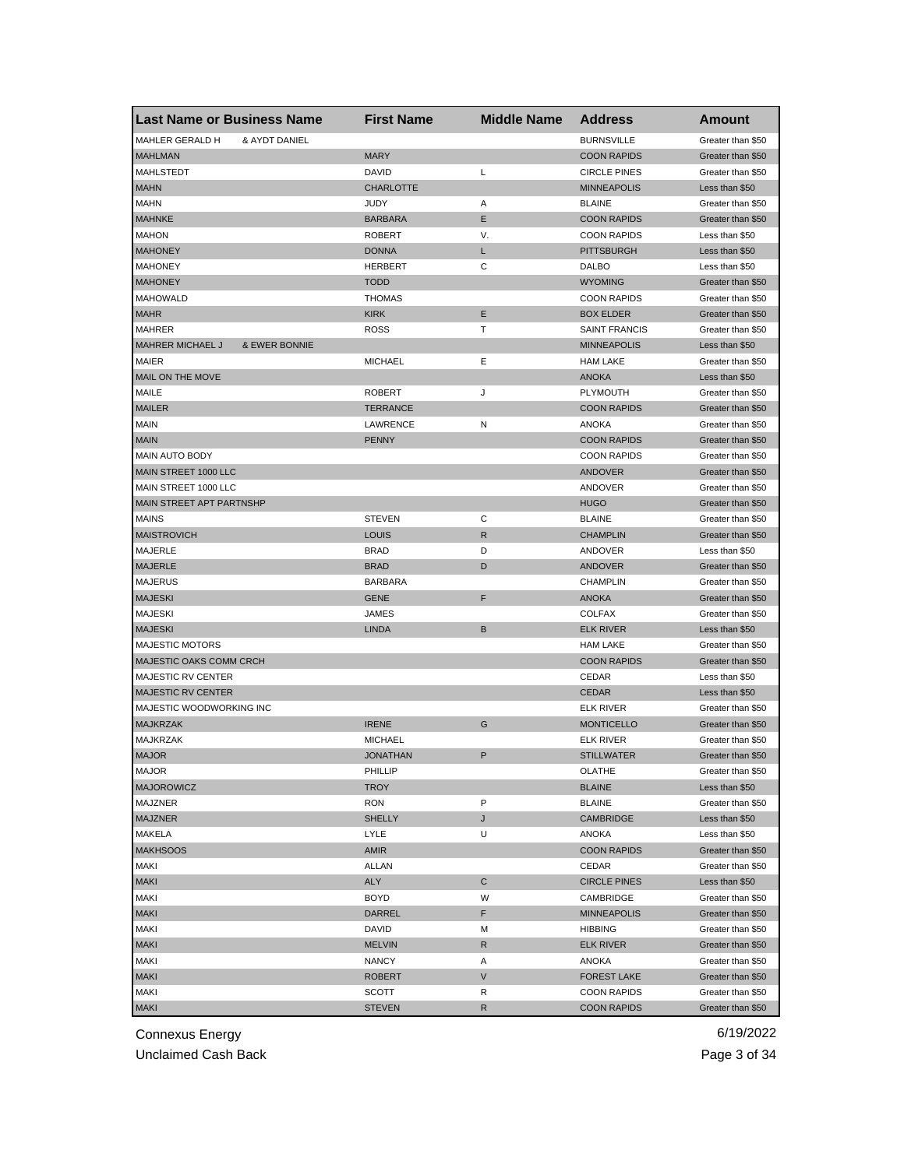| <b>Last Name or Business Name</b>                   | <b>First Name</b> | <b>Middle Name</b> | <b>Address</b>       | Amount                              |
|-----------------------------------------------------|-------------------|--------------------|----------------------|-------------------------------------|
| MAHLER GERALD H<br>& AYDT DANIEL                    |                   |                    | <b>BURNSVILLE</b>    | Greater than \$50                   |
| <b>MAHLMAN</b>                                      | <b>MARY</b>       |                    | <b>COON RAPIDS</b>   | Greater than \$50                   |
| MAHLSTEDT                                           | DAVID             | L                  | <b>CIRCLE PINES</b>  | Greater than \$50                   |
| <b>MAHN</b>                                         | <b>CHARLOTTE</b>  |                    | <b>MINNEAPOLIS</b>   | Less than \$50                      |
| <b>MAHN</b>                                         | <b>JUDY</b>       | Α                  | <b>BLAINE</b>        | Greater than \$50                   |
| <b>MAHNKE</b>                                       | <b>BARBARA</b>    | Ε                  | <b>COON RAPIDS</b>   | Greater than \$50                   |
| <b>MAHON</b>                                        | <b>ROBERT</b>     | V.                 | <b>COON RAPIDS</b>   | Less than \$50                      |
| <b>MAHONEY</b>                                      | <b>DONNA</b>      | L                  | <b>PITTSBURGH</b>    | Less than \$50                      |
| <b>MAHONEY</b>                                      | <b>HERBERT</b>    | С                  | DALBO                | Less than \$50                      |
| <b>MAHONEY</b>                                      | <b>TODD</b>       |                    | <b>WYOMING</b>       | Greater than \$50                   |
| <b>MAHOWALD</b>                                     | <b>THOMAS</b>     |                    | <b>COON RAPIDS</b>   | Greater than \$50                   |
| <b>MAHR</b>                                         | <b>KIRK</b>       | E                  | <b>BOX ELDER</b>     | Greater than \$50                   |
| <b>MAHRER</b>                                       | <b>ROSS</b>       | Т                  | <b>SAINT FRANCIS</b> | Greater than \$50                   |
| <b>MAHRER MICHAEL J</b><br><b>&amp; EWER BONNIE</b> |                   |                    | <b>MINNEAPOLIS</b>   | Less than \$50                      |
| <b>MAIER</b>                                        | <b>MICHAEL</b>    | Ε                  | <b>HAM LAKE</b>      | Greater than \$50                   |
| MAIL ON THE MOVE                                    |                   |                    | <b>ANOKA</b>         | Less than \$50                      |
| MAILE                                               | <b>ROBERT</b>     | J                  | <b>PLYMOUTH</b>      | Greater than \$50                   |
| <b>MAILER</b>                                       | <b>TERRANCE</b>   |                    | <b>COON RAPIDS</b>   | Greater than \$50                   |
| <b>MAIN</b>                                         | LAWRENCE          | Ν                  | <b>ANOKA</b>         | Greater than \$50                   |
| <b>MAIN</b>                                         | <b>PENNY</b>      |                    | <b>COON RAPIDS</b>   | Greater than \$50                   |
| MAIN AUTO BODY                                      |                   |                    | <b>COON RAPIDS</b>   | Greater than \$50                   |
| MAIN STREET 1000 LLC                                |                   |                    | ANDOVER              | Greater than \$50                   |
| MAIN STREET 1000 LLC                                |                   |                    | ANDOVER              | Greater than \$50                   |
| MAIN STREET APT PARTNSHP                            |                   |                    | <b>HUGO</b>          | Greater than \$50                   |
| <b>MAINS</b>                                        | <b>STEVEN</b>     | С                  | <b>BLAINE</b>        | Greater than \$50                   |
| <b>MAISTROVICH</b>                                  | <b>LOUIS</b>      | R                  | <b>CHAMPLIN</b>      | Greater than \$50                   |
| <b>MAJERLE</b>                                      | <b>BRAD</b>       | D                  | ANDOVER              | Less than \$50                      |
| <b>MAJERLE</b>                                      | <b>BRAD</b>       | D                  | ANDOVER              | Greater than \$50                   |
| <b>MAJERUS</b>                                      | <b>BARBARA</b>    |                    | <b>CHAMPLIN</b>      | Greater than \$50                   |
| <b>MAJESKI</b>                                      | <b>GENE</b>       | F                  | <b>ANOKA</b>         | Greater than \$50                   |
| <b>MAJESKI</b>                                      | JAMES             |                    | <b>COLFAX</b>        | Greater than \$50                   |
| <b>MAJESKI</b>                                      | <b>LINDA</b>      | B                  | <b>ELK RIVER</b>     | Less than \$50                      |
| <b>MAJESTIC MOTORS</b>                              |                   |                    | <b>HAM LAKE</b>      | Greater than \$50                   |
| MAJESTIC OAKS COMM CRCH                             |                   |                    | <b>COON RAPIDS</b>   | Greater than \$50                   |
| MAJESTIC RV CENTER                                  |                   |                    | CEDAR                | Less than \$50                      |
| <b>MAJESTIC RV CENTER</b>                           |                   |                    | <b>CEDAR</b>         | Less than \$50                      |
| MAJESTIC WOODWORKING INC                            |                   |                    | <b>ELK RIVER</b>     | Greater than \$50                   |
| <b>MAJKRZAK</b>                                     | <b>IRENE</b>      | G                  | <b>MONTICELLO</b>    | Greater than \$50                   |
| <b>MAJKRZAK</b>                                     | <b>MICHAEL</b>    |                    | <b>ELK RIVER</b>     | Greater than \$50                   |
| <b>MAJOR</b>                                        | <b>JONATHAN</b>   | P                  | <b>STILLWATER</b>    |                                     |
|                                                     |                   |                    |                      | Greater than \$50                   |
| <b>MAJOR</b><br><b>MAJOROWICZ</b>                   | PHILLIP           |                    | OLATHE               | Greater than \$50<br>Less than \$50 |
|                                                     | <b>TROY</b>       |                    | <b>BLAINE</b>        |                                     |
| MAJZNER                                             | <b>RON</b>        | P                  | <b>BLAINE</b>        | Greater than \$50                   |
| <b>MAJZNER</b>                                      | <b>SHELLY</b>     | J                  | <b>CAMBRIDGE</b>     | Less than \$50                      |
| MAKELA                                              | LYLE              | U                  | ANOKA                | Less than \$50                      |
| <b>MAKHSOOS</b>                                     | AMIR              |                    | <b>COON RAPIDS</b>   | Greater than \$50                   |
| <b>MAKI</b>                                         | ALLAN             |                    | CEDAR                | Greater than \$50                   |
| <b>MAKI</b>                                         | <b>ALY</b>        | C                  | <b>CIRCLE PINES</b>  | Less than \$50                      |
| <b>MAKI</b>                                         | <b>BOYD</b>       | W                  | CAMBRIDGE            | Greater than \$50                   |
| <b>MAKI</b>                                         | DARREL            | F                  | <b>MINNEAPOLIS</b>   | Greater than \$50                   |
| <b>MAKI</b>                                         | DAVID             | M                  | <b>HIBBING</b>       | Greater than \$50                   |
| <b>MAKI</b>                                         | <b>MELVIN</b>     | R                  | <b>ELK RIVER</b>     | Greater than \$50                   |
| <b>MAKI</b>                                         | NANCY             | Α                  | ANOKA                | Greater than \$50                   |
| <b>MAKI</b>                                         | <b>ROBERT</b>     | V                  | <b>FOREST LAKE</b>   | Greater than \$50                   |
| <b>MAKI</b>                                         | SCOTT             | R                  | <b>COON RAPIDS</b>   | Greater than \$50                   |
| <b>MAKI</b>                                         | <b>STEVEN</b>     | R                  | <b>COON RAPIDS</b>   | Greater than \$50                   |

Unclaimed Cash Back **Page 3 of 34**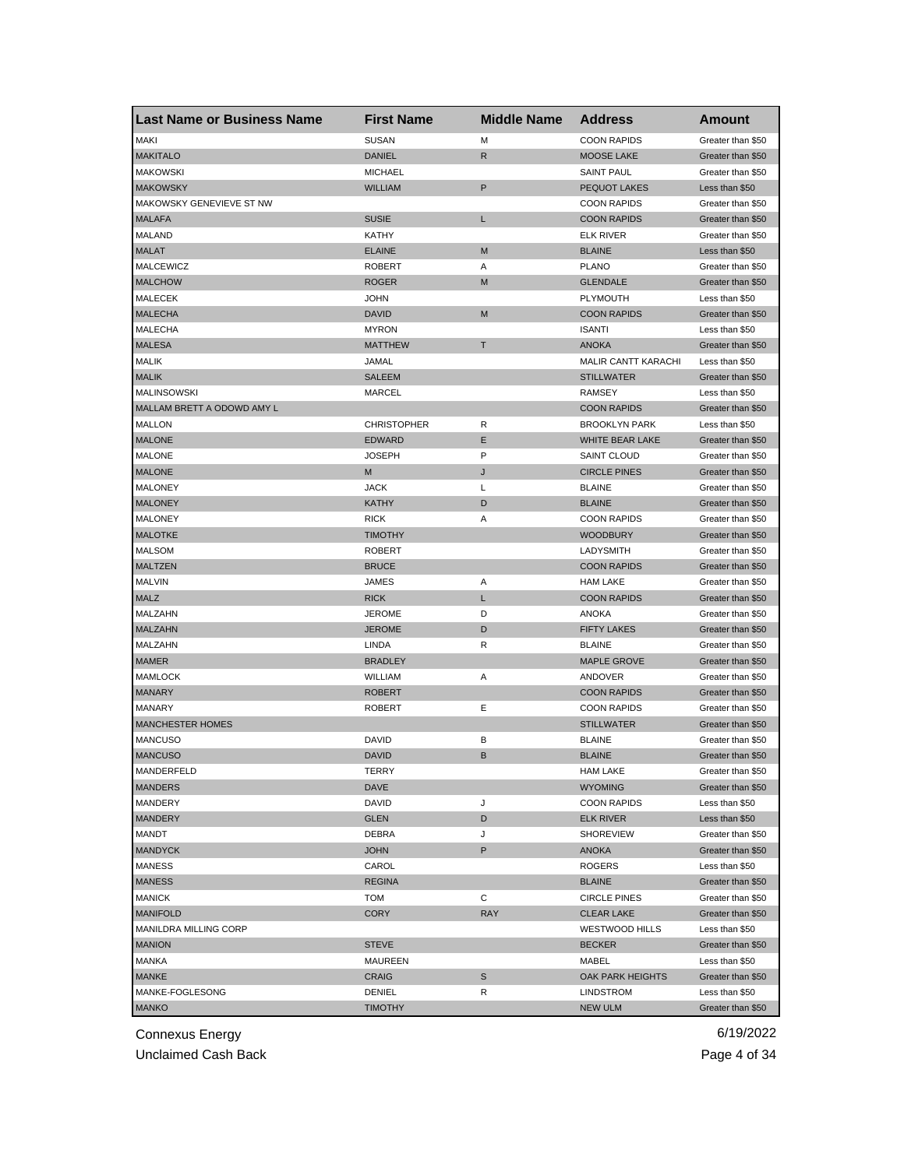| <b>Last Name or Business Name</b> | <b>First Name</b>  | <b>Middle Name</b> | <b>Address</b>             | Amount            |
|-----------------------------------|--------------------|--------------------|----------------------------|-------------------|
| <b>MAKI</b>                       | <b>SUSAN</b>       | M                  | <b>COON RAPIDS</b>         | Greater than \$50 |
| <b>MAKITALO</b>                   | <b>DANIEL</b>      | R                  | <b>MOOSE LAKE</b>          | Greater than \$50 |
| <b>MAKOWSKI</b>                   | <b>MICHAEL</b>     |                    | <b>SAINT PAUL</b>          | Greater than \$50 |
| <b>MAKOWSKY</b>                   | <b>WILLIAM</b>     | $\mathsf P$        | <b>PEQUOT LAKES</b>        | Less than \$50    |
| MAKOWSKY GENEVIEVE ST NW          |                    |                    | <b>COON RAPIDS</b>         | Greater than \$50 |
| <b>MALAFA</b>                     | <b>SUSIE</b>       | L                  | <b>COON RAPIDS</b>         | Greater than \$50 |
| <b>MALAND</b>                     | KATHY              |                    | <b>ELK RIVER</b>           | Greater than \$50 |
| <b>MALAT</b>                      | <b>ELAINE</b>      | M                  | <b>BLAINE</b>              | Less than \$50    |
| <b>MALCEWICZ</b>                  | <b>ROBERT</b>      | Α                  | <b>PLANO</b>               | Greater than \$50 |
| <b>MALCHOW</b>                    | <b>ROGER</b>       | M                  | <b>GLENDALE</b>            | Greater than \$50 |
| <b>MALECEK</b>                    | <b>JOHN</b>        |                    | <b>PLYMOUTH</b>            | Less than \$50    |
| <b>MALECHA</b>                    | <b>DAVID</b>       | M                  | <b>COON RAPIDS</b>         | Greater than \$50 |
| <b>MALECHA</b>                    | <b>MYRON</b>       |                    | <b>ISANTI</b>              | Less than \$50    |
| <b>MALESA</b>                     | <b>MATTHEW</b>     | т                  | <b>ANOKA</b>               | Greater than \$50 |
| <b>MALIK</b>                      | JAMAL              |                    | <b>MALIR CANTT KARACHI</b> | Less than \$50    |
| <b>MALIK</b>                      | SALEEM             |                    | <b>STILLWATER</b>          | Greater than \$50 |
| MALINSOWSKI                       | <b>MARCEL</b>      |                    | <b>RAMSEY</b>              | Less than \$50    |
| MALLAM BRETT A ODOWD AMY L        |                    |                    | <b>COON RAPIDS</b>         | Greater than \$50 |
| MALLON                            | <b>CHRISTOPHER</b> | R                  | <b>BROOKLYN PARK</b>       | Less than \$50    |
| <b>MALONE</b>                     | <b>EDWARD</b>      | Ε                  | WHITE BEAR LAKE            | Greater than \$50 |
| <b>MALONE</b>                     | <b>JOSEPH</b>      | P                  | <b>SAINT CLOUD</b>         | Greater than \$50 |
| <b>MALONE</b>                     | M                  | J                  | <b>CIRCLE PINES</b>        | Greater than \$50 |
| <b>MALONEY</b>                    | <b>JACK</b>        | L                  | <b>BLAINE</b>              | Greater than \$50 |
| <b>MALONEY</b>                    | <b>KATHY</b>       | D                  | <b>BLAINE</b>              | Greater than \$50 |
| <b>MALONEY</b>                    | <b>RICK</b>        | Α                  | <b>COON RAPIDS</b>         | Greater than \$50 |
| <b>MALOTKE</b>                    | <b>TIMOTHY</b>     |                    | <b>WOODBURY</b>            | Greater than \$50 |
| <b>MALSOM</b>                     | <b>ROBERT</b>      |                    | LADYSMITH                  | Greater than \$50 |
| <b>MALTZEN</b>                    | <b>BRUCE</b>       |                    | <b>COON RAPIDS</b>         | Greater than \$50 |
| <b>MALVIN</b>                     | JAMES              | Α                  | <b>HAM LAKE</b>            | Greater than \$50 |
| <b>MALZ</b>                       | <b>RICK</b>        | L                  | <b>COON RAPIDS</b>         | Greater than \$50 |
| MALZAHN                           | <b>JEROME</b>      | D                  | ANOKA                      | Greater than \$50 |
| <b>MALZAHN</b>                    | <b>JEROME</b>      | D                  | <b>FIFTY LAKES</b>         | Greater than \$50 |
| MALZAHN                           | LINDA              | R                  | <b>BLAINE</b>              | Greater than \$50 |
| <b>MAMER</b>                      | <b>BRADLEY</b>     |                    | <b>MAPLE GROVE</b>         | Greater than \$50 |
| <b>MAMLOCK</b>                    | WILLIAM            | Α                  | ANDOVER                    | Greater than \$50 |
| <b>MANARY</b>                     | <b>ROBERT</b>      |                    | <b>COON RAPIDS</b>         | Greater than \$50 |
| <b>MANARY</b>                     | <b>ROBERT</b>      | Ε                  | <b>COON RAPIDS</b>         | Greater than \$50 |
| <b>MANCHESTER HOMES</b>           |                    |                    | <b>STILLWATER</b>          | Greater than \$50 |
| <b>MANCUSO</b>                    | <b>DAVID</b>       | В                  | <b>BLAINE</b>              | Greater than \$50 |
| <b>MANCUSO</b>                    | <b>DAVID</b>       | B                  | <b>BLAINE</b>              | Greater than \$50 |
| MANDERFELD                        | TERRY              |                    | <b>HAM LAKE</b>            | Greater than \$50 |
| <b>MANDERS</b>                    | <b>DAVE</b>        |                    | <b>WYOMING</b>             | Greater than \$50 |
| MANDERY                           | DAVID              | J                  | <b>COON RAPIDS</b>         | Less than \$50    |
| <b>MANDERY</b>                    | GLEN               | D                  | <b>ELK RIVER</b>           | Less than \$50    |
| <b>MANDT</b>                      | DEBRA              | J                  | <b>SHOREVIEW</b>           | Greater than \$50 |
| <b>MANDYCK</b>                    | <b>JOHN</b>        | P                  | ANOKA                      | Greater than \$50 |
| <b>MANESS</b>                     | CAROL              |                    | <b>ROGERS</b>              | Less than \$50    |
| <b>MANESS</b>                     | <b>REGINA</b>      |                    | <b>BLAINE</b>              | Greater than \$50 |
| <b>MANICK</b>                     | <b>TOM</b>         | С                  | <b>CIRCLE PINES</b>        | Greater than \$50 |
| <b>MANIFOLD</b>                   | <b>CORY</b>        | <b>RAY</b>         | <b>CLEAR LAKE</b>          | Greater than \$50 |
| MANILDRA MILLING CORP             |                    |                    | <b>WESTWOOD HILLS</b>      | Less than \$50    |
| <b>MANION</b>                     | <b>STEVE</b>       |                    | <b>BECKER</b>              | Greater than \$50 |
| MANKA                             | MAUREEN            |                    | MABEL                      | Less than \$50    |
| <b>MANKE</b>                      | <b>CRAIG</b>       | S                  | OAK PARK HEIGHTS           | Greater than \$50 |
| MANKE-FOGLESONG                   | DENIEL             | R                  | LINDSTROM                  | Less than \$50    |
| <b>MANKO</b>                      | <b>TIMOTHY</b>     |                    | <b>NEW ULM</b>             | Greater than \$50 |

Unclaimed Cash Back **Page 4 of 34**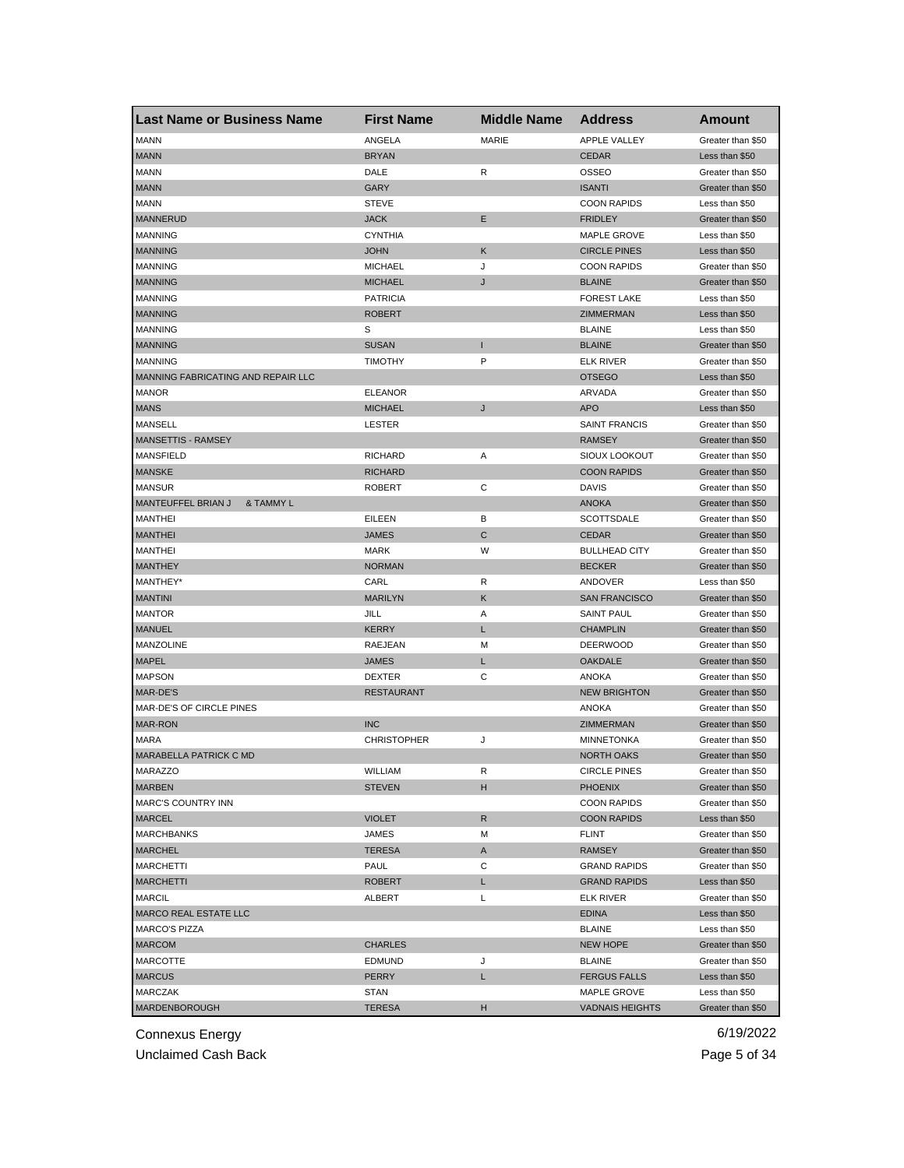| <b>Last Name or Business Name</b>  | <b>First Name</b>  | <b>Middle Name</b> | <b>Address</b>         | <b>Amount</b>     |
|------------------------------------|--------------------|--------------------|------------------------|-------------------|
| <b>MANN</b>                        | ANGELA             | MARIE              | <b>APPLE VALLEY</b>    | Greater than \$50 |
| <b>MANN</b>                        | <b>BRYAN</b>       |                    | <b>CEDAR</b>           | Less than \$50    |
| <b>MANN</b>                        | DALE               | R                  | <b>OSSEO</b>           | Greater than \$50 |
| <b>MANN</b>                        | GARY               |                    | <b>ISANTI</b>          | Greater than \$50 |
| <b>MANN</b>                        | <b>STEVE</b>       |                    | <b>COON RAPIDS</b>     | Less than \$50    |
| <b>MANNERUD</b>                    | <b>JACK</b>        | Ε                  | <b>FRIDLEY</b>         | Greater than \$50 |
| <b>MANNING</b>                     | <b>CYNTHIA</b>     |                    | <b>MAPLE GROVE</b>     | Less than \$50    |
| <b>MANNING</b>                     | <b>JOHN</b>        | Κ                  | <b>CIRCLE PINES</b>    | Less than \$50    |
| <b>MANNING</b>                     | <b>MICHAEL</b>     | J                  | <b>COON RAPIDS</b>     | Greater than \$50 |
| <b>MANNING</b>                     | <b>MICHAEL</b>     | J                  | <b>BLAINE</b>          | Greater than \$50 |
| <b>MANNING</b>                     | <b>PATRICIA</b>    |                    | <b>FOREST LAKE</b>     | Less than \$50    |
| <b>MANNING</b>                     | <b>ROBERT</b>      |                    | ZIMMERMAN              | Less than \$50    |
| <b>MANNING</b>                     | S                  |                    | <b>BLAINE</b>          | Less than \$50    |
| <b>MANNING</b>                     | <b>SUSAN</b>       | п                  | <b>BLAINE</b>          | Greater than \$50 |
| <b>MANNING</b>                     | <b>TIMOTHY</b>     | P                  | <b>ELK RIVER</b>       | Greater than \$50 |
| MANNING FABRICATING AND REPAIR LLC |                    |                    | <b>OTSEGO</b>          | Less than \$50    |
| <b>MANOR</b>                       | <b>ELEANOR</b>     |                    | ARVADA                 | Greater than \$50 |
| <b>MANS</b>                        | <b>MICHAEL</b>     | J                  | <b>APO</b>             | Less than \$50    |
| <b>MANSELL</b>                     | <b>LESTER</b>      |                    | <b>SAINT FRANCIS</b>   | Greater than \$50 |
| MANSETTIS - RAMSEY                 |                    |                    | <b>RAMSEY</b>          | Greater than \$50 |
| <b>MANSFIELD</b>                   | <b>RICHARD</b>     | Α                  | SIOUX LOOKOUT          | Greater than \$50 |
| <b>MANSKE</b>                      | <b>RICHARD</b>     |                    | <b>COON RAPIDS</b>     | Greater than \$50 |
| <b>MANSUR</b>                      | <b>ROBERT</b>      | С                  | DAVIS                  | Greater than \$50 |
| MANTEUFFEL BRIAN J<br>& TAMMY L    |                    |                    | <b>ANOKA</b>           | Greater than \$50 |
| <b>MANTHEI</b>                     | <b>EILEEN</b>      | в                  | SCOTTSDALE             | Greater than \$50 |
| <b>MANTHEI</b>                     | <b>JAMES</b>       | С                  | <b>CEDAR</b>           | Greater than \$50 |
| <b>MANTHEI</b>                     | <b>MARK</b>        | W                  | <b>BULLHEAD CITY</b>   | Greater than \$50 |
| <b>MANTHEY</b>                     | <b>NORMAN</b>      |                    | <b>BECKER</b>          | Greater than \$50 |
| MANTHEY*                           | CARL               | R                  | ANDOVER                | Less than \$50    |
| <b>MANTINI</b>                     | <b>MARILYN</b>     | Κ                  | <b>SAN FRANCISCO</b>   | Greater than \$50 |
| <b>MANTOR</b>                      | JILL               | Α                  | <b>SAINT PAUL</b>      | Greater than \$50 |
| <b>MANUEL</b>                      | KERRY              | L                  | <b>CHAMPLIN</b>        | Greater than \$50 |
| MANZOLINE                          | RAEJEAN            | М                  | <b>DEERWOOD</b>        | Greater than \$50 |
| <b>MAPEL</b>                       | <b>JAMES</b>       | Г                  | <b>OAKDALE</b>         | Greater than \$50 |
| <b>MAPSON</b>                      | <b>DEXTER</b>      | C                  | <b>ANOKA</b>           | Greater than \$50 |
| MAR-DE'S                           | <b>RESTAURANT</b>  |                    | <b>NEW BRIGHTON</b>    | Greater than \$50 |
| MAR-DE'S OF CIRCLE PINES           |                    |                    | <b>ANOKA</b>           | Greater than \$50 |
| <b>MAR-RON</b>                     | <b>INC</b>         |                    | ZIMMERMAN              | Greater than \$50 |
| <b>MARA</b>                        | <b>CHRISTOPHER</b> | J                  | <b>MINNETONKA</b>      | Greater than \$50 |
| <b>MARABELLA PATRICK C MD</b>      |                    |                    | <b>NORTH OAKS</b>      | Greater than \$50 |
| MARAZZO                            | WILLIAM            | к                  | <b>CIRCLE PINES</b>    | Greater than \$50 |
| <b>MARBEN</b>                      | STEVEN             | н                  | <b>PHOENIX</b>         | Greater than \$50 |
| <b>MARC'S COUNTRY INN</b>          |                    |                    | <b>COON RAPIDS</b>     | Greater than \$50 |
| <b>MARCEL</b>                      | <b>VIOLET</b>      | R                  | <b>COON RAPIDS</b>     | Less than \$50    |
| <b>MARCHBANKS</b>                  | JAMES              | М                  | FLINT                  | Greater than \$50 |
| <b>MARCHEL</b>                     | <b>TERESA</b>      | A                  | <b>RAMSEY</b>          | Greater than \$50 |
| <b>MARCHETTI</b>                   | PAUL               | С                  | <b>GRAND RAPIDS</b>    | Greater than \$50 |
| <b>MARCHETTI</b>                   | <b>ROBERT</b>      | L                  | <b>GRAND RAPIDS</b>    | Less than \$50    |
| <b>MARCIL</b>                      | ALBERT             | L                  | ELK RIVER              | Greater than \$50 |
| <b>MARCO REAL ESTATE LLC</b>       |                    |                    | <b>EDINA</b>           | Less than \$50    |
| <b>MARCO'S PIZZA</b>               |                    |                    | <b>BLAINE</b>          | Less than \$50    |
| <b>MARCOM</b>                      | <b>CHARLES</b>     |                    | <b>NEW HOPE</b>        | Greater than \$50 |
| MARCOTTE                           | <b>EDMUND</b>      | J                  | <b>BLAINE</b>          | Greater than \$50 |
| <b>MARCUS</b>                      | PERRY              | L                  | <b>FERGUS FALLS</b>    | Less than \$50    |
| <b>MARCZAK</b>                     | STAN               |                    | MAPLE GROVE            | Less than \$50    |
| MARDENBOROUGH                      | <b>TERESA</b>      | н                  | <b>VADNAIS HEIGHTS</b> | Greater than \$50 |

Unclaimed Cash Back **Page 5 of 34**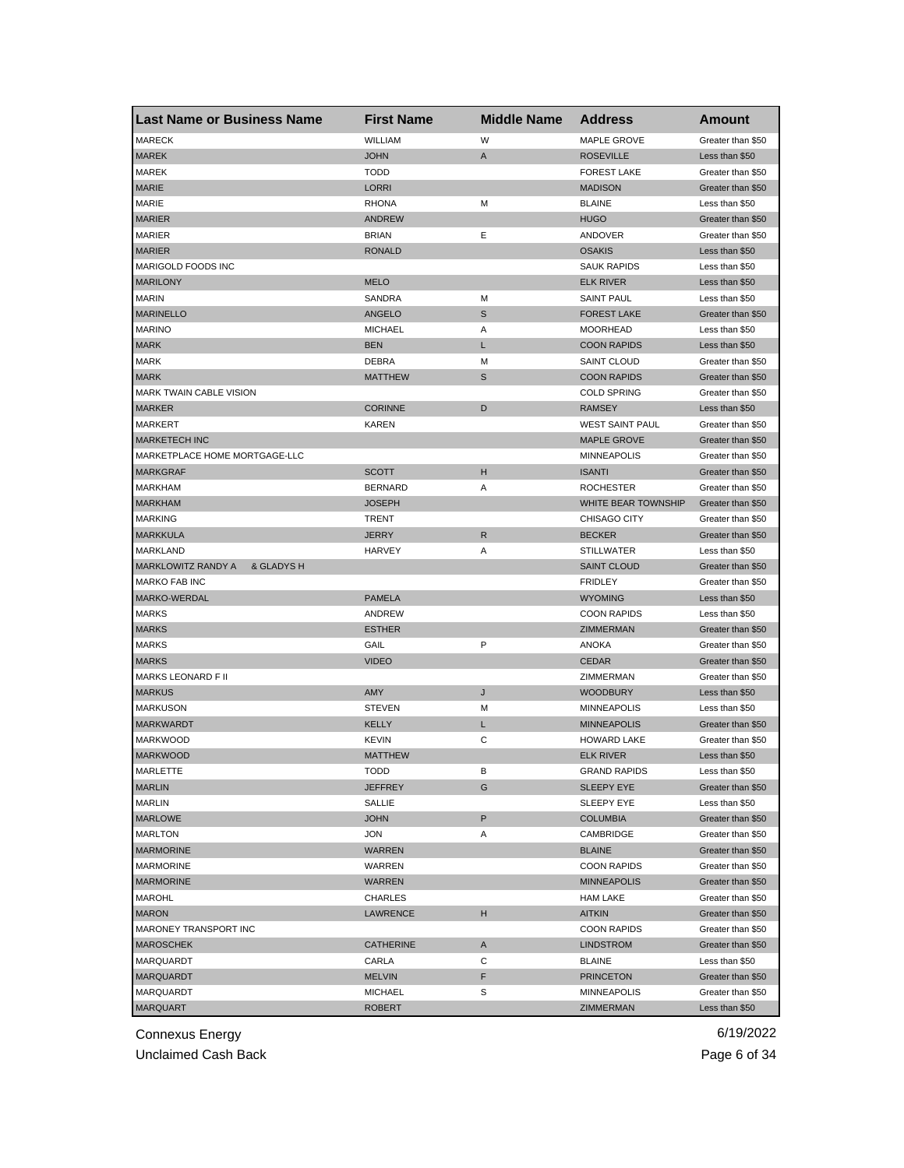| <b>Last Name or Business Name</b> | <b>First Name</b> | <b>Middle Name</b> | <b>Address</b>         | Amount            |
|-----------------------------------|-------------------|--------------------|------------------------|-------------------|
| <b>MARECK</b>                     | WILLIAM           | W                  | MAPLE GROVE            | Greater than \$50 |
| <b>MAREK</b>                      | <b>JOHN</b>       | Α                  | <b>ROSEVILLE</b>       | Less than \$50    |
| MAREK                             | <b>TODD</b>       |                    | <b>FOREST LAKE</b>     | Greater than \$50 |
| <b>MARIE</b>                      | <b>LORRI</b>      |                    | <b>MADISON</b>         | Greater than \$50 |
| MARIE                             | <b>RHONA</b>      | м                  | <b>BLAINE</b>          | Less than \$50    |
| <b>MARIER</b>                     | <b>ANDREW</b>     |                    | <b>HUGO</b>            | Greater than \$50 |
| <b>MARIER</b>                     | <b>BRIAN</b>      | Ε                  | ANDOVER                | Greater than \$50 |
| <b>MARIER</b>                     | <b>RONALD</b>     |                    | <b>OSAKIS</b>          | Less than \$50    |
| MARIGOLD FOODS INC                |                   |                    | <b>SAUK RAPIDS</b>     | Less than \$50    |
| <b>MARILONY</b>                   | <b>MELO</b>       |                    | <b>ELK RIVER</b>       | Less than \$50    |
| <b>MARIN</b>                      | SANDRA            | М                  | <b>SAINT PAUL</b>      | Less than \$50    |
| <b>MARINELLO</b>                  | <b>ANGELO</b>     | S                  | <b>FOREST LAKE</b>     | Greater than \$50 |
| <b>MARINO</b>                     | <b>MICHAEL</b>    | Α                  | <b>MOORHEAD</b>        | Less than \$50    |
| <b>MARK</b>                       | <b>BEN</b>        | Г                  | <b>COON RAPIDS</b>     | Less than \$50    |
| <b>MARK</b>                       | <b>DEBRA</b>      | M                  | <b>SAINT CLOUD</b>     | Greater than \$50 |
| <b>MARK</b>                       | <b>MATTHEW</b>    | S                  | <b>COON RAPIDS</b>     | Greater than \$50 |
| <b>MARK TWAIN CABLE VISION</b>    |                   |                    | <b>COLD SPRING</b>     | Greater than \$50 |
| <b>MARKER</b>                     | <b>CORINNE</b>    | D                  | <b>RAMSEY</b>          | Less than \$50    |
| MARKERT                           | <b>KAREN</b>      |                    | <b>WEST SAINT PAUL</b> | Greater than \$50 |
| <b>MARKETECH INC</b>              |                   |                    | <b>MAPLE GROVE</b>     | Greater than \$50 |
| MARKETPLACE HOME MORTGAGE-LLC     |                   |                    | <b>MINNEAPOLIS</b>     | Greater than \$50 |
| <b>MARKGRAF</b>                   | <b>SCOTT</b>      | н                  | <b>ISANTI</b>          | Greater than \$50 |
| <b>MARKHAM</b>                    | <b>BERNARD</b>    | Α                  | <b>ROCHESTER</b>       | Greater than \$50 |
| <b>MARKHAM</b>                    | <b>JOSEPH</b>     |                    | WHITE BEAR TOWNSHIP    | Greater than \$50 |
| <b>MARKING</b>                    | <b>TRENT</b>      |                    | <b>CHISAGO CITY</b>    | Greater than \$50 |
| <b>MARKKULA</b>                   | <b>JERRY</b>      | R                  | <b>BECKER</b>          | Greater than \$50 |
| MARKLAND                          | <b>HARVEY</b>     | Α                  | <b>STILLWATER</b>      | Less than \$50    |
| MARKLOWITZ RANDY A<br>& GLADYS H  |                   |                    | <b>SAINT CLOUD</b>     | Greater than \$50 |
| <b>MARKO FAB INC</b>              |                   |                    | <b>FRIDLEY</b>         | Greater than \$50 |
| MARKO-WERDAL                      | <b>PAMELA</b>     |                    | <b>WYOMING</b>         | Less than \$50    |
| <b>MARKS</b>                      | ANDREW            |                    | <b>COON RAPIDS</b>     | Less than \$50    |
| <b>MARKS</b>                      | <b>ESTHER</b>     |                    | ZIMMERMAN              | Greater than \$50 |
| <b>MARKS</b>                      | GAIL              | P                  | ANOKA                  | Greater than \$50 |
| <b>MARKS</b>                      | <b>VIDEO</b>      |                    | <b>CEDAR</b>           | Greater than \$50 |
| <b>MARKS LEONARD F II</b>         |                   |                    | ZIMMERMAN              | Greater than \$50 |
| <b>MARKUS</b>                     | AMY               | J                  | <b>WOODBURY</b>        | Less than \$50    |
| <b>MARKUSON</b>                   | <b>STEVEN</b>     | М                  | <b>MINNEAPOLIS</b>     | Less than \$50    |
| <b>MARKWARDT</b>                  | KELLY             | L                  | <b>MINNEAPOLIS</b>     | Greater than \$50 |
| <b>MARKWOOD</b>                   | <b>KEVIN</b>      | С                  | <b>HOWARD LAKE</b>     | Greater than \$50 |
| <b>MARKWOOD</b>                   | <b>MATTHEW</b>    |                    | <b>ELK RIVER</b>       | Less than \$50    |
| MARLETTE                          | TODD              | В                  | <b>GRAND RAPIDS</b>    | Less than \$50    |
| <b>MARLIN</b>                     | JEFFREY           | G                  | <b>SLEEPY EYE</b>      | Greater than \$50 |
| <b>MARLIN</b>                     | SALLIE            |                    | SLEEPY EYE             | Less than \$50    |
| <b>MARLOWE</b>                    | <b>JOHN</b>       | P                  | COLUMBIA               | Greater than \$50 |
| <b>MARLTON</b>                    | <b>JON</b>        | Α                  | CAMBRIDGE              | Greater than \$50 |
| <b>MARMORINE</b>                  | <b>WARREN</b>     |                    | <b>BLAINE</b>          | Greater than \$50 |
| <b>MARMORINE</b>                  | WARREN            |                    | <b>COON RAPIDS</b>     | Greater than \$50 |
| <b>MARMORINE</b>                  | WARREN            |                    | <b>MINNEAPOLIS</b>     | Greater than \$50 |
| <b>MAROHL</b>                     | CHARLES           |                    | HAM LAKE               | Greater than \$50 |
| <b>MARON</b>                      | LAWRENCE          | н                  | <b>AITKIN</b>          | Greater than \$50 |
| MARONEY TRANSPORT INC             |                   |                    | <b>COON RAPIDS</b>     | Greater than \$50 |
| <b>MAROSCHEK</b>                  | CATHERINE         | A                  | <b>LINDSTROM</b>       | Greater than \$50 |
| MARQUARDT                         | CARLA             | С                  | <b>BLAINE</b>          | Less than \$50    |
| MARQUARDT                         | <b>MELVIN</b>     | F                  | <b>PRINCETON</b>       | Greater than \$50 |
| MARQUARDT                         | <b>MICHAEL</b>    | S                  | MINNEAPOLIS            | Greater than \$50 |
| <b>MARQUART</b>                   | <b>ROBERT</b>     |                    | ZIMMERMAN              |                   |
|                                   |                   |                    |                        | Less than \$50    |

Unclaimed Cash Back **Page 6 of 34**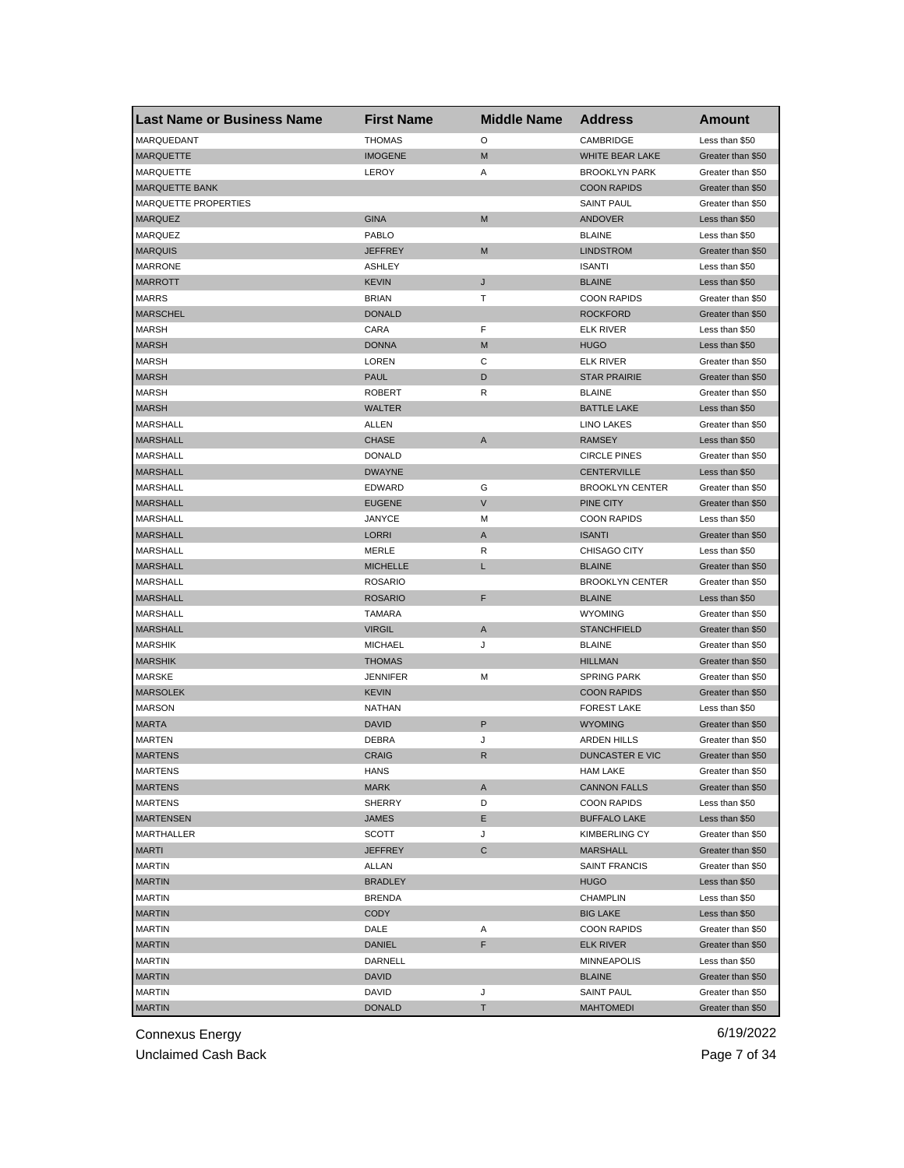| <b>Last Name or Business Name</b> | <b>First Name</b> | <b>Middle Name</b> | <b>Address</b>         | Amount            |
|-----------------------------------|-------------------|--------------------|------------------------|-------------------|
| MARQUEDANT                        | <b>THOMAS</b>     | O                  | CAMBRIDGE              | Less than \$50    |
| <b>MARQUETTE</b>                  | <b>IMOGENE</b>    | M                  | <b>WHITE BEAR LAKE</b> | Greater than \$50 |
| MARQUETTE                         | LEROY             | Α                  | <b>BROOKLYN PARK</b>   | Greater than \$50 |
| <b>MARQUETTE BANK</b>             |                   |                    | <b>COON RAPIDS</b>     | Greater than \$50 |
| MARQUETTE PROPERTIES              |                   |                    | <b>SAINT PAUL</b>      | Greater than \$50 |
| <b>MARQUEZ</b>                    | <b>GINA</b>       | M                  | <b>ANDOVER</b>         | Less than \$50    |
| MARQUEZ                           | PABLO             |                    | <b>BLAINE</b>          | Less than \$50    |
| <b>MARQUIS</b>                    | JEFFREY           | M                  | <b>LINDSTROM</b>       | Greater than \$50 |
| <b>MARRONE</b>                    | <b>ASHLEY</b>     |                    | <b>ISANTI</b>          | Less than \$50    |
| <b>MARROTT</b>                    | <b>KEVIN</b>      | J                  | <b>BLAINE</b>          | Less than \$50    |
| <b>MARRS</b>                      | <b>BRIAN</b>      | т                  | <b>COON RAPIDS</b>     | Greater than \$50 |
| <b>MARSCHEL</b>                   | <b>DONALD</b>     |                    | <b>ROCKFORD</b>        | Greater than \$50 |
| <b>MARSH</b>                      | CARA              | F                  | <b>ELK RIVER</b>       | Less than \$50    |
| <b>MARSH</b>                      | <b>DONNA</b>      | M                  | <b>HUGO</b>            | Less than \$50    |
| <b>MARSH</b>                      | <b>LOREN</b>      | С                  | <b>ELK RIVER</b>       | Greater than \$50 |
| <b>MARSH</b>                      | <b>PAUL</b>       | D                  | <b>STAR PRAIRIE</b>    | Greater than \$50 |
| <b>MARSH</b>                      | <b>ROBERT</b>     | R                  | <b>BLAINE</b>          | Greater than \$50 |
| <b>MARSH</b>                      | <b>WALTER</b>     |                    | <b>BATTLE LAKE</b>     | Less than \$50    |
| MARSHALL                          | ALLEN             |                    | <b>LINO LAKES</b>      | Greater than \$50 |
| <b>MARSHALL</b>                   | <b>CHASE</b>      | A                  | <b>RAMSEY</b>          | Less than \$50    |
| MARSHALL                          | <b>DONALD</b>     |                    | <b>CIRCLE PINES</b>    | Greater than \$50 |
| <b>MARSHALL</b>                   | <b>DWAYNE</b>     |                    | <b>CENTERVILLE</b>     | Less than \$50    |
| MARSHALL                          | <b>EDWARD</b>     | G                  | <b>BROOKLYN CENTER</b> | Greater than \$50 |
| <b>MARSHALL</b>                   | <b>EUGENE</b>     | $\vee$             | PINE CITY              | Greater than \$50 |
| MARSHALL                          | <b>JANYCE</b>     | М                  | <b>COON RAPIDS</b>     | Less than \$50    |
| <b>MARSHALL</b>                   | <b>LORRI</b>      | A                  | <b>ISANTI</b>          | Greater than \$50 |
| MARSHALL                          | MERLE             | R                  | CHISAGO CITY           | Less than \$50    |
| <b>MARSHALL</b>                   | <b>MICHELLE</b>   | L                  | <b>BLAINE</b>          | Greater than \$50 |
| MARSHALL                          | <b>ROSARIO</b>    |                    | <b>BROOKLYN CENTER</b> | Greater than \$50 |
| <b>MARSHALL</b>                   | <b>ROSARIO</b>    | F                  | <b>BLAINE</b>          | Less than \$50    |
| <b>MARSHALL</b>                   | <b>TAMARA</b>     |                    | <b>WYOMING</b>         | Greater than \$50 |
| <b>MARSHALL</b>                   | <b>VIRGIL</b>     | A                  | <b>STANCHFIELD</b>     | Greater than \$50 |
| <b>MARSHIK</b>                    | <b>MICHAEL</b>    | J                  | <b>BLAINE</b>          | Greater than \$50 |
| <b>MARSHIK</b>                    | <b>THOMAS</b>     |                    | <b>HILLMAN</b>         | Greater than \$50 |
| <b>MARSKE</b>                     | <b>JENNIFER</b>   | M                  | <b>SPRING PARK</b>     | Greater than \$50 |
| <b>MARSOLEK</b>                   | <b>KEVIN</b>      |                    | <b>COON RAPIDS</b>     | Greater than \$50 |
| <b>MARSON</b>                     | <b>NATHAN</b>     |                    | <b>FOREST LAKE</b>     | Less than \$50    |
| <b>MARTA</b>                      | <b>DAVID</b>      | P                  | <b>WYOMING</b>         | Greater than \$50 |
| MARTEN                            | DEBRA             | J                  | <b>ARDEN HILLS</b>     | Greater than \$50 |
| <b>MARTENS</b>                    | <b>CRAIG</b>      | R                  | DUNCASTER E VIC        | Greater than \$50 |
| MARTENS                           | HANS              |                    | HAM LAKE               | Greater than \$50 |
| <b>MARTENS</b>                    | <b>MARK</b>       | Α                  | <b>CANNON FALLS</b>    | Greater than \$50 |
| MARTENS                           | <b>SHERRY</b>     | D                  | <b>COON RAPIDS</b>     | Less than \$50    |
| <b>MARTENSEN</b>                  | JAMES             | Е                  | <b>BUFFALO LAKE</b>    | Less than \$50    |
| MARTHALLER                        | SCOTT             | J                  | <b>KIMBERLING CY</b>   | Greater than \$50 |
| MARTI                             | <b>JEFFREY</b>    | C                  | <b>MARSHALL</b>        | Greater than \$50 |
| <b>MARTIN</b>                     | ALLAN             |                    | <b>SAINT FRANCIS</b>   | Greater than \$50 |
| <b>MARTIN</b>                     | <b>BRADLEY</b>    |                    | <b>HUGO</b>            | Less than \$50    |
| <b>MARTIN</b>                     | <b>BRENDA</b>     |                    | <b>CHAMPLIN</b>        | Less than \$50    |
| <b>MARTIN</b>                     | <b>CODY</b>       |                    | <b>BIG LAKE</b>        | Less than \$50    |
| MARTIN                            | DALE              | Α                  | <b>COON RAPIDS</b>     | Greater than \$50 |
| <b>MARTIN</b>                     | <b>DANIEL</b>     | F                  | <b>ELK RIVER</b>       | Greater than \$50 |
| <b>MARTIN</b>                     | DARNELL           |                    | MINNEAPOLIS            | Less than \$50    |
| <b>MARTIN</b>                     | DAVID             |                    | <b>BLAINE</b>          | Greater than \$50 |
| <b>MARTIN</b>                     | DAVID             | J                  | <b>SAINT PAUL</b>      | Greater than \$50 |
| <b>MARTIN</b>                     | <b>DONALD</b>     | Т                  | <b>MAHTOMEDI</b>       | Greater than \$50 |

Unclaimed Cash Back **Page 7 of 34**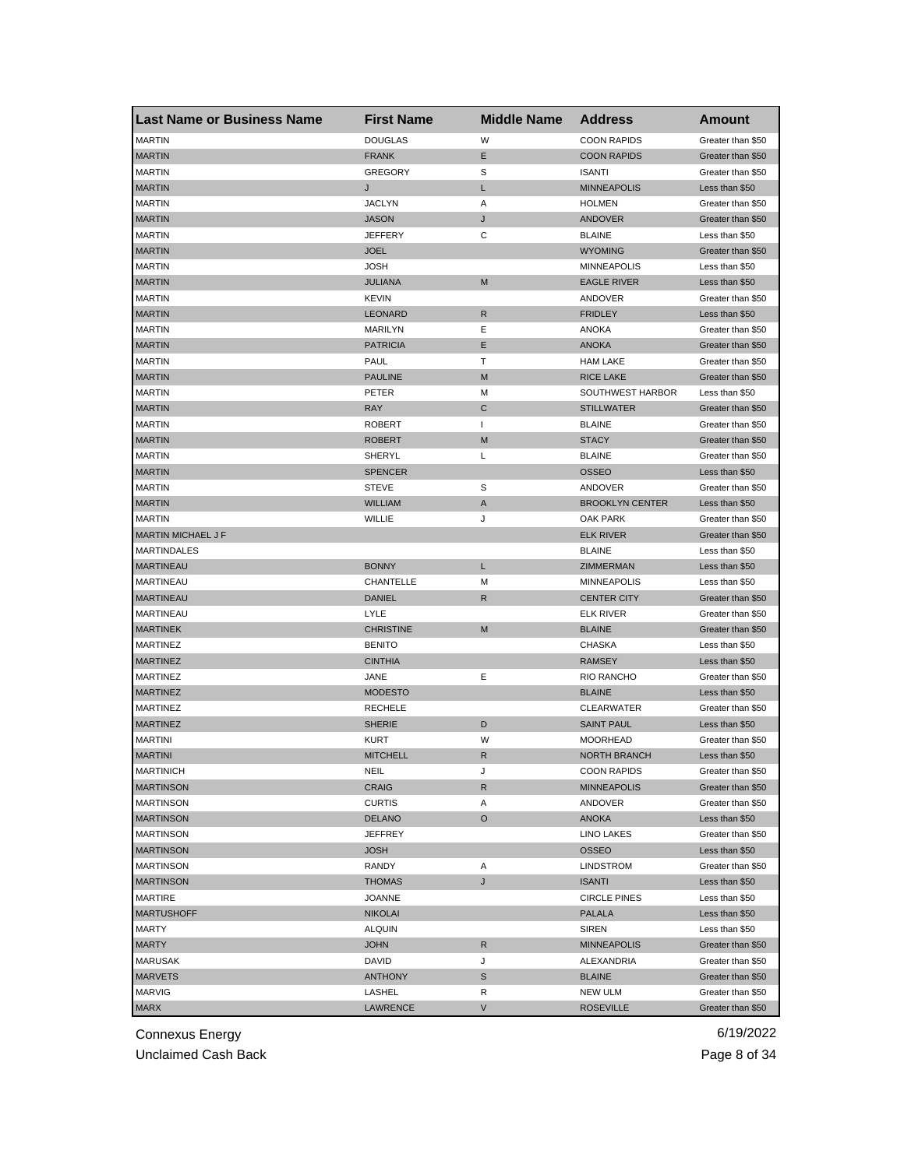| <b>Last Name or Business Name</b> | <b>First Name</b> | <b>Middle Name</b> | <b>Address</b>         | Amount            |
|-----------------------------------|-------------------|--------------------|------------------------|-------------------|
| <b>MARTIN</b>                     | <b>DOUGLAS</b>    | W                  | <b>COON RAPIDS</b>     | Greater than \$50 |
| <b>MARTIN</b>                     | <b>FRANK</b>      | E.                 | <b>COON RAPIDS</b>     | Greater than \$50 |
| <b>MARTIN</b>                     | <b>GREGORY</b>    | S                  | <b>ISANTI</b>          | Greater than \$50 |
| <b>MARTIN</b>                     | J                 | L                  | <b>MINNEAPOLIS</b>     | Less than \$50    |
| <b>MARTIN</b>                     | JACLYN            | Α                  | <b>HOLMEN</b>          | Greater than \$50 |
| <b>MARTIN</b>                     | <b>JASON</b>      | J                  | ANDOVER                | Greater than \$50 |
| <b>MARTIN</b>                     | JEFFERY           | С                  | <b>BLAINE</b>          | Less than \$50    |
| <b>MARTIN</b>                     | JOEL              |                    | <b>WYOMING</b>         | Greater than \$50 |
| <b>MARTIN</b>                     | JOSH              |                    | <b>MINNEAPOLIS</b>     | Less than \$50    |
| <b>MARTIN</b>                     | JULIANA           | M                  | <b>EAGLE RIVER</b>     | Less than \$50    |
| <b>MARTIN</b>                     | <b>KEVIN</b>      |                    | ANDOVER                | Greater than \$50 |
| <b>MARTIN</b>                     | LEONARD           | R                  | <b>FRIDLEY</b>         | Less than \$50    |
| <b>MARTIN</b>                     | <b>MARILYN</b>    | Ε                  | ANOKA                  | Greater than \$50 |
| <b>MARTIN</b>                     | <b>PATRICIA</b>   | E                  | <b>ANOKA</b>           | Greater than \$50 |
| <b>MARTIN</b>                     | PAUL              | т                  | <b>HAM LAKE</b>        | Greater than \$50 |
| <b>MARTIN</b>                     | <b>PAULINE</b>    | M                  | <b>RICE LAKE</b>       | Greater than \$50 |
| <b>MARTIN</b>                     | PETER             | M                  | SOUTHWEST HARBOR       | Less than \$50    |
| <b>MARTIN</b>                     | <b>RAY</b>        | C                  | <b>STILLWATER</b>      | Greater than \$50 |
| <b>MARTIN</b>                     | ROBERT            | $\mathbf{I}$       | <b>BLAINE</b>          | Greater than \$50 |
| <b>MARTIN</b>                     | <b>ROBERT</b>     | M                  | <b>STACY</b>           | Greater than \$50 |
| <b>MARTIN</b>                     | SHERYL            | Г                  | <b>BLAINE</b>          | Greater than \$50 |
| <b>MARTIN</b>                     | <b>SPENCER</b>    |                    | <b>OSSEO</b>           | Less than \$50    |
| <b>MARTIN</b>                     | <b>STEVE</b>      | S                  | ANDOVER                | Greater than \$50 |
| <b>MARTIN</b>                     | <b>WILLIAM</b>    | Α                  | <b>BROOKLYN CENTER</b> | Less than \$50    |
| <b>MARTIN</b>                     | WILLIE            | J                  | OAK PARK               | Greater than \$50 |
| <b>MARTIN MICHAEL J F</b>         |                   |                    | <b>ELK RIVER</b>       | Greater than \$50 |
| MARTINDALES                       |                   |                    | <b>BLAINE</b>          | Less than \$50    |
| <b>MARTINEAU</b>                  | <b>BONNY</b>      | L                  | ZIMMERMAN              | Less than \$50    |
| <b>MARTINEAU</b>                  | CHANTELLE         | М                  | <b>MINNEAPOLIS</b>     | Less than \$50    |
| <b>MARTINEAU</b>                  | <b>DANIEL</b>     | R                  | <b>CENTER CITY</b>     | Greater than \$50 |
| <b>MARTINEAU</b>                  | LYLE              |                    | <b>ELK RIVER</b>       | Greater than \$50 |
| <b>MARTINEK</b>                   | <b>CHRISTINE</b>  | M                  | <b>BLAINE</b>          | Greater than \$50 |
| <b>MARTINEZ</b>                   | <b>BENITO</b>     |                    | CHASKA                 | Less than \$50    |
| <b>MARTINEZ</b>                   | <b>CINTHIA</b>    |                    | <b>RAMSEY</b>          | Less than \$50    |
| <b>MARTINEZ</b>                   | JANE              | Е                  | <b>RIO RANCHO</b>      | Greater than \$50 |
| <b>MARTINEZ</b>                   | <b>MODESTO</b>    |                    | <b>BLAINE</b>          | Less than \$50    |
| <b>MARTINEZ</b>                   | <b>RECHELE</b>    |                    | <b>CLEARWATER</b>      | Greater than \$50 |
| <b>MARTINEZ</b>                   | <b>SHERIE</b>     | D                  | <b>SAINT PAUL</b>      | Less than \$50    |
| <b>MARTINI</b>                    | KURT              | W                  | <b>MOORHEAD</b>        | Greater than \$50 |
| <b>MARTINI</b>                    | <b>MITCHELL</b>   | R                  | <b>NORTH BRANCH</b>    | Less than \$50    |
| <b>MARTINICH</b>                  | NEIL              | J                  | <b>COON RAPIDS</b>     | Greater than \$50 |
| <b>MARTINSON</b>                  | CRAIG             | R                  | <b>MINNEAPOLIS</b>     | Greater than \$50 |
| <b>MARTINSON</b>                  | <b>CURTIS</b>     | Α                  | ANDOVER                | Greater than \$50 |
| <b>MARTINSON</b>                  | DELANO            | O                  | <b>ANOKA</b>           | Less than \$50    |
| <b>MARTINSON</b>                  | <b>JEFFREY</b>    |                    | <b>LINO LAKES</b>      | Greater than \$50 |
| <b>MARTINSON</b>                  | JOSH              |                    | OSSEO                  | Less than \$50    |
| <b>MARTINSON</b>                  | RANDY             | Α                  | LINDSTROM              | Greater than \$50 |
| <b>MARTINSON</b>                  | <b>THOMAS</b>     | J                  | <b>ISANTI</b>          | Less than \$50    |
| <b>MARTIRE</b>                    | JOANNE            |                    | <b>CIRCLE PINES</b>    | Less than \$50    |
| <b>MARTUSHOFF</b>                 | <b>NIKOLAI</b>    |                    | <b>PALALA</b>          | Less than \$50    |
| MARTY                             | <b>ALQUIN</b>     |                    | SIREN                  | Less than \$50    |
| <b>MARTY</b>                      | JOHN              | R                  | <b>MINNEAPOLIS</b>     | Greater than \$50 |
| MARUSAK                           | DAVID             | J                  | ALEXANDRIA             | Greater than \$50 |
| <b>MARVETS</b>                    | <b>ANTHONY</b>    | S                  | <b>BLAINE</b>          | Greater than \$50 |
| MARVIG                            | LASHEL            | R                  | <b>NEW ULM</b>         | Greater than \$50 |
| <b>MARX</b>                       | LAWRENCE          | V                  | <b>ROSEVILLE</b>       | Greater than \$50 |

Unclaimed Cash Back **Page 8 of 34**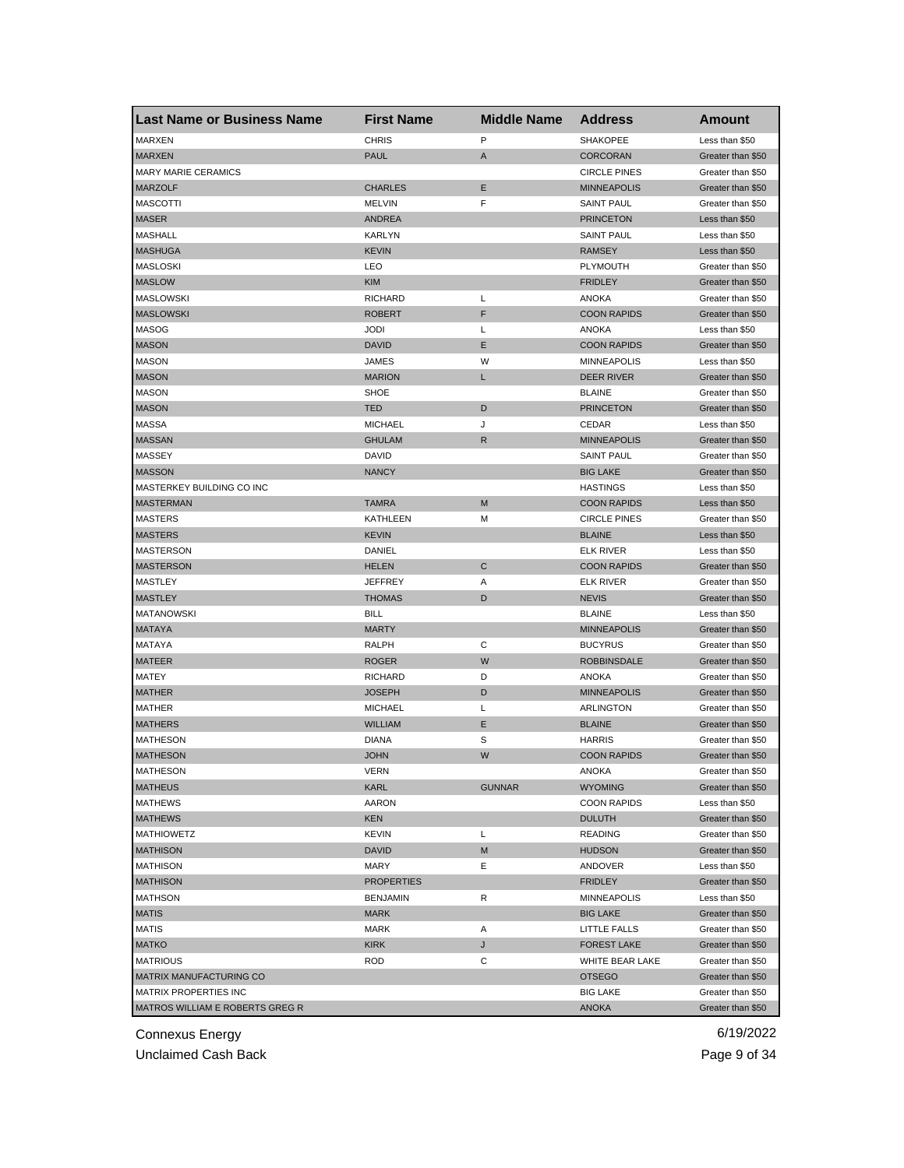| <b>Last Name or Business Name</b>      | <b>First Name</b> | <b>Middle Name</b> | <b>Address</b>                      | Amount                              |
|----------------------------------------|-------------------|--------------------|-------------------------------------|-------------------------------------|
| <b>MARXEN</b>                          | <b>CHRIS</b>      | P                  | SHAKOPEE                            | Less than \$50                      |
| <b>MARXEN</b>                          | <b>PAUL</b>       | Α                  | <b>CORCORAN</b>                     | Greater than \$50                   |
| <b>MARY MARIE CERAMICS</b>             |                   |                    | <b>CIRCLE PINES</b>                 | Greater than \$50                   |
| <b>MARZOLF</b>                         | <b>CHARLES</b>    | Ε                  | <b>MINNEAPOLIS</b>                  | Greater than \$50                   |
| <b>MASCOTTI</b>                        | <b>MELVIN</b>     | F                  | <b>SAINT PAUL</b>                   | Greater than \$50                   |
| <b>MASER</b>                           | <b>ANDREA</b>     |                    | <b>PRINCETON</b>                    | Less than \$50                      |
| MASHALL                                | <b>KARLYN</b>     |                    | <b>SAINT PAUL</b>                   | Less than \$50                      |
| <b>MASHUGA</b>                         | <b>KEVIN</b>      |                    | <b>RAMSEY</b>                       | Less than \$50                      |
| <b>MASLOSKI</b>                        | LEO               |                    | PLYMOUTH                            | Greater than \$50                   |
| <b>MASLOW</b>                          | KIM               |                    | <b>FRIDLEY</b>                      | Greater than \$50                   |
| <b>MASLOWSKI</b>                       | <b>RICHARD</b>    | Г                  | ANOKA                               | Greater than \$50                   |
| <b>MASLOWSKI</b>                       | <b>ROBERT</b>     | F                  | <b>COON RAPIDS</b>                  | Greater than \$50                   |
| <b>MASOG</b>                           | JODI              | Г                  | <b>ANOKA</b>                        | Less than \$50                      |
| <b>MASON</b>                           | <b>DAVID</b>      | Ε                  | <b>COON RAPIDS</b>                  | Greater than \$50                   |
| <b>MASON</b>                           | <b>JAMES</b>      | W                  | <b>MINNEAPOLIS</b>                  | Less than \$50                      |
| <b>MASON</b>                           | <b>MARION</b>     | L                  | <b>DEER RIVER</b>                   | Greater than \$50                   |
| <b>MASON</b>                           | <b>SHOE</b>       |                    | <b>BLAINE</b>                       | Greater than \$50                   |
| <b>MASON</b>                           | <b>TED</b>        | D                  | <b>PRINCETON</b>                    | Greater than \$50                   |
| <b>MASSA</b>                           | <b>MICHAEL</b>    | J                  | CEDAR                               | Less than \$50                      |
| <b>MASSAN</b>                          | <b>GHULAM</b>     | R                  | <b>MINNEAPOLIS</b>                  | Greater than \$50                   |
| MASSEY                                 | DAVID             |                    | <b>SAINT PAUL</b>                   | Greater than \$50                   |
| <b>MASSON</b>                          | <b>NANCY</b>      |                    | <b>BIG LAKE</b>                     | Greater than \$50                   |
| MASTERKEY BUILDING CO INC              |                   |                    | <b>HASTINGS</b>                     | Less than \$50                      |
| <b>MASTERMAN</b>                       | <b>TAMRA</b>      | M                  | <b>COON RAPIDS</b>                  | Less than \$50                      |
| <b>MASTERS</b>                         | KATHLEEN          | м                  | <b>CIRCLE PINES</b>                 | Greater than \$50                   |
| <b>MASTERS</b>                         | <b>KEVIN</b>      |                    | <b>BLAINE</b>                       | Less than \$50                      |
| <b>MASTERSON</b>                       | DANIEL            |                    | <b>ELK RIVER</b>                    | Less than \$50                      |
| <b>MASTERSON</b>                       | <b>HELEN</b>      | С                  | <b>COON RAPIDS</b>                  | Greater than \$50                   |
| MASTLEY                                | <b>JEFFREY</b>    | Α                  | ELK RIVER                           | Greater than \$50                   |
| <b>MASTLEY</b>                         | <b>THOMAS</b>     | D                  | <b>NEVIS</b>                        | Greater than \$50                   |
|                                        | <b>BILL</b>       |                    |                                     |                                     |
| <b>MATANOWSKI</b><br><b>MATAYA</b>     | <b>MARTY</b>      |                    | <b>BLAINE</b><br><b>MINNEAPOLIS</b> | Less than \$50<br>Greater than \$50 |
|                                        |                   |                    |                                     |                                     |
| MATAYA                                 | RALPH             | С<br>W             | <b>BUCYRUS</b>                      | Greater than \$50                   |
| <b>MATEER</b>                          | <b>ROGER</b>      |                    | <b>ROBBINSDALE</b>                  | Greater than \$50                   |
| MATEY                                  | <b>RICHARD</b>    | D                  | <b>ANOKA</b>                        | Greater than \$50                   |
| <b>MATHER</b>                          | <b>JOSEPH</b>     | D                  | <b>MINNEAPOLIS</b>                  | Greater than \$50                   |
| <b>MATHER</b>                          | <b>MICHAEL</b>    | L                  | <b>ARLINGTON</b>                    | Greater than \$50                   |
| <b>MATHERS</b>                         | <b>WILLIAM</b>    | Ε                  | <b>BLAINE</b>                       | Greater than \$50                   |
| <b>MATHESON</b>                        | <b>DIANA</b>      | S                  | <b>HARRIS</b>                       | Greater than \$50                   |
| <b>MATHESON</b>                        | <b>JOHN</b>       | W                  | <b>COON RAPIDS</b>                  | Greater than \$50                   |
| MATHESON                               | VERN              |                    | ANOKA                               | Greater than \$50                   |
| <b>MATHEUS</b>                         | KARL              | <b>GUNNAR</b>      | <b>WYOMING</b>                      | Greater than \$50                   |
| <b>MATHEWS</b>                         | <b>AARON</b>      |                    | <b>COON RAPIDS</b>                  | Less than \$50                      |
| <b>MATHEWS</b>                         | <b>KEN</b>        |                    | <b>DULUTH</b>                       | Greater than \$50                   |
| <b>MATHIOWETZ</b>                      | <b>KEVIN</b>      | Г                  | <b>READING</b>                      | Greater than \$50                   |
| <b>MATHISON</b>                        | <b>DAVID</b>      | M                  | <b>HUDSON</b>                       | Greater than \$50                   |
| <b>MATHISON</b>                        | MARY              | Е                  | ANDOVER                             | Less than \$50                      |
| <b>MATHISON</b>                        | <b>PROPERTIES</b> |                    | <b>FRIDLEY</b>                      | Greater than \$50                   |
| <b>MATHSON</b>                         | <b>BENJAMIN</b>   | R                  | <b>MINNEAPOLIS</b>                  | Less than \$50                      |
| <b>MATIS</b>                           | <b>MARK</b>       |                    | <b>BIG LAKE</b>                     | Greater than \$50                   |
| MATIS                                  | <b>MARK</b>       | Α                  | LITTLE FALLS                        | Greater than \$50                   |
| <b>MATKO</b>                           | <b>KIRK</b>       | J                  | <b>FOREST LAKE</b>                  | Greater than \$50                   |
| <b>MATRIOUS</b>                        | <b>ROD</b>        | С                  | WHITE BEAR LAKE                     | Greater than \$50                   |
| MATRIX MANUFACTURING CO                |                   |                    | <b>OTSEGO</b>                       | Greater than \$50                   |
| MATRIX PROPERTIES INC                  |                   |                    | <b>BIG LAKE</b>                     | Greater than \$50                   |
| <b>MATROS WILLIAM E ROBERTS GREG R</b> |                   |                    | <b>ANOKA</b>                        | Greater than \$50                   |

Unclaimed Cash Back **Page 9 of 34**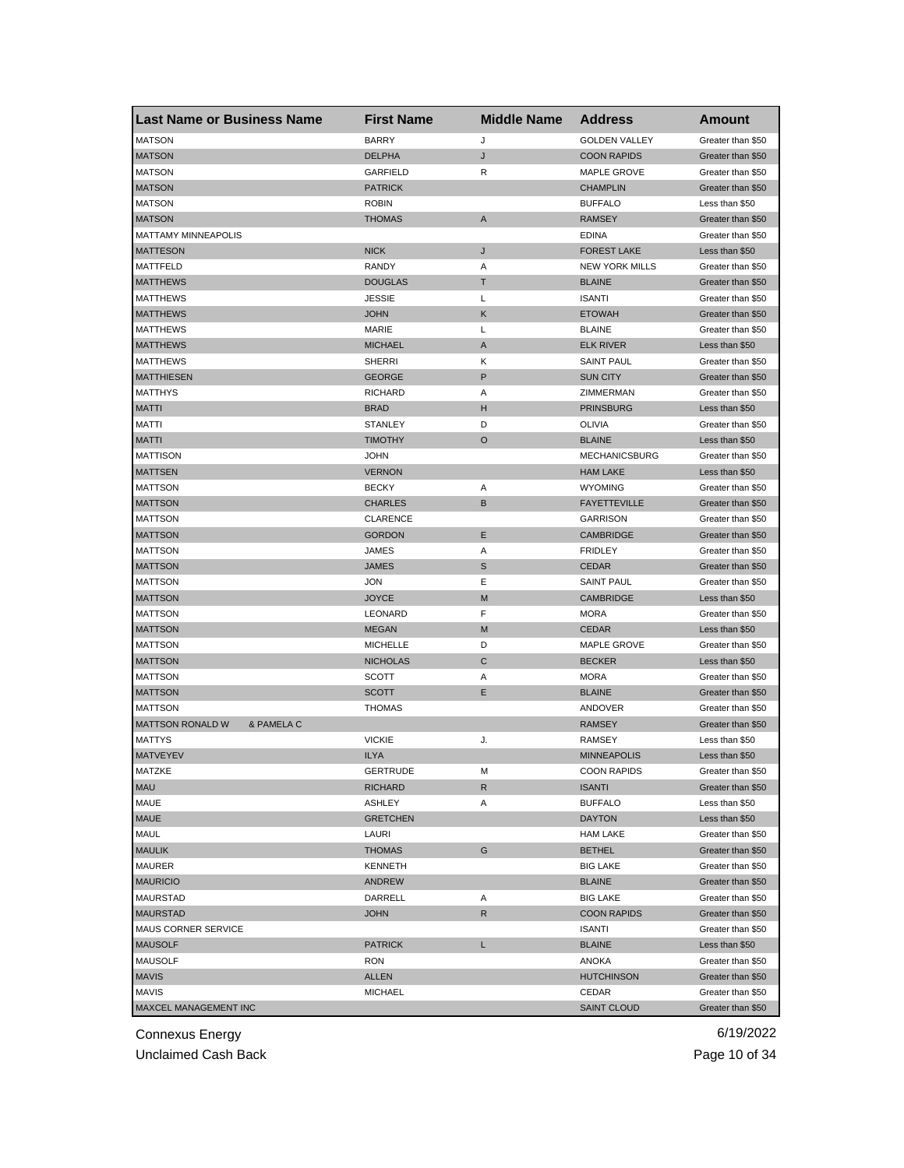| <b>Last Name or Business Name</b> | <b>First Name</b> | <b>Middle Name</b> | <b>Address</b>        | <b>Amount</b>     |
|-----------------------------------|-------------------|--------------------|-----------------------|-------------------|
| <b>MATSON</b>                     | <b>BARRY</b>      | J                  | <b>GOLDEN VALLEY</b>  | Greater than \$50 |
| <b>MATSON</b>                     | <b>DELPHA</b>     | J                  | <b>COON RAPIDS</b>    | Greater than \$50 |
| <b>MATSON</b>                     | <b>GARFIELD</b>   | R                  | MAPLE GROVE           | Greater than \$50 |
| <b>MATSON</b>                     | <b>PATRICK</b>    |                    | <b>CHAMPLIN</b>       | Greater than \$50 |
| <b>MATSON</b>                     | ROBIN             |                    | <b>BUFFALO</b>        | Less than \$50    |
| <b>MATSON</b>                     | <b>THOMAS</b>     | A                  | <b>RAMSEY</b>         | Greater than \$50 |
| <b>MATTAMY MINNEAPOLIS</b>        |                   |                    | <b>EDINA</b>          | Greater than \$50 |
| <b>MATTESON</b>                   | <b>NICK</b>       | J                  | <b>FOREST LAKE</b>    | Less than \$50    |
| MATTFELD                          | RANDY             | Α                  | <b>NEW YORK MILLS</b> | Greater than \$50 |
| <b>MATTHEWS</b>                   | <b>DOUGLAS</b>    | т                  | <b>BLAINE</b>         | Greater than \$50 |
| MATTHEWS                          | JESSIE            | Г                  | <b>ISANTI</b>         | Greater than \$50 |
| <b>MATTHEWS</b>                   | <b>JOHN</b>       | Κ                  | <b>ETOWAH</b>         | Greater than \$50 |
| <b>MATTHEWS</b>                   | <b>MARIE</b>      | Г                  | <b>BLAINE</b>         | Greater than \$50 |
| <b>MATTHEWS</b>                   | <b>MICHAEL</b>    | A                  | <b>ELK RIVER</b>      | Less than \$50    |
| <b>MATTHEWS</b>                   | <b>SHERRI</b>     | Κ                  | <b>SAINT PAUL</b>     | Greater than \$50 |
| <b>MATTHIESEN</b>                 | <b>GEORGE</b>     | P                  | <b>SUN CITY</b>       | Greater than \$50 |
| <b>MATTHYS</b>                    | <b>RICHARD</b>    | Α                  | ZIMMERMAN             | Greater than \$50 |
| <b>MATTI</b>                      | <b>BRAD</b>       | н                  | <b>PRINSBURG</b>      | Less than \$50    |
| MATTI                             | <b>STANLEY</b>    | D                  | <b>OLIVIA</b>         | Greater than \$50 |
| <b>MATTI</b>                      | <b>TIMOTHY</b>    | O                  | <b>BLAINE</b>         | Less than \$50    |
| <b>MATTISON</b>                   | JOHN              |                    | <b>MECHANICSBURG</b>  | Greater than \$50 |
| <b>MATTSEN</b>                    | <b>VERNON</b>     |                    | <b>HAM LAKE</b>       | Less than \$50    |
| <b>MATTSON</b>                    | <b>BECKY</b>      | Α                  | <b>WYOMING</b>        | Greater than \$50 |
| <b>MATTSON</b>                    | <b>CHARLES</b>    | В                  | <b>FAYETTEVILLE</b>   | Greater than \$50 |
| <b>MATTSON</b>                    | <b>CLARENCE</b>   |                    | <b>GARRISON</b>       | Greater than \$50 |
| <b>MATTSON</b>                    | <b>GORDON</b>     | Ε                  | <b>CAMBRIDGE</b>      | Greater than \$50 |
| <b>MATTSON</b>                    | JAMES             | Α                  | <b>FRIDLEY</b>        | Greater than \$50 |
| <b>MATTSON</b>                    | JAMES             | S                  | <b>CEDAR</b>          | Greater than \$50 |
| <b>MATTSON</b>                    | JON               | Ε                  | <b>SAINT PAUL</b>     | Greater than \$50 |
| <b>MATTSON</b>                    | <b>JOYCE</b>      | M                  | <b>CAMBRIDGE</b>      | Less than \$50    |
| <b>MATTSON</b>                    | LEONARD           | F                  | <b>MORA</b>           | Greater than \$50 |
| <b>MATTSON</b>                    | <b>MEGAN</b>      | M                  | <b>CEDAR</b>          | Less than \$50    |
| <b>MATTSON</b>                    | <b>MICHELLE</b>   | D                  | MAPLE GROVE           | Greater than \$50 |
| <b>MATTSON</b>                    | <b>NICHOLAS</b>   | C                  | <b>BECKER</b>         | Less than \$50    |
| <b>MATTSON</b>                    | SCOTT             | Α                  | <b>MORA</b>           | Greater than \$50 |
| <b>MATTSON</b>                    | <b>SCOTT</b>      | E                  | <b>BLAINE</b>         | Greater than \$50 |
| <b>MATTSON</b>                    | <b>THOMAS</b>     |                    | ANDOVER               | Greater than \$50 |
| MATTSON RONALD W<br>& PAMELA C    |                   |                    | <b>RAMSEY</b>         | Greater than \$50 |
| <b>MATTYS</b>                     | <b>VICKIE</b>     | J.                 | <b>RAMSEY</b>         | Less than \$50    |
| <b>MATVEYEV</b>                   | <b>ILYA</b>       |                    | <b>MINNEAPOLIS</b>    | Less than \$50    |
| MAIZKE                            | GERTRUDE          | м                  | <b>COON RAPIDS</b>    | Greater than \$50 |
| <b>MAU</b>                        | <b>RICHARD</b>    | R                  | <b>ISANTI</b>         | Greater than \$50 |
| MAUE                              | ASHLEY            | Α                  | <b>BUFFALO</b>        | Less than \$50    |
| <b>MAUE</b>                       | <b>GRETCHEN</b>   |                    | <b>DAYTON</b>         | Less than \$50    |
| MAUL                              | LAURI             |                    | <b>HAM LAKE</b>       | Greater than \$50 |
| <b>MAULIK</b>                     | THOMAS            | G                  | <b>BETHEL</b>         | Greater than \$50 |
| MAURER                            | KENNETH           |                    | <b>BIG LAKE</b>       | Greater than \$50 |
| <b>MAURICIO</b>                   | ANDREW            |                    | <b>BLAINE</b>         | Greater than \$50 |
| MAURSTAD                          | DARRELL           | Α                  | <b>BIG LAKE</b>       | Greater than \$50 |
| <b>MAURSTAD</b>                   | <b>JOHN</b>       | R                  | <b>COON RAPIDS</b>    | Greater than \$50 |
| MAUS CORNER SERVICE               |                   |                    | <b>ISANTI</b>         | Greater than \$50 |
| <b>MAUSOLF</b>                    | <b>PATRICK</b>    | L                  | <b>BLAINE</b>         | Less than \$50    |
| <b>MAUSOLF</b>                    | RON               |                    | ANOKA                 | Greater than \$50 |
| <b>MAVIS</b>                      | ALLEN             |                    | <b>HUTCHINSON</b>     | Greater than \$50 |
| <b>MAVIS</b>                      | MICHAEL           |                    | CEDAR                 | Greater than \$50 |
| MAXCEL MANAGEMENT INC             |                   |                    | <b>SAINT CLOUD</b>    | Greater than \$50 |
|                                   |                   |                    |                       |                   |

Unclaimed Cash Back **Page 10 of 34**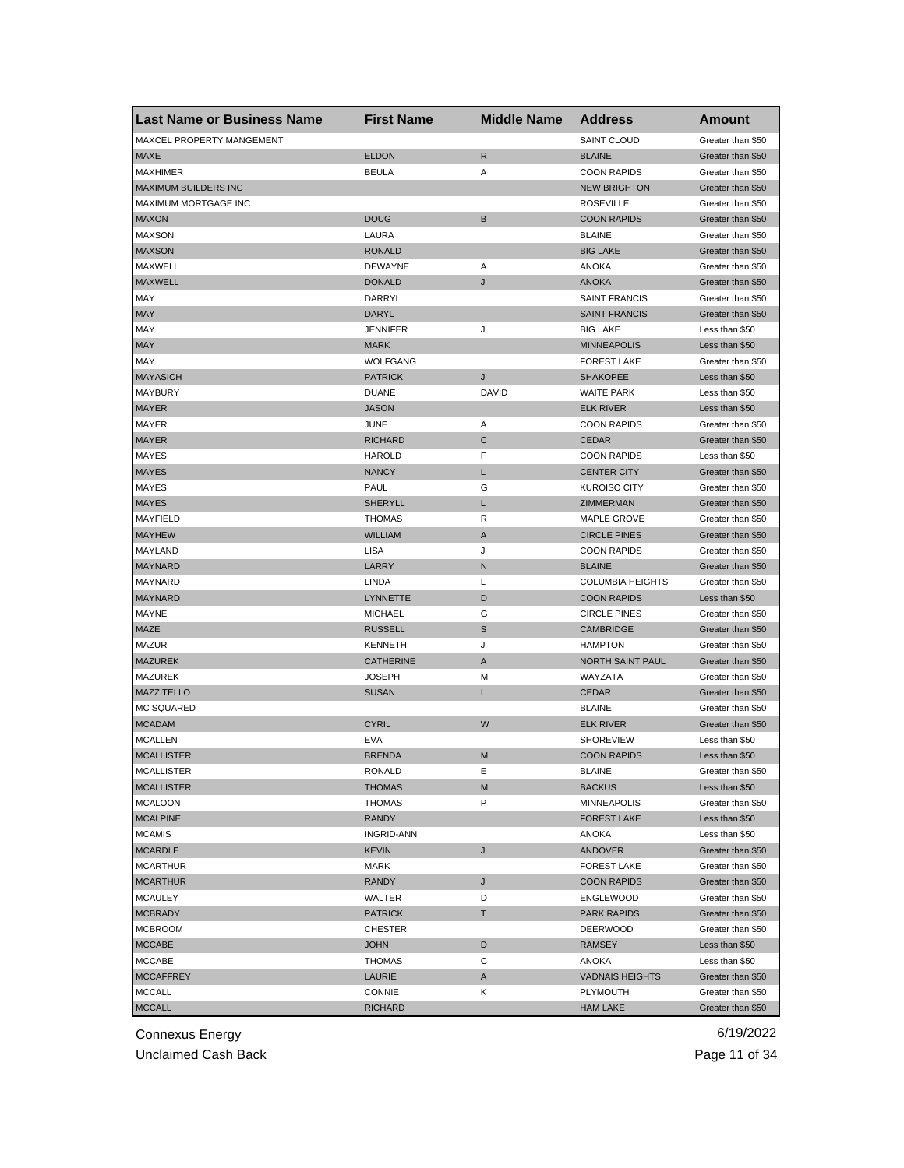| <b>Last Name or Business Name</b> | <b>First Name</b> | <b>Middle Name</b> | <b>Address</b>                         | Amount            |
|-----------------------------------|-------------------|--------------------|----------------------------------------|-------------------|
| MAXCEL PROPERTY MANGEMENT         |                   |                    | SAINT CLOUD                            | Greater than \$50 |
| <b>MAXE</b>                       | <b>ELDON</b>      | $\mathsf{R}$       | <b>BLAINE</b>                          | Greater than \$50 |
| <b>MAXHIMER</b>                   | <b>BEULA</b>      | Α                  | <b>COON RAPIDS</b>                     | Greater than \$50 |
| <b>MAXIMUM BUILDERS INC</b>       |                   |                    | <b>NEW BRIGHTON</b>                    | Greater than \$50 |
| MAXIMUM MORTGAGE INC              |                   |                    | <b>ROSEVILLE</b>                       | Greater than \$50 |
| <b>MAXON</b>                      | <b>DOUG</b>       | B                  | <b>COON RAPIDS</b>                     | Greater than \$50 |
| <b>MAXSON</b>                     | LAURA             |                    | <b>BLAINE</b>                          | Greater than \$50 |
| <b>MAXSON</b>                     | <b>RONALD</b>     |                    | <b>BIG LAKE</b>                        | Greater than \$50 |
| MAXWELL                           | <b>DEWAYNE</b>    | Α                  | <b>ANOKA</b>                           | Greater than \$50 |
| <b>MAXWELL</b>                    | <b>DONALD</b>     | J                  | <b>ANOKA</b>                           | Greater than \$50 |
| <b>MAY</b>                        | DARRYL            |                    | <b>SAINT FRANCIS</b>                   | Greater than \$50 |
| <b>MAY</b>                        | DARYL             |                    | <b>SAINT FRANCIS</b>                   | Greater than \$50 |
| <b>MAY</b>                        | <b>JENNIFER</b>   | J                  | <b>BIG LAKE</b>                        | Less than \$50    |
| <b>MAY</b>                        | <b>MARK</b>       |                    | <b>MINNEAPOLIS</b>                     | Less than \$50    |
| MAY                               | <b>WOLFGANG</b>   |                    | <b>FOREST LAKE</b>                     | Greater than \$50 |
| <b>MAYASICH</b>                   | <b>PATRICK</b>    | J                  | <b>SHAKOPEE</b>                        | Less than \$50    |
| <b>MAYBURY</b>                    | <b>DUANE</b>      | DAVID              | <b>WAITE PARK</b>                      | Less than \$50    |
| <b>MAYER</b>                      | <b>JASON</b>      |                    | <b>ELK RIVER</b>                       | Less than \$50    |
| MAYER                             | JUNE              | Α                  | <b>COON RAPIDS</b>                     | Greater than \$50 |
| <b>MAYER</b>                      | <b>RICHARD</b>    | C                  | <b>CEDAR</b>                           | Greater than \$50 |
| MAYES                             | <b>HAROLD</b>     | F                  | <b>COON RAPIDS</b>                     | Less than \$50    |
| <b>MAYES</b>                      | <b>NANCY</b>      | L                  | <b>CENTER CITY</b>                     | Greater than \$50 |
| MAYES                             | PAUL              | G                  | <b>KUROISO CITY</b>                    | Greater than \$50 |
| <b>MAYES</b>                      | <b>SHERYLL</b>    | L                  | ZIMMERMAN                              | Greater than \$50 |
| MAYFIELD                          | <b>THOMAS</b>     | R                  | MAPLE GROVE                            | Greater than \$50 |
| <b>MAYHEW</b>                     | <b>WILLIAM</b>    | A                  | <b>CIRCLE PINES</b>                    | Greater than \$50 |
| MAYLAND                           | LISA              | J                  | <b>COON RAPIDS</b>                     | Greater than \$50 |
| <b>MAYNARD</b>                    | LARRY             | N                  | <b>BLAINE</b>                          | Greater than \$50 |
| MAYNARD                           | LINDA             | L                  | <b>COLUMBIA HEIGHTS</b>                | Greater than \$50 |
| <b>MAYNARD</b>                    | <b>LYNNETTE</b>   | D                  | <b>COON RAPIDS</b>                     | Less than \$50    |
| MAYNE                             | <b>MICHAEL</b>    | G                  | <b>CIRCLE PINES</b>                    | Greater than \$50 |
| <b>MAZE</b>                       | <b>RUSSELL</b>    | $\mathbb S$        | <b>CAMBRIDGE</b>                       | Greater than \$50 |
| <b>MAZUR</b>                      | <b>KENNETH</b>    | J                  | <b>HAMPTON</b>                         | Greater than \$50 |
| <b>MAZUREK</b>                    | <b>CATHERINE</b>  | Α                  | NORTH SAINT PAUL                       | Greater than \$50 |
| <b>MAZUREK</b>                    | <b>JOSEPH</b>     | M                  | WAYZATA                                | Greater than \$50 |
| <b>MAZZITELLO</b>                 | <b>SUSAN</b>      |                    | <b>CEDAR</b>                           | Greater than \$50 |
| MC SQUARED                        |                   |                    | <b>BLAINE</b>                          | Greater than \$50 |
| <b>MCADAM</b>                     | <b>CYRIL</b>      | W                  | <b>ELK RIVER</b>                       | Greater than \$50 |
| <b>MCALLEN</b>                    | <b>EVA</b>        |                    | <b>SHOREVIEW</b>                       | Less than \$50    |
| <b>MCALLISTER</b>                 | <b>BRENDA</b>     | M                  | <b>COON RAPIDS</b>                     | Less than \$50    |
| <b>MCALLISTER</b>                 | RONALD            | Е                  | <b>BLAINE</b>                          | Greater than \$50 |
| <b>MCALLISTER</b>                 | THOMAS            | M                  | <b>BACKUS</b>                          | Less than \$50    |
| <b>MCALOON</b>                    | <b>THOMAS</b>     | P                  | <b>MINNEAPOLIS</b>                     | Greater than \$50 |
| <b>MCALPINE</b>                   | RANDY             |                    | <b>FOREST LAKE</b>                     | Less than \$50    |
| <b>MCAMIS</b>                     | <b>INGRID-ANN</b> |                    | ANOKA                                  | Less than \$50    |
| <b>MCARDLE</b>                    | <b>KEVIN</b>      | J                  | <b>ANDOVER</b>                         | Greater than \$50 |
| <b>MCARTHUR</b>                   | MARK              |                    | <b>FOREST LAKE</b>                     | Greater than \$50 |
|                                   | <b>RANDY</b>      |                    |                                        | Greater than \$50 |
| <b>MCARTHUR</b><br><b>MCAULEY</b> | WALTER            | J<br>D             | <b>COON RAPIDS</b><br><b>ENGLEWOOD</b> | Greater than \$50 |
|                                   | <b>PATRICK</b>    | Τ                  | <b>PARK RAPIDS</b>                     | Greater than \$50 |
| <b>MCBRADY</b>                    |                   |                    |                                        | Greater than \$50 |
| <b>MCBROOM</b>                    | CHESTER           |                    | <b>DEERWOOD</b>                        |                   |
| <b>MCCABE</b>                     | <b>JOHN</b>       | D                  | RAMSEY                                 | Less than \$50    |
| <b>MCCABE</b>                     | THOMAS            | С                  | ANOKA                                  | Less than \$50    |
| <b>MCCAFFREY</b>                  | LAURIE            | A                  | <b>VADNAIS HEIGHTS</b>                 | Greater than \$50 |
| <b>MCCALL</b>                     | CONNIE            | Κ                  | <b>PLYMOUTH</b>                        | Greater than \$50 |
| <b>MCCALL</b>                     | <b>RICHARD</b>    |                    | <b>HAM LAKE</b>                        | Greater than \$50 |

Unclaimed Cash Back **Page 11 of 34**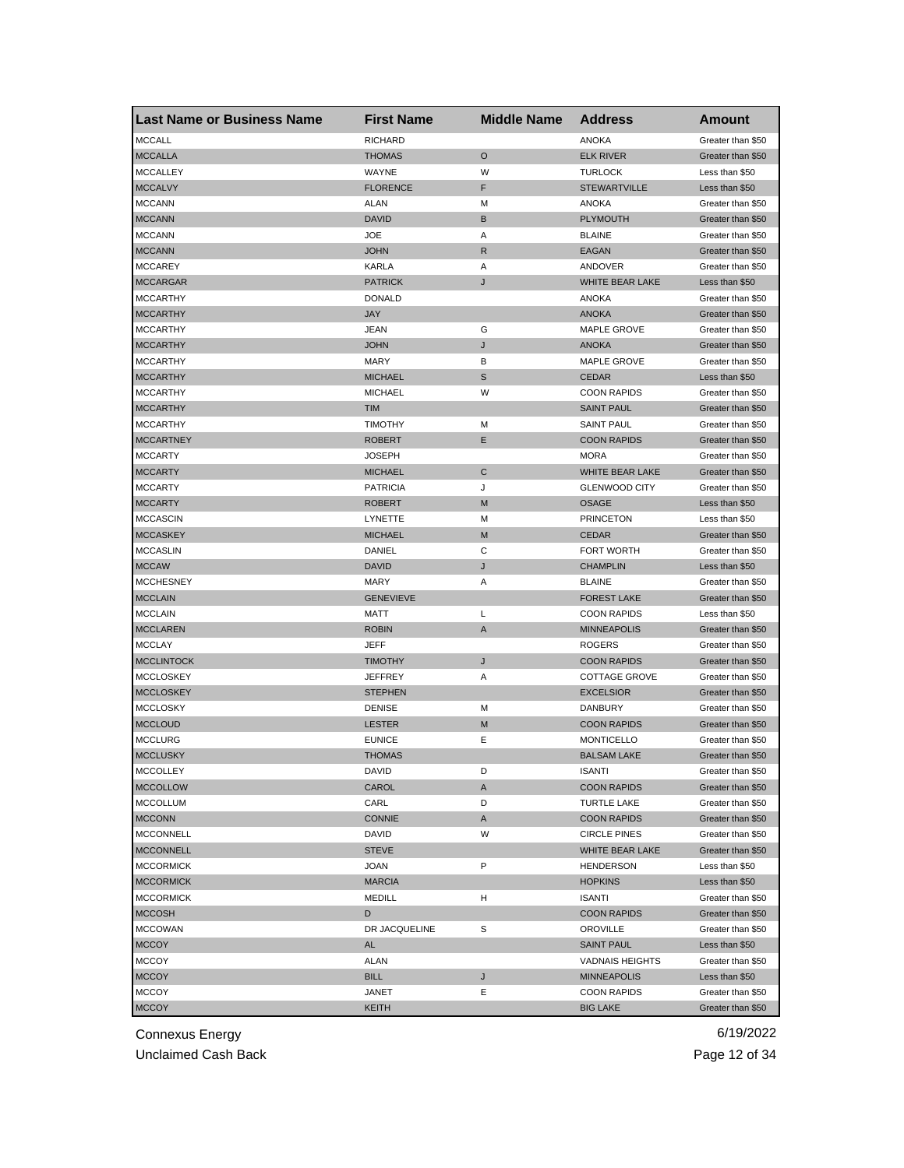| <b>Last Name or Business Name</b>    | <b>First Name</b> | <b>Middle Name</b> | <b>Address</b>         | Amount                                 |
|--------------------------------------|-------------------|--------------------|------------------------|----------------------------------------|
| <b>MCCALL</b>                        | <b>RICHARD</b>    |                    | <b>ANOKA</b>           | Greater than \$50                      |
| <b>MCCALLA</b>                       | <b>THOMAS</b>     | O                  | <b>ELK RIVER</b>       | Greater than \$50                      |
| <b>MCCALLEY</b>                      | WAYNE             | W                  | <b>TURLOCK</b>         | Less than \$50                         |
| <b>MCCALVY</b>                       | <b>FLORENCE</b>   | F                  | <b>STEWARTVILLE</b>    | Less than \$50                         |
| <b>MCCANN</b>                        | ALAN              | M                  | <b>ANOKA</b>           | Greater than \$50                      |
| <b>MCCANN</b>                        | <b>DAVID</b>      | B                  | PLYMOUTH               | Greater than \$50                      |
| <b>MCCANN</b>                        | <b>JOE</b>        | Α                  | <b>BLAINE</b>          | Greater than \$50                      |
| <b>MCCANN</b>                        | <b>JOHN</b>       | R                  | EAGAN                  | Greater than \$50                      |
| <b>MCCAREY</b>                       | KARLA             | Α                  | ANDOVER                | Greater than \$50                      |
| <b>MCCARGAR</b>                      | <b>PATRICK</b>    | J                  | WHITE BEAR LAKE        | Less than \$50                         |
| <b>MCCARTHY</b>                      | <b>DONALD</b>     |                    | ANOKA                  | Greater than \$50                      |
| <b>MCCARTHY</b>                      | <b>JAY</b>        |                    | <b>ANOKA</b>           | Greater than \$50                      |
| <b>MCCARTHY</b>                      | <b>JEAN</b>       | G                  | MAPLE GROVE            | Greater than \$50                      |
| <b>MCCARTHY</b>                      | <b>JOHN</b>       | J                  | <b>ANOKA</b>           | Greater than \$50                      |
| <b>MCCARTHY</b>                      | <b>MARY</b>       | В                  | MAPLE GROVE            | Greater than \$50                      |
| <b>MCCARTHY</b>                      | <b>MICHAEL</b>    | S                  | <b>CEDAR</b>           | Less than \$50                         |
| <b>MCCARTHY</b>                      | <b>MICHAEL</b>    | W                  | <b>COON RAPIDS</b>     | Greater than \$50                      |
| <b>MCCARTHY</b>                      | <b>TIM</b>        |                    | <b>SAINT PAUL</b>      | Greater than \$50                      |
| <b>MCCARTHY</b>                      | <b>TIMOTHY</b>    | м                  | <b>SAINT PAUL</b>      | Greater than \$50                      |
| <b>MCCARTNEY</b>                     | <b>ROBERT</b>     | Е                  | <b>COON RAPIDS</b>     | Greater than \$50                      |
| <b>MCCARTY</b>                       | <b>JOSEPH</b>     |                    | <b>MORA</b>            | Greater than \$50                      |
| <b>MCCARTY</b>                       | <b>MICHAEL</b>    | C                  | WHITE BEAR LAKE        | Greater than \$50                      |
| <b>MCCARTY</b>                       | <b>PATRICIA</b>   | J                  | <b>GLENWOOD CITY</b>   | Greater than \$50                      |
| <b>MCCARTY</b>                       | <b>ROBERT</b>     | M                  | <b>OSAGE</b>           | Less than \$50                         |
| <b>MCCASCIN</b>                      | LYNETTE           | М                  | <b>PRINCETON</b>       | Less than \$50                         |
| <b>MCCASKEY</b>                      | <b>MICHAEL</b>    | M                  | <b>CEDAR</b>           | Greater than \$50                      |
| <b>MCCASLIN</b>                      | DANIEL            | С                  | FORT WORTH             | Greater than \$50                      |
| <b>MCCAW</b>                         | <b>DAVID</b>      | J                  | <b>CHAMPLIN</b>        | Less than \$50                         |
| <b>MCCHESNEY</b>                     | MARY              | Α                  | <b>BLAINE</b>          | Greater than \$50                      |
| <b>MCCLAIN</b>                       | <b>GENEVIEVE</b>  |                    | <b>FOREST LAKE</b>     | Greater than \$50                      |
| <b>MCCLAIN</b>                       | <b>MATT</b>       | L                  | <b>COON RAPIDS</b>     | Less than \$50                         |
| <b>MCCLAREN</b>                      | <b>ROBIN</b>      | $\mathsf{A}$       | <b>MINNEAPOLIS</b>     | Greater than \$50                      |
| <b>MCCLAY</b>                        | JEFF              |                    | <b>ROGERS</b>          | Greater than \$50                      |
| <b>MCCLINTOCK</b>                    | <b>TIMOTHY</b>    | J                  | <b>COON RAPIDS</b>     | Greater than \$50                      |
| <b>MCCLOSKEY</b>                     | <b>JEFFREY</b>    | Α                  | <b>COTTAGE GROVE</b>   | Greater than \$50                      |
| <b>MCCLOSKEY</b>                     | <b>STEPHEN</b>    |                    | <b>EXCELSIOR</b>       | Greater than \$50                      |
| <b>MCCLOSKY</b>                      | <b>DENISE</b>     | M                  | DANBURY                | Greater than \$50                      |
| <b>MCCLOUD</b>                       | <b>LESTER</b>     | M                  | <b>COON RAPIDS</b>     | Greater than \$50                      |
| <b>MCCLURG</b>                       | <b>EUNICE</b>     | Ε                  | <b>MONTICELLO</b>      | Greater than \$50                      |
| <b>MCCLUSKY</b>                      | <b>THOMAS</b>     |                    | <b>BALSAM LAKE</b>     | Greater than \$50                      |
|                                      | DAVID             | D                  | ISANTI                 |                                        |
| <b>MCCOLLEY</b><br><b>MCCOLLOW</b>   | CAROL             | A                  | <b>COON RAPIDS</b>     | Greater than \$50<br>Greater than \$50 |
| <b>MCCOLLUM</b>                      | CARL              | D                  | <b>TURTLE LAKE</b>     | Greater than \$50                      |
| <b>MCCONN</b>                        | <b>CONNIE</b>     | A                  | <b>COON RAPIDS</b>     | Greater than \$50                      |
|                                      |                   |                    |                        |                                        |
| <b>MCCONNELL</b><br><b>MCCONNELL</b> | DAVID             | W                  | <b>CIRCLE PINES</b>    | Greater than \$50                      |
|                                      | <b>STEVE</b>      |                    | WHITE BEAR LAKE        | Greater than \$50                      |
| <b>MCCORMICK</b>                     | <b>JOAN</b>       | P                  | <b>HENDERSON</b>       | Less than \$50                         |
| <b>MCCORMICK</b>                     | <b>MARCIA</b>     |                    | <b>HOPKINS</b>         | Less than \$50                         |
| <b>MCCORMICK</b>                     | <b>MEDILL</b>     | H                  | <b>ISANTI</b>          | Greater than \$50                      |
| <b>MCCOSH</b>                        | D                 |                    | <b>COON RAPIDS</b>     | Greater than \$50                      |
| <b>MCCOWAN</b>                       | DR JACQUELINE     | S                  | OROVILLE               | Greater than \$50                      |
| <b>MCCOY</b>                         | AL                |                    | <b>SAINT PAUL</b>      | Less than \$50                         |
| <b>MCCOY</b>                         | ALAN              |                    | <b>VADNAIS HEIGHTS</b> | Greater than \$50                      |
| <b>MCCOY</b>                         | <b>BILL</b>       | J                  | <b>MINNEAPOLIS</b>     | Less than \$50                         |
| <b>MCCOY</b>                         | JANET             | Е                  | <b>COON RAPIDS</b>     | Greater than \$50                      |
| <b>MCCOY</b>                         | KEITH             |                    | <b>BIG LAKE</b>        | Greater than \$50                      |

Unclaimed Cash Back **Page 12 of 34**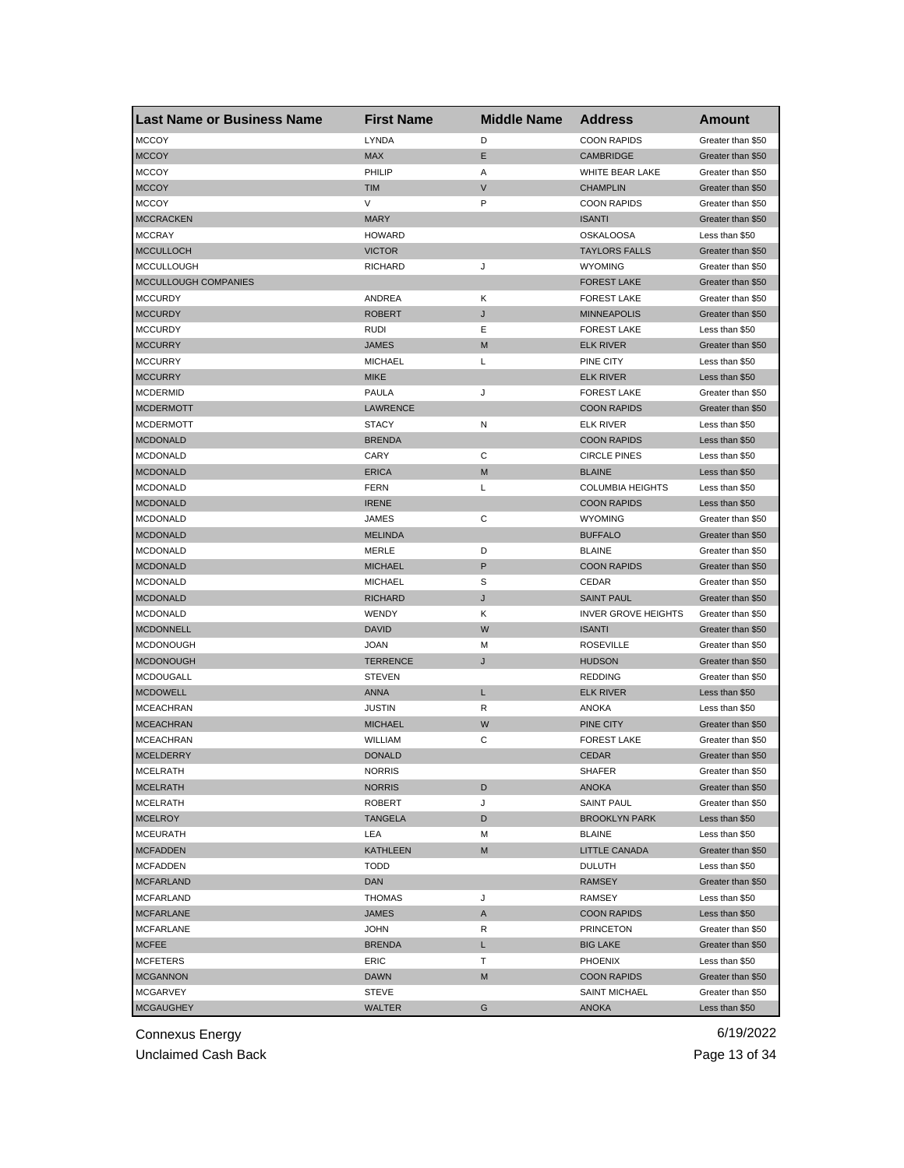| <b>Last Name or Business Name</b> | <b>First Name</b> | <b>Middle Name</b> | <b>Address</b>             | <b>Amount</b>     |
|-----------------------------------|-------------------|--------------------|----------------------------|-------------------|
| <b>MCCOY</b>                      | <b>LYNDA</b>      | D                  | <b>COON RAPIDS</b>         | Greater than \$50 |
| <b>MCCOY</b>                      | <b>MAX</b>        | E                  | <b>CAMBRIDGE</b>           | Greater than \$50 |
| <b>MCCOY</b>                      | PHILIP            | Α                  | WHITE BEAR LAKE            | Greater than \$50 |
| <b>MCCOY</b>                      | <b>TIM</b>        | $\mathsf{V}$       | <b>CHAMPLIN</b>            | Greater than \$50 |
| <b>MCCOY</b>                      | V                 | P                  | <b>COON RAPIDS</b>         | Greater than \$50 |
| <b>MCCRACKEN</b>                  | <b>MARY</b>       |                    | <b>ISANTI</b>              | Greater than \$50 |
| <b>MCCRAY</b>                     | <b>HOWARD</b>     |                    | <b>OSKALOOSA</b>           | Less than \$50    |
| <b>MCCULLOCH</b>                  | <b>VICTOR</b>     |                    | <b>TAYLORS FALLS</b>       | Greater than \$50 |
| <b>MCCULLOUGH</b>                 | <b>RICHARD</b>    | J                  | <b>WYOMING</b>             | Greater than \$50 |
| MCCULLOUGH COMPANIES              |                   |                    | <b>FOREST LAKE</b>         | Greater than \$50 |
| <b>MCCURDY</b>                    | ANDREA            | Κ                  | <b>FOREST LAKE</b>         | Greater than \$50 |
| <b>MCCURDY</b>                    | <b>ROBERT</b>     | J                  | <b>MINNEAPOLIS</b>         | Greater than \$50 |
| <b>MCCURDY</b>                    | RUDI              | Ε                  | <b>FOREST LAKE</b>         | Less than \$50    |
| <b>MCCURRY</b>                    | <b>JAMES</b>      | M                  | <b>ELK RIVER</b>           | Greater than \$50 |
| <b>MCCURRY</b>                    | <b>MICHAEL</b>    | L                  | PINE CITY                  | Less than \$50    |
| <b>MCCURRY</b>                    | <b>MIKE</b>       |                    | <b>ELK RIVER</b>           | Less than \$50    |
| <b>MCDERMID</b>                   | <b>PAULA</b>      | J                  | <b>FOREST LAKE</b>         | Greater than \$50 |
| <b>MCDERMOTT</b>                  | LAWRENCE          |                    | <b>COON RAPIDS</b>         | Greater than \$50 |
| <b>MCDERMOTT</b>                  | <b>STACY</b>      | Ν                  | ELK RIVER                  | Less than \$50    |
| <b>MCDONALD</b>                   | <b>BRENDA</b>     |                    | <b>COON RAPIDS</b>         | Less than \$50    |
| <b>MCDONALD</b>                   | CARY              | C                  | <b>CIRCLE PINES</b>        | Less than \$50    |
| <b>MCDONALD</b>                   | <b>ERICA</b>      | M                  | <b>BLAINE</b>              | Less than \$50    |
| <b>MCDONALD</b>                   | <b>FERN</b>       | Г                  | <b>COLUMBIA HEIGHTS</b>    | Less than \$50    |
| <b>MCDONALD</b>                   | <b>IRENE</b>      |                    | <b>COON RAPIDS</b>         | Less than \$50    |
| <b>MCDONALD</b>                   | JAMES             | С                  | <b>WYOMING</b>             | Greater than \$50 |
| <b>MCDONALD</b>                   | <b>MELINDA</b>    |                    | <b>BUFFALO</b>             | Greater than \$50 |
| MCDONALD                          | MERLE             | D                  | <b>BLAINE</b>              | Greater than \$50 |
| <b>MCDONALD</b>                   | <b>MICHAEL</b>    | P                  | <b>COON RAPIDS</b>         | Greater than \$50 |
| <b>MCDONALD</b>                   | <b>MICHAEL</b>    | S                  | CEDAR                      | Greater than \$50 |
| <b>MCDONALD</b>                   | <b>RICHARD</b>    | J                  | <b>SAINT PAUL</b>          | Greater than \$50 |
| <b>MCDONALD</b>                   | WENDY             | Κ                  | <b>INVER GROVE HEIGHTS</b> | Greater than \$50 |
| <b>MCDONNELL</b>                  | <b>DAVID</b>      | W                  | <b>ISANTI</b>              | Greater than \$50 |
| <b>MCDONOUGH</b>                  | <b>JOAN</b>       | М                  | <b>ROSEVILLE</b>           | Greater than \$50 |
| <b>MCDONOUGH</b>                  | <b>TERRENCE</b>   | J                  | <b>HUDSON</b>              | Greater than \$50 |
| <b>MCDOUGALL</b>                  | <b>STEVEN</b>     |                    | <b>REDDING</b>             | Greater than \$50 |
| <b>MCDOWELL</b>                   | <b>ANNA</b>       | L                  | <b>ELK RIVER</b>           | Less than \$50    |
| <b>MCEACHRAN</b>                  | JUSTIN            | R                  | ANOKA                      | Less than \$50    |
| <b>MCEACHRAN</b>                  | <b>MICHAEL</b>    | W                  | PINE CITY                  | Greater than \$50 |
| MCEACHRAN                         | WILLIAM           | С                  | <b>FOREST LAKE</b>         | Greater than \$50 |
| <b>MCELDERRY</b>                  | <b>DONALD</b>     |                    | <b>CEDAR</b>               | Greater than \$50 |
| <b>MCELRAIH</b>                   | NORRIS            |                    | SHAFER                     | Greater than \$50 |
| <b>MCELRATH</b>                   | <b>NORRIS</b>     | D                  | ANOKA                      | Greater than \$50 |
| <b>MCELRATH</b>                   | ROBERT            | J                  | <b>SAINT PAUL</b>          | Greater than \$50 |
| <b>MCELROY</b>                    | <b>TANGELA</b>    | D                  | <b>BROOKLYN PARK</b>       | Less than \$50    |
| <b>MCEURATH</b>                   | LEA               | M                  | <b>BLAINE</b>              | Less than \$50    |
| <b>MCFADDEN</b>                   | KATHLEEN          | M                  | LITTLE CANADA              | Greater than \$50 |
| <b>MCFADDEN</b>                   | TODD              |                    | <b>DULUTH</b>              | Less than \$50    |
| <b>MCFARLAND</b>                  | <b>DAN</b>        |                    | <b>RAMSEY</b>              | Greater than \$50 |
| <b>MCFARLAND</b>                  | <b>THOMAS</b>     | J                  | RAMSEY                     | Less than \$50    |
| <b>MCFARLANE</b>                  | JAMES             |                    | <b>COON RAPIDS</b>         | Less than \$50    |
|                                   | <b>JOHN</b>       | A<br>R             |                            | Greater than \$50 |
| <b>MCFARLANE</b>                  |                   |                    | <b>PRINCETON</b>           |                   |
| <b>MCFEE</b>                      | <b>BRENDA</b>     | L                  | <b>BIG LAKE</b>            | Greater than \$50 |
| <b>MCFETERS</b>                   | ERIC              | Τ                  | PHOENIX                    | Less than \$50    |
| <b>MCGANNON</b>                   | DAWN              | M                  | <b>COON RAPIDS</b>         | Greater than \$50 |
| <b>MCGARVEY</b>                   | STEVE             |                    | <b>SAINT MICHAEL</b>       | Greater than \$50 |
| <b>MCGAUGHEY</b>                  | <b>WALTER</b>     | G                  | <b>ANOKA</b>               | Less than \$50    |

Unclaimed Cash Back **Page 13 of 34**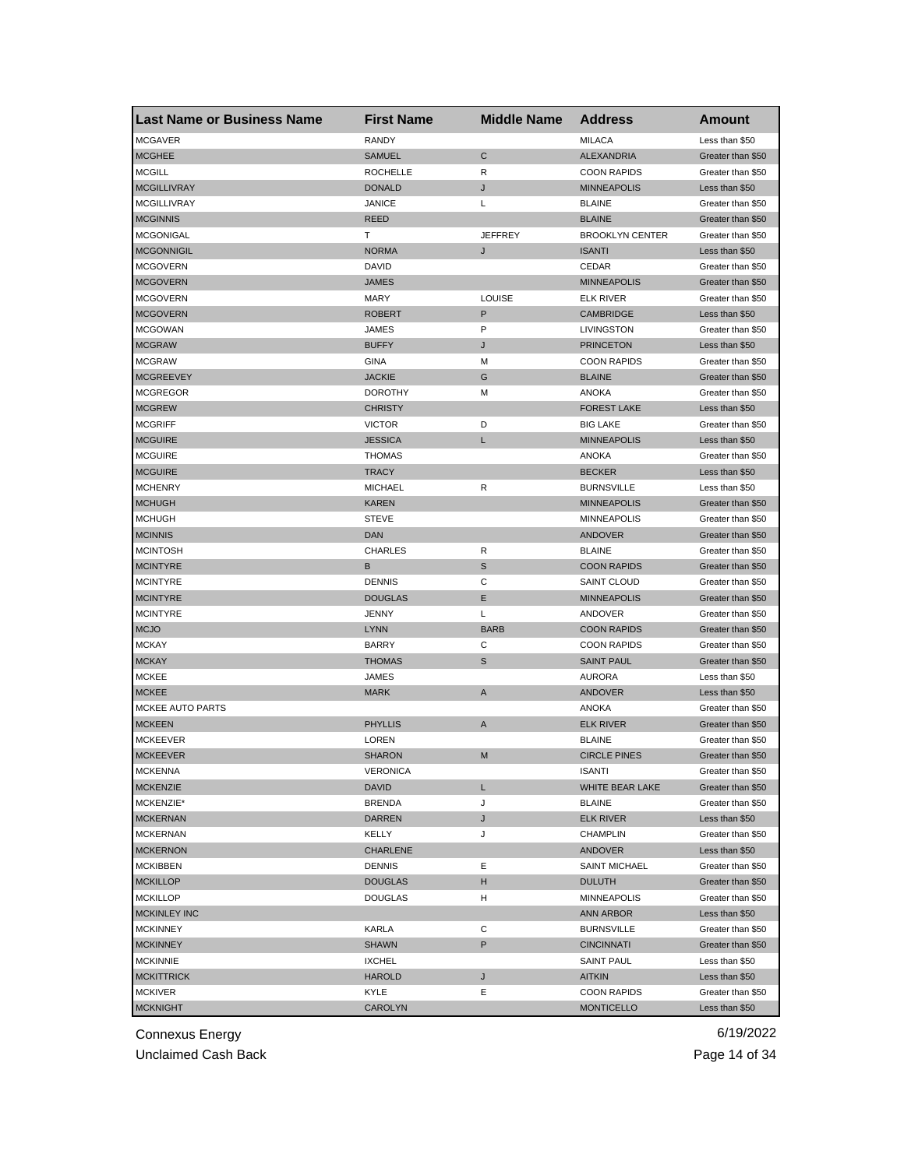| <b>Last Name or Business Name</b> | <b>First Name</b> | <b>Middle Name</b> | <b>Address</b>         | Amount            |
|-----------------------------------|-------------------|--------------------|------------------------|-------------------|
| <b>MCGAVER</b>                    | RANDY             |                    | <b>MILACA</b>          | Less than \$50    |
| <b>MCGHEE</b>                     | <b>SAMUEL</b>     | $\mathsf{C}$       | <b>ALEXANDRIA</b>      | Greater than \$50 |
| <b>MCGILL</b>                     | <b>ROCHELLE</b>   | R                  | <b>COON RAPIDS</b>     | Greater than \$50 |
| <b>MCGILLIVRAY</b>                | <b>DONALD</b>     | J                  | <b>MINNEAPOLIS</b>     | Less than \$50    |
| <b>MCGILLIVRAY</b>                | <b>JANICE</b>     | Г                  | <b>BLAINE</b>          | Greater than \$50 |
| <b>MCGINNIS</b>                   | <b>REED</b>       |                    | <b>BLAINE</b>          | Greater than \$50 |
| <b>MCGONIGAL</b>                  | т                 | <b>JEFFREY</b>     | <b>BROOKLYN CENTER</b> | Greater than \$50 |
| <b>MCGONNIGIL</b>                 | <b>NORMA</b>      | J                  | <b>ISANTI</b>          | Less than \$50    |
| <b>MCGOVERN</b>                   | DAVID             |                    | CEDAR                  | Greater than \$50 |
| <b>MCGOVERN</b>                   | <b>JAMES</b>      |                    | <b>MINNEAPOLIS</b>     | Greater than \$50 |
| <b>MCGOVERN</b>                   | <b>MARY</b>       | LOUISE             | ELK RIVER              | Greater than \$50 |
| <b>MCGOVERN</b>                   | ROBERT            | P                  | <b>CAMBRIDGE</b>       | Less than \$50    |
| <b>MCGOWAN</b>                    | JAMES             | P                  | LIVINGSTON             | Greater than \$50 |
| <b>MCGRAW</b>                     | <b>BUFFY</b>      | J                  | <b>PRINCETON</b>       | Less than \$50    |
| <b>MCGRAW</b>                     | GINA              | M                  | <b>COON RAPIDS</b>     | Greater than \$50 |
| <b>MCGREEVEY</b>                  | <b>JACKIE</b>     | G                  | <b>BLAINE</b>          | Greater than \$50 |
| <b>MCGREGOR</b>                   | <b>DOROTHY</b>    | M                  | <b>ANOKA</b>           | Greater than \$50 |
| <b>MCGREW</b>                     | <b>CHRISTY</b>    |                    | <b>FOREST LAKE</b>     | Less than \$50    |
| <b>MCGRIFF</b>                    | <b>VICTOR</b>     | D                  | <b>BIG LAKE</b>        | Greater than \$50 |
| <b>MCGUIRE</b>                    | <b>JESSICA</b>    | L                  | <b>MINNEAPOLIS</b>     | Less than \$50    |
| <b>MCGUIRE</b>                    | <b>THOMAS</b>     |                    | <b>ANOKA</b>           | Greater than \$50 |
| <b>MCGUIRE</b>                    | <b>TRACY</b>      |                    | <b>BECKER</b>          | Less than \$50    |
| <b>MCHENRY</b>                    | <b>MICHAEL</b>    | R                  | <b>BURNSVILLE</b>      | Less than \$50    |
| <b>MCHUGH</b>                     | <b>KAREN</b>      |                    | <b>MINNEAPOLIS</b>     | Greater than \$50 |
| <b>MCHUGH</b>                     | <b>STEVE</b>      |                    | <b>MINNEAPOLIS</b>     | Greater than \$50 |
| <b>MCINNIS</b>                    | <b>DAN</b>        |                    | ANDOVER                | Greater than \$50 |
| <b>MCINTOSH</b>                   | <b>CHARLES</b>    | R                  | <b>BLAINE</b>          | Greater than \$50 |
| <b>MCINTYRE</b>                   | в                 | S                  | <b>COON RAPIDS</b>     | Greater than \$50 |
| <b>MCINTYRE</b>                   | <b>DENNIS</b>     | С                  | SAINT CLOUD            | Greater than \$50 |
| <b>MCINTYRE</b>                   | <b>DOUGLAS</b>    | Ε                  | <b>MINNEAPOLIS</b>     | Greater than \$50 |
| <b>MCINTYRE</b>                   | JENNY             | L                  | ANDOVER                | Greater than \$50 |
| <b>MCJO</b>                       | <b>LYNN</b>       | <b>BARB</b>        | <b>COON RAPIDS</b>     | Greater than \$50 |
| <b>MCKAY</b>                      | <b>BARRY</b>      | C                  | <b>COON RAPIDS</b>     | Greater than \$50 |
| <b>MCKAY</b>                      | <b>THOMAS</b>     | S                  | <b>SAINT PAUL</b>      | Greater than \$50 |
| <b>MCKEE</b>                      | JAMES             |                    | <b>AURORA</b>          | Less than \$50    |
| <b>MCKEE</b>                      | <b>MARK</b>       | A                  | ANDOVER                | Less than \$50    |
| <b>MCKEE AUTO PARTS</b>           |                   |                    | <b>ANOKA</b>           | Greater than \$50 |
| <b>MCKEEN</b>                     | <b>PHYLLIS</b>    | Α                  | <b>ELK RIVER</b>       | Greater than \$50 |
| MCKEEVER                          | <b>LOREN</b>      |                    | <b>BLAINE</b>          | Greater than \$50 |
| <b>MCKEEVER</b>                   | <b>SHARON</b>     | M                  | <b>CIRCLE PINES</b>    | Greater than \$50 |
| <b>MCKENNA</b>                    | VERONICA          |                    | ISANTI                 | Greater than \$50 |
| <b>MCKENZIE</b>                   | DAVID             | L                  | WHITE BEAR LAKE        | Greater than \$50 |
| MCKENZIE*                         | <b>BRENDA</b>     | J                  | <b>BLAINE</b>          | Greater than \$50 |
| <b>MCKERNAN</b>                   | DARREN            | J                  | <b>ELK RIVER</b>       | Less than \$50    |
| <b>MCKERNAN</b>                   | KELLY             | J                  | CHAMPLIN               | Greater than \$50 |
| <b>MCKERNON</b>                   | CHARLENE          |                    | ANDOVER                | Less than \$50    |
| <b>MCKIBBEN</b>                   | <b>DENNIS</b>     | Ε                  | <b>SAINT MICHAEL</b>   | Greater than \$50 |
| <b>MCKILLOP</b>                   | <b>DOUGLAS</b>    | н                  | <b>DULUTH</b>          | Greater than \$50 |
| <b>MCKILLOP</b>                   | <b>DOUGLAS</b>    | н                  | <b>MINNEAPOLIS</b>     | Greater than \$50 |
| <b>MCKINLEY INC</b>               |                   |                    | ANN ARBOR              | Less than \$50    |
| <b>MCKINNEY</b>                   | KARLA             | С                  | <b>BURNSVILLE</b>      | Greater than \$50 |
| <b>MCKINNEY</b>                   | <b>SHAWN</b>      | P                  | <b>CINCINNATI</b>      | Greater than \$50 |
| <b>MCKINNIE</b>                   | IXCHEL            |                    | <b>SAINT PAUL</b>      | Less than \$50    |
| <b>MCKITTRICK</b>                 | <b>HAROLD</b>     | J                  | <b>AITKIN</b>          | Less than \$50    |
| <b>MCKIVER</b>                    | KYLE              | Е                  | <b>COON RAPIDS</b>     | Greater than \$50 |
| <b>MCKNIGHT</b>                   | CAROLYN           |                    | <b>MONTICELLO</b>      | Less than \$50    |

Unclaimed Cash Back **Page 14 of 34**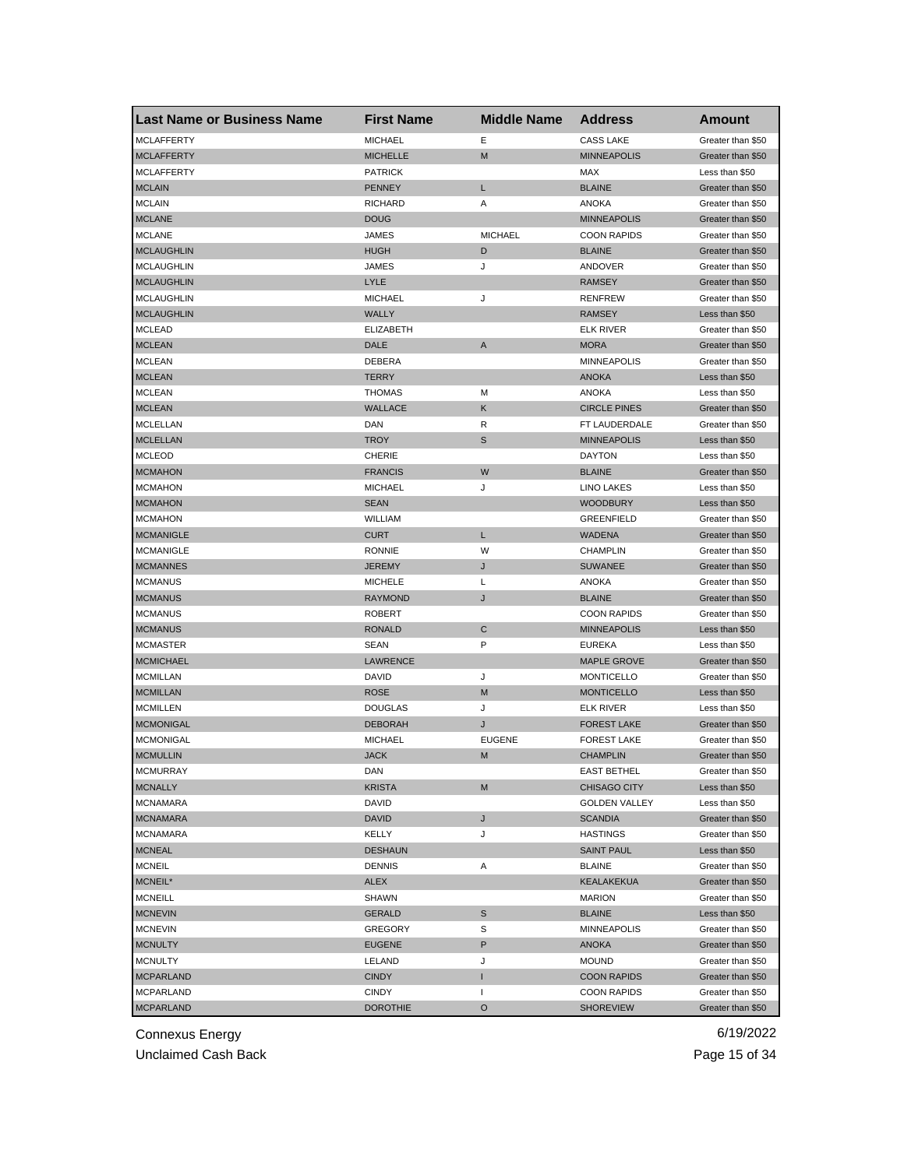| <b>Last Name or Business Name</b> | <b>First Name</b> | <b>Middle Name</b> | <b>Address</b>       | Amount            |
|-----------------------------------|-------------------|--------------------|----------------------|-------------------|
| <b>MCLAFFERTY</b>                 | <b>MICHAEL</b>    | Ε                  | <b>CASS LAKE</b>     | Greater than \$50 |
| <b>MCLAFFERTY</b>                 | <b>MICHELLE</b>   | M                  | <b>MINNEAPOLIS</b>   | Greater than \$50 |
| <b>MCLAFFERTY</b>                 | <b>PATRICK</b>    |                    | MAX                  | Less than \$50    |
| <b>MCLAIN</b>                     | <b>PENNEY</b>     | L                  | <b>BLAINE</b>        | Greater than \$50 |
| <b>MCLAIN</b>                     | <b>RICHARD</b>    | Α                  | <b>ANOKA</b>         | Greater than \$50 |
| <b>MCLANE</b>                     | <b>DOUG</b>       |                    | <b>MINNEAPOLIS</b>   | Greater than \$50 |
| <b>MCLANE</b>                     | JAMES             | <b>MICHAEL</b>     | <b>COON RAPIDS</b>   | Greater than \$50 |
| <b>MCLAUGHLIN</b>                 | <b>HUGH</b>       | D                  | <b>BLAINE</b>        | Greater than \$50 |
| <b>MCLAUGHLIN</b>                 | JAMES             | J                  | ANDOVER              | Greater than \$50 |
| <b>MCLAUGHLIN</b>                 | LYLE              |                    | <b>RAMSEY</b>        | Greater than \$50 |
| <b>MCLAUGHLIN</b>                 | <b>MICHAEL</b>    | J                  | <b>RENFREW</b>       | Greater than \$50 |
| <b>MCLAUGHLIN</b>                 | <b>WALLY</b>      |                    | <b>RAMSEY</b>        | Less than \$50    |
| <b>MCLEAD</b>                     | <b>ELIZABETH</b>  |                    | <b>ELK RIVER</b>     | Greater than \$50 |
| <b>MCLEAN</b>                     | <b>DALE</b>       | A                  | <b>MORA</b>          | Greater than \$50 |
| <b>MCLEAN</b>                     | DEBERA            |                    | <b>MINNEAPOLIS</b>   | Greater than \$50 |
| <b>MCLEAN</b>                     | <b>TERRY</b>      |                    | <b>ANOKA</b>         | Less than \$50    |
| <b>MCLEAN</b>                     | <b>THOMAS</b>     | М                  | <b>ANOKA</b>         | Less than \$50    |
| <b>MCLEAN</b>                     | <b>WALLACE</b>    | Κ                  | <b>CIRCLE PINES</b>  | Greater than \$50 |
| MCLELLAN                          | DAN               | R                  | FT LAUDERDALE        | Greater than \$50 |
| <b>MCLELLAN</b>                   | <b>TROY</b>       | S                  | <b>MINNEAPOLIS</b>   | Less than \$50    |
| <b>MCLEOD</b>                     | <b>CHERIE</b>     |                    | <b>DAYTON</b>        | Less than \$50    |
| <b>MCMAHON</b>                    | <b>FRANCIS</b>    | W                  | <b>BLAINE</b>        | Greater than \$50 |
| <b>MCMAHON</b>                    | <b>MICHAEL</b>    | J                  | <b>LINO LAKES</b>    | Less than \$50    |
| <b>MCMAHON</b>                    | <b>SEAN</b>       |                    | <b>WOODBURY</b>      | Less than \$50    |
| <b>MCMAHON</b>                    | WILLIAM           |                    | <b>GREENFIELD</b>    | Greater than \$50 |
| <b>MCMANIGLE</b>                  | <b>CURT</b>       | L                  | <b>WADENA</b>        | Greater than \$50 |
| <b>MCMANIGLE</b>                  | <b>RONNIE</b>     | W                  | <b>CHAMPLIN</b>      | Greater than \$50 |
| <b>MCMANNES</b>                   | <b>JEREMY</b>     | J                  | <b>SUWANEE</b>       | Greater than \$50 |
| <b>MCMANUS</b>                    | <b>MICHELE</b>    | L                  | <b>ANOKA</b>         | Greater than \$50 |
| <b>MCMANUS</b>                    | <b>RAYMOND</b>    | J                  | <b>BLAINE</b>        | Greater than \$50 |
| <b>MCMANUS</b>                    | <b>ROBERT</b>     |                    | <b>COON RAPIDS</b>   | Greater than \$50 |
| <b>MCMANUS</b>                    | <b>RONALD</b>     | C                  | <b>MINNEAPOLIS</b>   | Less than \$50    |
| <b>MCMASTER</b>                   | SEAN              | P                  | <b>EUREKA</b>        | Less than \$50    |
| <b>MCMICHAEL</b>                  | LAWRENCE          |                    | <b>MAPLE GROVE</b>   | Greater than \$50 |
| <b>MCMILLAN</b>                   | DAVID             | J                  | <b>MONTICELLO</b>    | Greater than \$50 |
| <b>MCMILLAN</b>                   | <b>ROSE</b>       | M                  | <b>MONTICELLO</b>    | Less than \$50    |
| <b>MCMILLEN</b>                   | <b>DOUGLAS</b>    | J                  | ELK RIVER            | Less than \$50    |
| <b>MCMONIGAL</b>                  | <b>DEBORAH</b>    | J                  | <b>FOREST LAKE</b>   | Greater than \$50 |
| MCMONIGAL                         | <b>MICHAEL</b>    | <b>EUGENE</b>      | <b>FOREST LAKE</b>   | Greater than \$50 |
| <b>MCMULLIN</b>                   | <b>JACK</b>       | M                  | <b>CHAMPLIN</b>      | Greater than \$50 |
| <b>MCMURRAY</b>                   | DAN               |                    | <b>EAST BETHEL</b>   | Greater than \$50 |
| <b>MCNALLY</b>                    | <b>KRISTA</b>     | M                  | <b>CHISAGO CITY</b>  | Less than \$50    |
| <b>MCNAMARA</b>                   | DAVID             |                    | <b>GOLDEN VALLEY</b> | Less than \$50    |
| <b>MCNAMARA</b>                   | DAVID             | J                  | <b>SCANDIA</b>       | Greater than \$50 |
| <b>MCNAMARA</b>                   | KELLY             | J                  | <b>HASTINGS</b>      | Greater than \$50 |
| <b>MCNEAL</b>                     | <b>DESHAUN</b>    |                    | <b>SAINT PAUL</b>    | Less than \$50    |
| <b>MCNEIL</b>                     | <b>DENNIS</b>     |                    |                      | Greater than \$50 |
|                                   |                   | Α                  | <b>BLAINE</b>        | Greater than \$50 |
| MCNEIL*                           | ALEX              |                    | <b>KEALAKEKUA</b>    |                   |
| <b>MCNEILL</b>                    | SHAWN             |                    | <b>MARION</b>        | Greater than \$50 |
| <b>MCNEVIN</b>                    | GERALD            | S                  | <b>BLAINE</b>        | Less than \$50    |
| <b>MCNEVIN</b>                    | GREGORY           | S                  | MINNEAPOLIS          | Greater than \$50 |
| <b>MCNULTY</b>                    | <b>EUGENE</b>     | P                  | ANOKA                | Greater than \$50 |
| <b>MCNULTY</b>                    | LELAND            | J                  | <b>MOUND</b>         | Greater than \$50 |
| <b>MCPARLAND</b>                  | <b>CINDY</b>      | I                  | <b>COON RAPIDS</b>   | Greater than \$50 |
| <b>MCPARLAND</b>                  | <b>CINDY</b>      | ı                  | <b>COON RAPIDS</b>   | Greater than \$50 |
| <b>MCPARLAND</b>                  | <b>DOROTHIE</b>   | O                  | <b>SHOREVIEW</b>     | Greater than \$50 |

Unclaimed Cash Back **Page 15 of 34**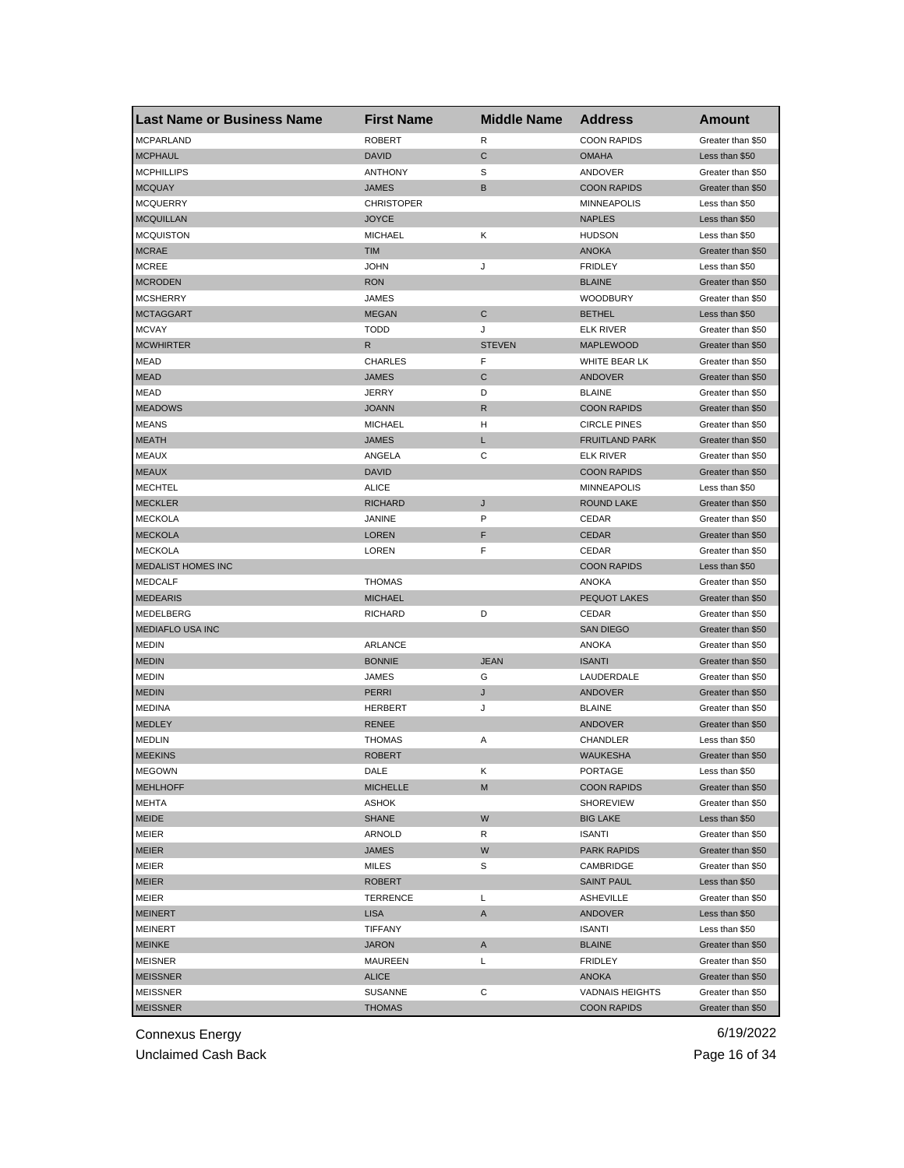| <b>Last Name or Business Name</b> | <b>First Name</b> | <b>Middle Name</b> | <b>Address</b>         | <b>Amount</b>     |
|-----------------------------------|-------------------|--------------------|------------------------|-------------------|
| <b>MCPARLAND</b>                  | <b>ROBERT</b>     | R                  | <b>COON RAPIDS</b>     | Greater than \$50 |
| <b>MCPHAUL</b>                    | <b>DAVID</b>      | C                  | <b>OMAHA</b>           | Less than \$50    |
| <b>MCPHILLIPS</b>                 | <b>ANTHONY</b>    | S                  | ANDOVER                | Greater than \$50 |
| <b>MCQUAY</b>                     | <b>JAMES</b>      | B                  | <b>COON RAPIDS</b>     | Greater than \$50 |
| <b>MCQUERRY</b>                   | <b>CHRISTOPER</b> |                    | <b>MINNEAPOLIS</b>     | Less than \$50    |
| <b>MCQUILLAN</b>                  | <b>JOYCE</b>      |                    | <b>NAPLES</b>          | Less than \$50    |
| <b>MCQUISTON</b>                  | <b>MICHAEL</b>    | Κ                  | <b>HUDSON</b>          | Less than \$50    |
| <b>MCRAE</b>                      | <b>TIM</b>        |                    | <b>ANOKA</b>           | Greater than \$50 |
| <b>MCREE</b>                      | <b>JOHN</b>       | J                  | <b>FRIDLEY</b>         | Less than \$50    |
| <b>MCRODEN</b>                    | <b>RON</b>        |                    | <b>BLAINE</b>          | Greater than \$50 |
| <b>MCSHERRY</b>                   | JAMES             |                    | <b>WOODBURY</b>        | Greater than \$50 |
| <b>MCTAGGART</b>                  | <b>MEGAN</b>      | С                  | <b>BETHEL</b>          | Less than \$50    |
| <b>MCVAY</b>                      | <b>TODD</b>       | J                  | ELK RIVER              | Greater than \$50 |
| <b>MCWHIRTER</b>                  | R                 | <b>STEVEN</b>      | <b>MAPLEWOOD</b>       | Greater than \$50 |
| <b>MEAD</b>                       | <b>CHARLES</b>    | F                  | WHITE BEAR LK          | Greater than \$50 |
| <b>MEAD</b>                       | JAMES             | C                  | <b>ANDOVER</b>         | Greater than \$50 |
| <b>MEAD</b>                       | <b>JERRY</b>      | D                  | <b>BLAINE</b>          | Greater than \$50 |
| <b>MEADOWS</b>                    | <b>JOANN</b>      | R                  | <b>COON RAPIDS</b>     | Greater than \$50 |
| <b>MEANS</b>                      | <b>MICHAEL</b>    | н                  | <b>CIRCLE PINES</b>    | Greater than \$50 |
| <b>MEATH</b>                      | <b>JAMES</b>      | L                  | <b>FRUITLAND PARK</b>  | Greater than \$50 |
| <b>MEAUX</b>                      | ANGELA            | С                  | <b>ELK RIVER</b>       | Greater than \$50 |
| <b>MEAUX</b>                      | <b>DAVID</b>      |                    | <b>COON RAPIDS</b>     | Greater than \$50 |
| <b>MECHTEL</b>                    | <b>ALICE</b>      |                    | <b>MINNEAPOLIS</b>     | Less than \$50    |
| <b>MECKLER</b>                    | <b>RICHARD</b>    | J                  | <b>ROUND LAKE</b>      | Greater than \$50 |
| <b>MECKOLA</b>                    | <b>JANINE</b>     | P                  | CEDAR                  | Greater than \$50 |
| <b>MECKOLA</b>                    | <b>LOREN</b>      | F                  | <b>CEDAR</b>           | Greater than \$50 |
| <b>MECKOLA</b>                    | LOREN             | F                  | CEDAR                  | Greater than \$50 |
| MEDALIST HOMES INC                |                   |                    | <b>COON RAPIDS</b>     | Less than \$50    |
| <b>MEDCALF</b>                    | <b>THOMAS</b>     |                    | ANOKA                  | Greater than \$50 |
| <b>MEDEARIS</b>                   | <b>MICHAEL</b>    |                    | <b>PEQUOT LAKES</b>    | Greater than \$50 |
| MEDELBERG                         | <b>RICHARD</b>    | D                  | CEDAR                  | Greater than \$50 |
| <b>MEDIAFLO USA INC</b>           |                   |                    | <b>SAN DIEGO</b>       | Greater than \$50 |
| <b>MEDIN</b>                      | <b>ARLANCE</b>    |                    | ANOKA                  | Greater than \$50 |
| <b>MEDIN</b>                      | <b>BONNIE</b>     | <b>JEAN</b>        | <b>ISANTI</b>          | Greater than \$50 |
| <b>MEDIN</b>                      | JAMES             | G                  | LAUDERDALE             | Greater than \$50 |
| <b>MEDIN</b>                      | PERRI             | J                  | <b>ANDOVER</b>         | Greater than \$50 |
| <b>MEDINA</b>                     | <b>HERBERT</b>    | J                  | <b>BLAINE</b>          | Greater than \$50 |
| <b>MEDLEY</b>                     | <b>RENEE</b>      |                    | ANDOVER                | Greater than \$50 |
| <b>MEDLIN</b>                     | <b>THOMAS</b>     | Α                  | CHANDLER               | Less than \$50    |
| <b>MEEKINS</b>                    | <b>ROBERT</b>     |                    | <b>WAUKESHA</b>        | Greater than \$50 |
| <b>MEGOWN</b>                     | DALE              | ĸ                  | PORTAGE                | Less than \$50    |
| <b>MEHLHOFF</b>                   | <b>MICHELLE</b>   | M                  | <b>COON RAPIDS</b>     | Greater than \$50 |
| MEHTA                             | <b>ASHOK</b>      |                    | <b>SHOREVIEW</b>       | Greater than \$50 |
| MEIDE                             | <b>SHANE</b>      | W                  | <b>BIG LAKE</b>        | Less than \$50    |
| <b>MEIER</b>                      | ARNOLD            | R                  | <b>ISANTI</b>          | Greater than \$50 |
| <b>MEIER</b>                      | <b>JAMES</b>      | W                  | <b>PARK RAPIDS</b>     | Greater than \$50 |
| <b>MEIER</b>                      | MILES             | S                  | CAMBRIDGE              | Greater than \$50 |
| <b>MEIER</b>                      | <b>ROBERT</b>     |                    | <b>SAINT PAUL</b>      | Less than \$50    |
| MEIER                             | TERRENCE          | L                  | ASHEVILLE              | Greater than \$50 |
| <b>MEINERT</b>                    | <b>LISA</b>       | A                  | <b>ANDOVER</b>         | Less than \$50    |
| MEINERT                           | TIFFANY           |                    | ISANTI                 | Less than \$50    |
| <b>MEINKE</b>                     | <b>JARON</b>      | A                  | <b>BLAINE</b>          | Greater than \$50 |
| MEISNER                           | MAUREEN           | Г                  | <b>FRIDLEY</b>         | Greater than \$50 |
| <b>MEISSNER</b>                   | <b>ALICE</b>      |                    | <b>ANOKA</b>           | Greater than \$50 |
| <b>MEISSNER</b>                   | SUSANNE           | С                  | <b>VADNAIS HEIGHTS</b> | Greater than \$50 |
| <b>MEISSNER</b>                   | <b>THOMAS</b>     |                    | <b>COON RAPIDS</b>     | Greater than \$50 |
|                                   |                   |                    |                        |                   |

Unclaimed Cash Back **Page 16 of 34**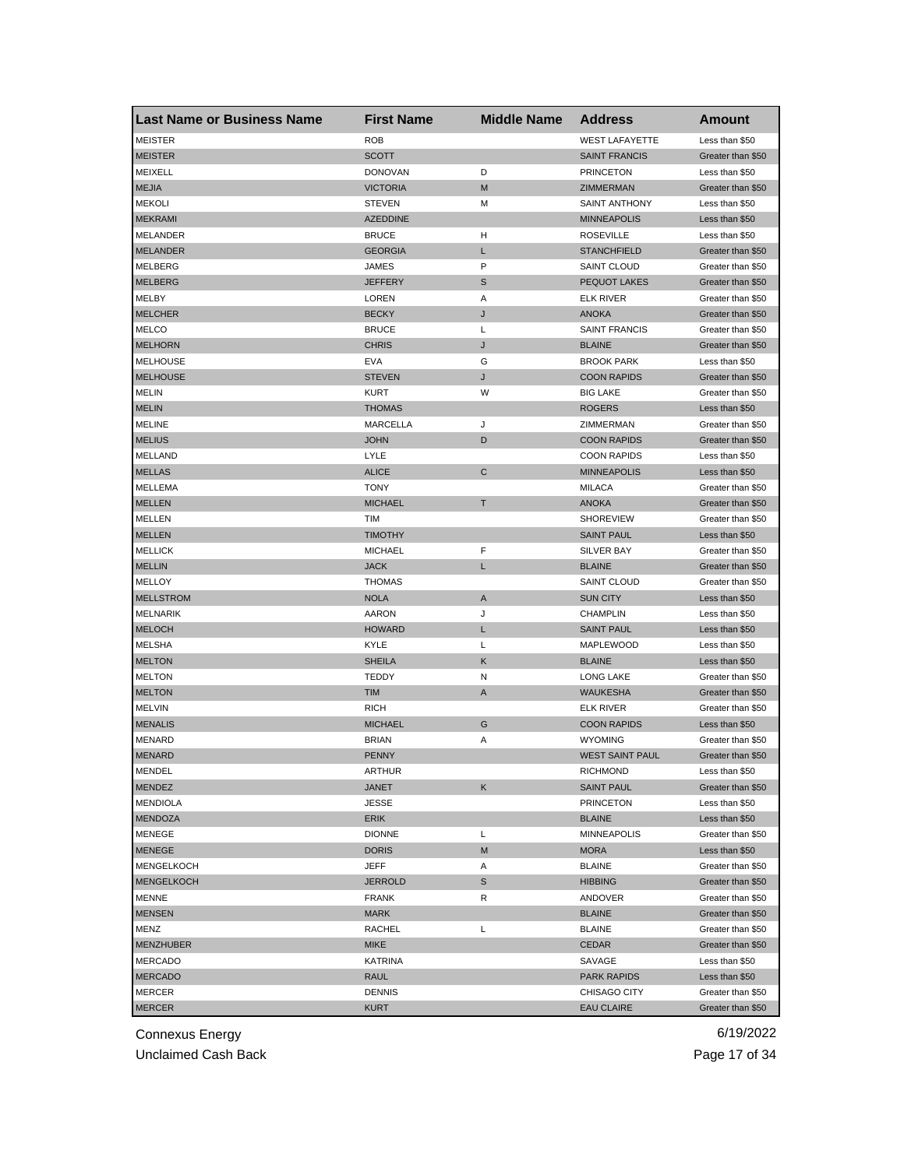| <b>Last Name or Business Name</b> | <b>First Name</b> | <b>Middle Name</b> | <b>Address</b>         | <b>Amount</b>     |
|-----------------------------------|-------------------|--------------------|------------------------|-------------------|
| <b>MEISTER</b>                    | <b>ROB</b>        |                    | <b>WEST LAFAYETTE</b>  | Less than \$50    |
| <b>MEISTER</b>                    | SCOTT             |                    | <b>SAINT FRANCIS</b>   | Greater than \$50 |
| <b>MEIXELL</b>                    | <b>DONOVAN</b>    | D                  | <b>PRINCETON</b>       | Less than \$50    |
| <b>MEJIA</b>                      | <b>VICTORIA</b>   | M                  | <b>ZIMMERMAN</b>       | Greater than \$50 |
| <b>MEKOLI</b>                     | <b>STEVEN</b>     | м                  | <b>SAINT ANTHONY</b>   | Less than \$50    |
| <b>MEKRAMI</b>                    | <b>AZEDDINE</b>   |                    | <b>MINNEAPOLIS</b>     | Less than \$50    |
| MELANDER                          | <b>BRUCE</b>      | н                  | <b>ROSEVILLE</b>       | Less than \$50    |
| <b>MELANDER</b>                   | <b>GEORGIA</b>    | L                  | <b>STANCHFIELD</b>     | Greater than \$50 |
| MELBERG                           | <b>JAMES</b>      | P                  | <b>SAINT CLOUD</b>     | Greater than \$50 |
| <b>MELBERG</b>                    | <b>JEFFERY</b>    | S                  | <b>PEQUOT LAKES</b>    | Greater than \$50 |
| MELBY                             | LOREN             | Α                  | ELK RIVER              | Greater than \$50 |
| <b>MELCHER</b>                    | <b>BECKY</b>      | J                  | <b>ANOKA</b>           | Greater than \$50 |
| <b>MELCO</b>                      | <b>BRUCE</b>      | Г                  | <b>SAINT FRANCIS</b>   | Greater than \$50 |
| <b>MELHORN</b>                    | <b>CHRIS</b>      | J                  | <b>BLAINE</b>          | Greater than \$50 |
| <b>MELHOUSE</b>                   | <b>EVA</b>        | G                  | <b>BROOK PARK</b>      | Less than \$50    |
| <b>MELHOUSE</b>                   | <b>STEVEN</b>     | J                  | <b>COON RAPIDS</b>     | Greater than \$50 |
| <b>MELIN</b>                      | <b>KURT</b>       | W                  | <b>BIG LAKE</b>        | Greater than \$50 |
| <b>MELIN</b>                      | <b>THOMAS</b>     |                    | <b>ROGERS</b>          | Less than \$50    |
| <b>MELINE</b>                     | MARCELLA          | J                  | ZIMMERMAN              | Greater than \$50 |
| <b>MELIUS</b>                     | <b>JOHN</b>       | D                  | <b>COON RAPIDS</b>     | Greater than \$50 |
| MELLAND                           | LYLE              |                    | <b>COON RAPIDS</b>     | Less than \$50    |
| <b>MELLAS</b>                     | <b>ALICE</b>      | С                  | <b>MINNEAPOLIS</b>     | Less than \$50    |
| MELLEMA                           | <b>TONY</b>       |                    | <b>MILACA</b>          | Greater than \$50 |
| <b>MELLEN</b>                     | <b>MICHAEL</b>    | т                  | <b>ANOKA</b>           | Greater than \$50 |
| MELLEN                            | TIM               |                    | <b>SHOREVIEW</b>       | Greater than \$50 |
| <b>MELLEN</b>                     | <b>TIMOTHY</b>    |                    | <b>SAINT PAUL</b>      | Less than \$50    |
| <b>MELLICK</b>                    | <b>MICHAEL</b>    | F                  | SILVER BAY             | Greater than \$50 |
| <b>MELLIN</b>                     | <b>JACK</b>       | L                  | <b>BLAINE</b>          | Greater than \$50 |
| MELLOY                            | <b>THOMAS</b>     |                    | <b>SAINT CLOUD</b>     | Greater than \$50 |
| <b>MELLSTROM</b>                  | <b>NOLA</b>       | Α                  | <b>SUN CITY</b>        | Less than \$50    |
| <b>MELNARIK</b>                   | <b>AARON</b>      | J                  | <b>CHAMPLIN</b>        | Less than \$50    |
| <b>MELOCH</b>                     | <b>HOWARD</b>     | L                  | <b>SAINT PAUL</b>      | Less than \$50    |
| MELSHA                            | KYLE              | L                  | MAPLEWOOD              | Less than \$50    |
| <b>MELTON</b>                     | <b>SHEILA</b>     | Κ                  | <b>BLAINE</b>          | Less than \$50    |
| <b>MELTON</b>                     | TEDDY             | N                  | <b>LONG LAKE</b>       | Greater than \$50 |
| <b>MELTON</b>                     | <b>TIM</b>        | Α                  | WAUKESHA               | Greater than \$50 |
| <b>MELVIN</b>                     | <b>RICH</b>       |                    | ELK RIVER              | Greater than \$50 |
| <b>MENALIS</b>                    | <b>MICHAEL</b>    | G                  | <b>COON RAPIDS</b>     | Less than \$50    |
| <b>MENARD</b>                     | <b>BRIAN</b>      | Α                  | <b>WYOMING</b>         | Greater than \$50 |
| <b>MENARD</b>                     | <b>PENNY</b>      |                    | <b>WEST SAINT PAUL</b> | Greater than \$50 |
| <b>MENDEL</b>                     | ARIHUR            |                    | <b>RICHMOND</b>        | Less than \$50    |
| MENDEZ                            | JANET             | Κ                  | <b>SAINT PAUL</b>      | Greater than \$50 |
| <b>MENDIOLA</b>                   | <b>JESSE</b>      |                    | <b>PRINCETON</b>       | Less than \$50    |
| <b>MENDOZA</b>                    | ERIK              |                    | <b>BLAINE</b>          | Less than \$50    |
| MENEGE                            | <b>DIONNE</b>     | L                  | <b>MINNEAPOLIS</b>     | Greater than \$50 |
| <b>MENEGE</b>                     | <b>DORIS</b>      | M                  | <b>MORA</b>            | Less than \$50    |
| <b>MENGELKOCH</b>                 | JEFF              | Α                  | <b>BLAINE</b>          | Greater than \$50 |
| <b>MENGELKOCH</b>                 | <b>JERROLD</b>    | S                  | <b>HIBBING</b>         | Greater than \$50 |
| <b>MENNE</b>                      | <b>FRANK</b>      | R                  | ANDOVER                | Greater than \$50 |
| <b>MENSEN</b>                     | <b>MARK</b>       |                    | <b>BLAINE</b>          | Greater than \$50 |
| MENZ                              | RACHEL            | L                  | <b>BLAINE</b>          | Greater than \$50 |
| <b>MENZHUBER</b>                  | <b>MIKE</b>       |                    | CEDAR                  | Greater than \$50 |
| <b>MERCADO</b>                    | <b>KATRINA</b>    |                    | SAVAGE                 | Less than \$50    |
| <b>MERCADO</b>                    | RAUL              |                    | <b>PARK RAPIDS</b>     | Less than \$50    |
| MERCER                            | <b>DENNIS</b>     |                    | <b>CHISAGO CITY</b>    | Greater than \$50 |
| <b>MERCER</b>                     | <b>KURT</b>       |                    | <b>EAU CLAIRE</b>      | Greater than \$50 |
|                                   |                   |                    |                        |                   |

Unclaimed Cash Back **Page 17 of 34**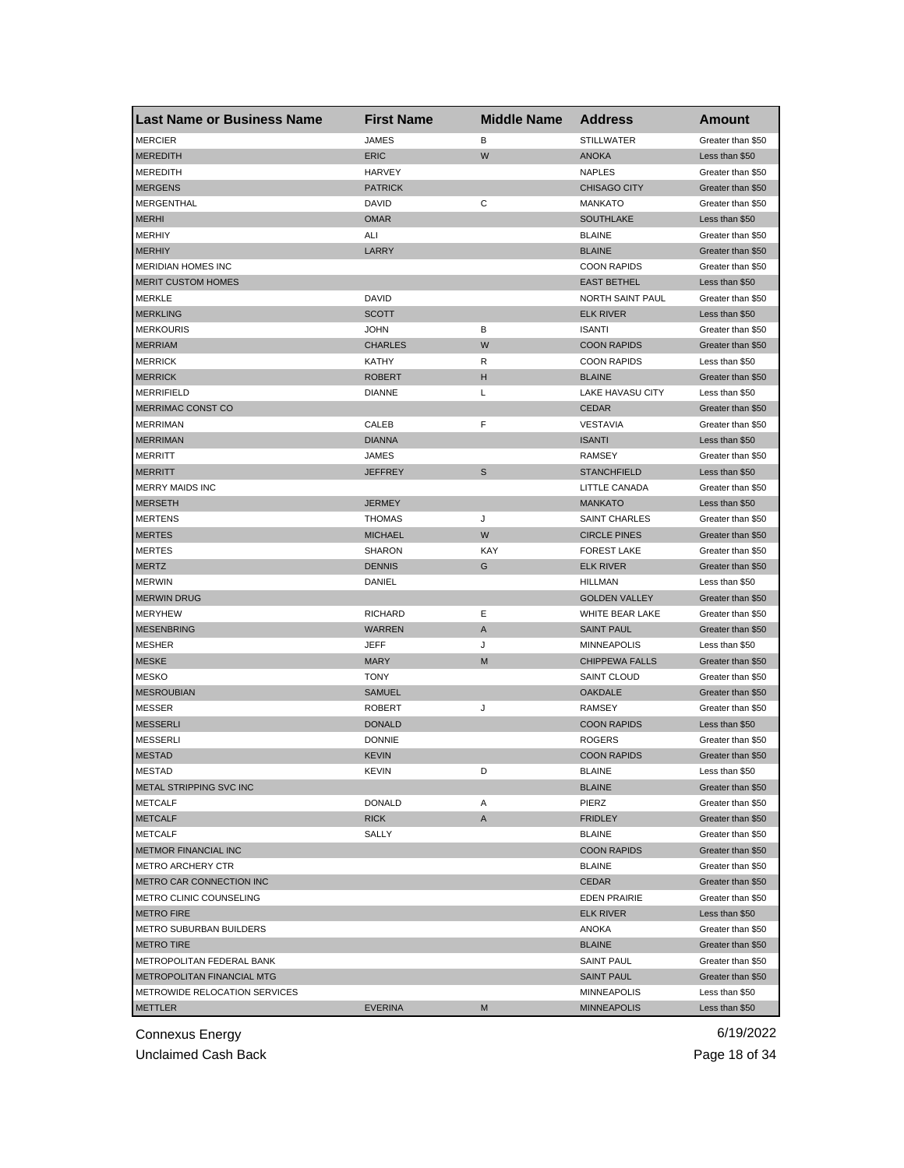| <b>Last Name or Business Name</b> | <b>First Name</b> | <b>Middle Name</b> | <b>Address</b>        | <b>Amount</b>     |
|-----------------------------------|-------------------|--------------------|-----------------------|-------------------|
| <b>MERCIER</b>                    | <b>JAMES</b>      | В                  | <b>STILLWATER</b>     | Greater than \$50 |
| <b>MEREDITH</b>                   | <b>ERIC</b>       | W                  | <b>ANOKA</b>          | Less than \$50    |
| <b>MEREDITH</b>                   | <b>HARVEY</b>     |                    | <b>NAPLES</b>         | Greater than \$50 |
| <b>MERGENS</b>                    | <b>PATRICK</b>    |                    | <b>CHISAGO CITY</b>   | Greater than \$50 |
| MERGENTHAL                        | <b>DAVID</b>      | С                  | <b>MANKATO</b>        | Greater than \$50 |
| <b>MERHI</b>                      | <b>OMAR</b>       |                    | <b>SOUTHLAKE</b>      | Less than \$50    |
| <b>MERHIY</b>                     | ALI               |                    | <b>BLAINE</b>         | Greater than \$50 |
| <b>MERHIY</b>                     | LARRY             |                    | <b>BLAINE</b>         | Greater than \$50 |
| MERIDIAN HOMES INC                |                   |                    | <b>COON RAPIDS</b>    | Greater than \$50 |
| <b>MERIT CUSTOM HOMES</b>         |                   |                    | <b>EAST BETHEL</b>    | Less than \$50    |
| MERKLE                            | DAVID             |                    | NORTH SAINT PAUL      | Greater than \$50 |
| <b>MERKLING</b>                   | <b>SCOTT</b>      |                    | <b>ELK RIVER</b>      | Less than \$50    |
| <b>MERKOURIS</b>                  | <b>JOHN</b>       | в                  | <b>ISANTI</b>         | Greater than \$50 |
| <b>MERRIAM</b>                    | <b>CHARLES</b>    | W                  | <b>COON RAPIDS</b>    | Greater than \$50 |
| <b>MERRICK</b>                    | KATHY             | R                  | <b>COON RAPIDS</b>    | Less than \$50    |
| <b>MERRICK</b>                    | <b>ROBERT</b>     | н                  | <b>BLAINE</b>         | Greater than \$50 |
| <b>MERRIFIELD</b>                 | <b>DIANNE</b>     | L                  | LAKE HAVASU CITY      | Less than \$50    |
| MERRIMAC CONST CO                 |                   |                    | <b>CEDAR</b>          | Greater than \$50 |
| <b>MERRIMAN</b>                   | CALEB             | F                  | VESTAVIA              | Greater than \$50 |
| <b>MERRIMAN</b>                   | <b>DIANNA</b>     |                    | <b>ISANTI</b>         | Less than \$50    |
| <b>MERRITT</b>                    | JAMES             |                    | <b>RAMSEY</b>         | Greater than \$50 |
| <b>MERRITT</b>                    | <b>JEFFREY</b>    | S                  | <b>STANCHFIELD</b>    | Less than \$50    |
| <b>MERRY MAIDS INC</b>            |                   |                    | LITTLE CANADA         | Greater than \$50 |
| <b>MERSETH</b>                    | <b>JERMEY</b>     |                    | <b>MANKATO</b>        | Less than \$50    |
| <b>MERTENS</b>                    | <b>THOMAS</b>     | J                  | <b>SAINT CHARLES</b>  | Greater than \$50 |
| <b>MERTES</b>                     | <b>MICHAEL</b>    | W                  | <b>CIRCLE PINES</b>   | Greater than \$50 |
| <b>MERTES</b>                     | <b>SHARON</b>     | KAY                | <b>FOREST LAKE</b>    | Greater than \$50 |
| <b>MERTZ</b>                      | <b>DENNIS</b>     | G                  | <b>ELK RIVER</b>      | Greater than \$50 |
| <b>MERWIN</b>                     | DANIEL            |                    | HILLMAN               | Less than \$50    |
| <b>MERWIN DRUG</b>                |                   |                    | <b>GOLDEN VALLEY</b>  | Greater than \$50 |
| MERYHEW                           | <b>RICHARD</b>    | Ε                  | WHITE BEAR LAKE       | Greater than \$50 |
| <b>MESENBRING</b>                 | <b>WARREN</b>     | A                  | <b>SAINT PAUL</b>     | Greater than \$50 |
| MESHER                            | JEFF              | J                  | <b>MINNEAPOLIS</b>    | Less than \$50    |
| <b>MESKE</b>                      | <b>MARY</b>       | M                  | <b>CHIPPEWA FALLS</b> | Greater than \$50 |
| <b>MESKO</b>                      | <b>TONY</b>       |                    | <b>SAINT CLOUD</b>    | Greater than \$50 |
| <b>MESROUBIAN</b>                 | <b>SAMUEL</b>     |                    | <b>OAKDALE</b>        | Greater than \$50 |
| <b>MESSER</b>                     | <b>ROBERT</b>     | J                  | RAMSEY                | Greater than \$50 |
| <b>MESSERLI</b>                   | <b>DONALD</b>     |                    | <b>COON RAPIDS</b>    | Less than \$50    |
| <b>MESSERLI</b>                   | <b>DONNIE</b>     |                    | <b>ROGERS</b>         | Greater than \$50 |
| <b>MESTAD</b>                     | <b>KEVIN</b>      |                    | <b>COON RAPIDS</b>    | Greater than \$50 |
| MESIAD                            | KEVIN             |                    | <b>BLAINE</b>         | Less than \$50    |
| METAL STRIPPING SVC INC           |                   |                    | <b>BLAINE</b>         | Greater than \$50 |
| <b>METCALF</b>                    | <b>DONALD</b>     | Α                  | PIERZ                 | Greater than \$50 |
| <b>METCALF</b>                    | <b>RICK</b>       | A                  | <b>FRIDLEY</b>        | Greater than \$50 |
| <b>METCALF</b>                    | SALLY             |                    | <b>BLAINE</b>         | Greater than \$50 |
| <b>METMOR FINANCIAL INC</b>       |                   |                    | <b>COON RAPIDS</b>    | Greater than \$50 |
| <b>METRO ARCHERY CTR</b>          |                   |                    | <b>BLAINE</b>         | Greater than \$50 |
| METRO CAR CONNECTION INC          |                   |                    | <b>CEDAR</b>          | Greater than \$50 |
| METRO CLINIC COUNSELING           |                   |                    | <b>EDEN PRAIRIE</b>   | Greater than \$50 |
| <b>METRO FIRE</b>                 |                   |                    | <b>ELK RIVER</b>      | Less than \$50    |
| METRO SUBURBAN BUILDERS           |                   |                    | <b>ANOKA</b>          | Greater than \$50 |
| <b>METRO TIRE</b>                 |                   |                    | <b>BLAINE</b>         | Greater than \$50 |
| METROPOLITAN FEDERAL BANK         |                   |                    | <b>SAINT PAUL</b>     | Greater than \$50 |
| METROPOLITAN FINANCIAL MTG        |                   |                    | <b>SAINT PAUL</b>     | Greater than \$50 |
| METROWIDE RELOCATION SERVICES     |                   |                    | <b>MINNEAPOLIS</b>    | Less than \$50    |
| <b>METTLER</b>                    | <b>EVERINA</b>    | M                  | <b>MINNEAPOLIS</b>    | Less than \$50    |
|                                   |                   |                    |                       |                   |

Unclaimed Cash Back **Page 18 of 34**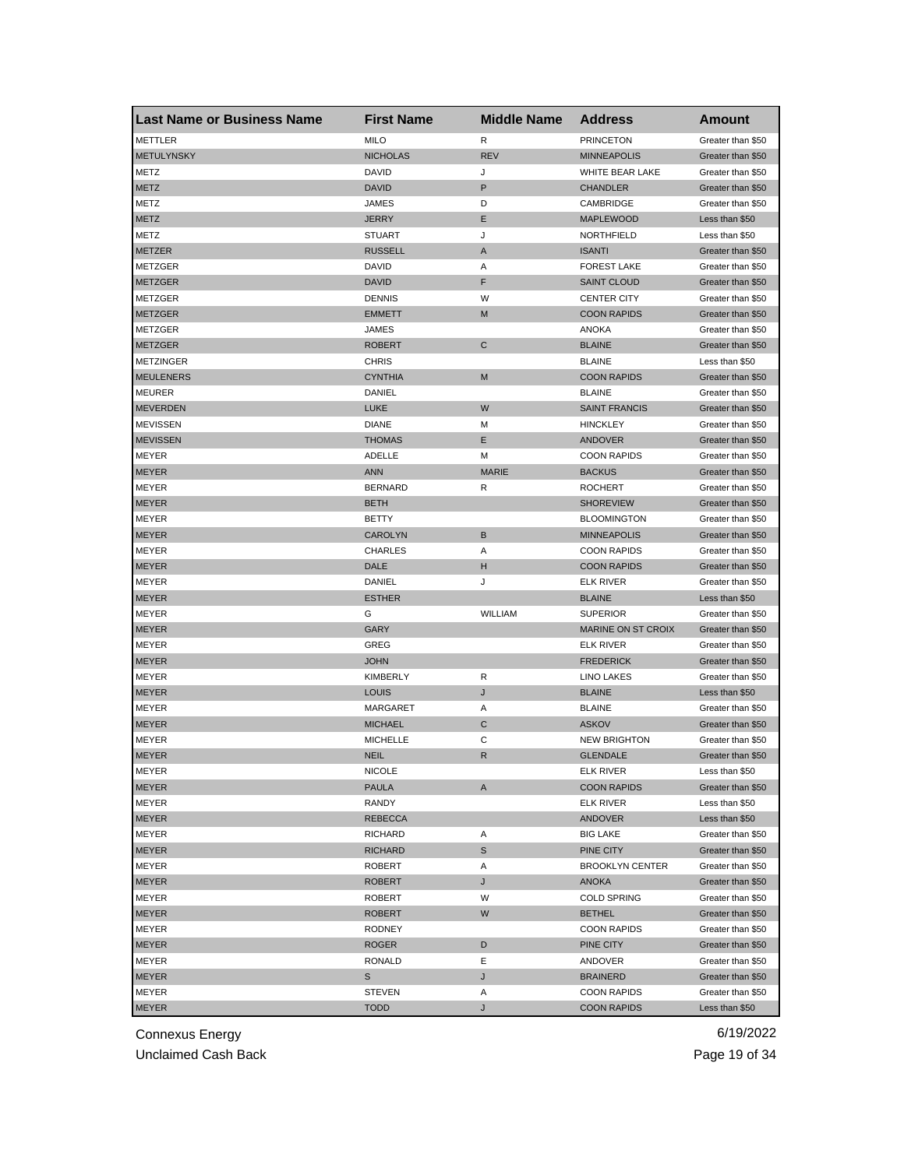| <b>Last Name or Business Name</b> | <b>First Name</b> | <b>Middle Name</b> | <b>Address</b>            | <b>Amount</b>     |
|-----------------------------------|-------------------|--------------------|---------------------------|-------------------|
| METTLER                           | <b>MILO</b>       | R                  | <b>PRINCETON</b>          | Greater than \$50 |
| <b>METULYNSKY</b>                 | <b>NICHOLAS</b>   | <b>REV</b>         | <b>MINNEAPOLIS</b>        | Greater than \$50 |
| METZ                              | DAVID             | J                  | WHITE BEAR LAKE           | Greater than \$50 |
| <b>METZ</b>                       | DAVID             | P                  | <b>CHANDLER</b>           | Greater than \$50 |
| METZ                              | JAMES             | D                  | CAMBRIDGE                 | Greater than \$50 |
| <b>METZ</b>                       | <b>JERRY</b>      | Е                  | <b>MAPLEWOOD</b>          | Less than \$50    |
| METZ                              | <b>STUART</b>     | J                  | NORTHFIELD                | Less than \$50    |
| <b>METZER</b>                     | <b>RUSSELL</b>    | A                  | <b>ISANTI</b>             | Greater than \$50 |
| METZGER                           | DAVID             | Α                  | <b>FOREST LAKE</b>        | Greater than \$50 |
| <b>METZGER</b>                    | <b>DAVID</b>      | F                  | <b>SAINT CLOUD</b>        | Greater than \$50 |
| METZGER                           | <b>DENNIS</b>     | W                  | <b>CENTER CITY</b>        | Greater than \$50 |
| <b>METZGER</b>                    | <b>EMMETT</b>     | M                  | <b>COON RAPIDS</b>        | Greater than \$50 |
| METZGER                           | JAMES             |                    | <b>ANOKA</b>              | Greater than \$50 |
| <b>METZGER</b>                    | <b>ROBERT</b>     | $\mathsf{C}$       | <b>BLAINE</b>             | Greater than \$50 |
| <b>METZINGER</b>                  | <b>CHRIS</b>      |                    | <b>BLAINE</b>             | Less than \$50    |
| <b>MEULENERS</b>                  | <b>CYNTHIA</b>    | M                  | <b>COON RAPIDS</b>        | Greater than \$50 |
| <b>MEURER</b>                     | DANIEL            |                    | <b>BLAINE</b>             | Greater than \$50 |
| <b>MEVERDEN</b>                   | <b>LUKE</b>       | W                  | <b>SAINT FRANCIS</b>      | Greater than \$50 |
| <b>MEVISSEN</b>                   | <b>DIANE</b>      | M                  | <b>HINCKLEY</b>           | Greater than \$50 |
| <b>MEVISSEN</b>                   | <b>THOMAS</b>     | Е                  | <b>ANDOVER</b>            | Greater than \$50 |
| MEYER                             | ADELLE            | м                  | <b>COON RAPIDS</b>        | Greater than \$50 |
| <b>MEYER</b>                      | <b>ANN</b>        | <b>MARIE</b>       | <b>BACKUS</b>             | Greater than \$50 |
| MEYER                             | <b>BERNARD</b>    | R                  | <b>ROCHERT</b>            | Greater than \$50 |
| <b>MEYER</b>                      | <b>BETH</b>       |                    | <b>SHOREVIEW</b>          | Greater than \$50 |
| MEYER                             | BETTY             |                    | <b>BLOOMINGTON</b>        | Greater than \$50 |
| <b>MEYER</b>                      | <b>CAROLYN</b>    | B                  | <b>MINNEAPOLIS</b>        | Greater than \$50 |
| MEYER                             | <b>CHARLES</b>    | Α                  | <b>COON RAPIDS</b>        | Greater than \$50 |
| <b>MEYER</b>                      | DALE              | н                  | <b>COON RAPIDS</b>        | Greater than \$50 |
| MEYER                             | DANIEL            | J                  | <b>ELK RIVER</b>          | Greater than \$50 |
| MEYER                             | <b>ESTHER</b>     |                    | <b>BLAINE</b>             | Less than \$50    |
| MEYER                             | G                 | WILLIAM            | <b>SUPERIOR</b>           | Greater than \$50 |
| <b>MEYER</b>                      | <b>GARY</b>       |                    | <b>MARINE ON ST CROIX</b> | Greater than \$50 |
| MEYER                             | GREG              |                    | <b>ELK RIVER</b>          | Greater than \$50 |
| <b>MEYER</b>                      | <b>JOHN</b>       |                    | <b>FREDERICK</b>          | Greater than \$50 |
| MEYER                             | <b>KIMBERLY</b>   | R                  | <b>LINO LAKES</b>         | Greater than \$50 |
| <b>MEYER</b>                      | LOUIS             | J                  | <b>BLAINE</b>             | Less than \$50    |
| MEYER                             | MARGARET          | Α                  | <b>BLAINE</b>             | Greater than \$50 |
| <b>MEYER</b>                      | <b>MICHAEL</b>    | C                  | <b>ASKOV</b>              | Greater than \$50 |
| MEYER                             | <b>MICHELLE</b>   | С                  | <b>NEW BRIGHTON</b>       | Greater than \$50 |
| <b>MEYER</b>                      | <b>NEIL</b>       | R                  | <b>GLENDALE</b>           | Greater than \$50 |
| MEYER                             | <b>NICOLE</b>     |                    | ELK RIVER                 | Less than \$50    |
| <b>MEYER</b>                      | PAULA             | A                  | <b>COON RAPIDS</b>        | Greater than \$50 |
| MEYER                             | RANDY             |                    | <b>ELK RIVER</b>          | Less than \$50    |
| MEYER                             | <b>REBECCA</b>    |                    | ANDOVER                   | Less than \$50    |
| MEYER                             | RICHARD           | Α                  | <b>BIG LAKE</b>           | Greater than \$50 |
| MEYER                             | RICHARD           | S                  | PINE CITY                 | Greater than \$50 |
| MEYER                             | ROBERT            | Α                  | <b>BROOKLYN CENTER</b>    | Greater than \$50 |
| <b>MEYER</b>                      | <b>ROBERT</b>     | J                  | ANOKA                     | Greater than \$50 |
| MEYER                             | ROBERT            | W                  | <b>COLD SPRING</b>        | Greater than \$50 |
| MEYER                             | <b>ROBERT</b>     | W                  | <b>BETHEL</b>             | Greater than \$50 |
| MEYER                             | <b>RODNEY</b>     |                    | <b>COON RAPIDS</b>        | Greater than \$50 |
| <b>MEYER</b>                      | ROGER             | D                  | PINE CITY                 | Greater than \$50 |
| MEYER                             | <b>RONALD</b>     | Е                  | ANDOVER                   | Greater than \$50 |
| MEYER                             | S                 | J                  | <b>BRAINERD</b>           | Greater than \$50 |
| MEYER                             | <b>STEVEN</b>     | Α                  | <b>COON RAPIDS</b>        | Greater than \$50 |
| <b>MEYER</b>                      | <b>TODD</b>       | J                  | <b>COON RAPIDS</b>        | Less than \$50    |
|                                   |                   |                    |                           |                   |

Unclaimed Cash Back **Page 19 of 34**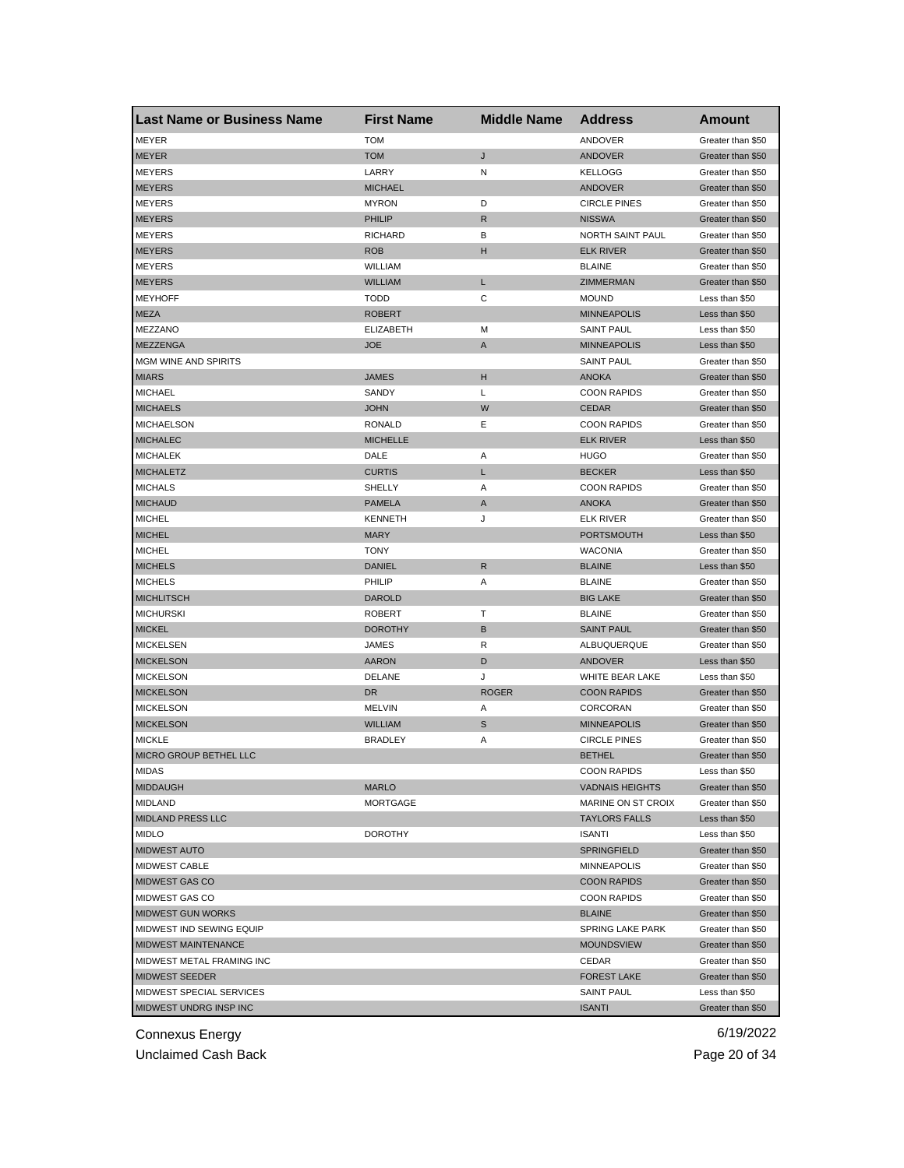| <b>Last Name or Business Name</b> | <b>First Name</b> | <b>Middle Name</b> | <b>Address</b>         | Amount            |
|-----------------------------------|-------------------|--------------------|------------------------|-------------------|
| MEYER                             | <b>TOM</b>        |                    | ANDOVER                | Greater than \$50 |
| <b>MEYER</b>                      | <b>TOM</b>        | J                  | ANDOVER                | Greater than \$50 |
| <b>MEYERS</b>                     | LARRY             | Ν                  | <b>KELLOGG</b>         | Greater than \$50 |
| <b>MEYERS</b>                     | <b>MICHAEL</b>    |                    | ANDOVER                | Greater than \$50 |
| <b>MEYERS</b>                     | <b>MYRON</b>      | D                  | <b>CIRCLE PINES</b>    | Greater than \$50 |
| <b>MEYERS</b>                     | PHILIP            | R                  | <b>NISSWA</b>          | Greater than \$50 |
| <b>MEYERS</b>                     | <b>RICHARD</b>    | В                  | NORTH SAINT PAUL       | Greater than \$50 |
| <b>MEYERS</b>                     | <b>ROB</b>        | н                  | <b>ELK RIVER</b>       | Greater than \$50 |
| <b>MEYERS</b>                     | WILLIAM           |                    | <b>BLAINE</b>          | Greater than \$50 |
| <b>MEYERS</b>                     | <b>WILLIAM</b>    | L                  | ZIMMERMAN              | Greater than \$50 |
| <b>MEYHOFF</b>                    | <b>TODD</b>       | С                  | <b>MOUND</b>           | Less than \$50    |
| <b>MEZA</b>                       | <b>ROBERT</b>     |                    | <b>MINNEAPOLIS</b>     | Less than \$50    |
| MEZZANO                           | <b>ELIZABETH</b>  | M                  | <b>SAINT PAUL</b>      | Less than \$50    |
| <b>MEZZENGA</b>                   | <b>JOE</b>        | A                  | <b>MINNEAPOLIS</b>     | Less than \$50    |
| MGM WINE AND SPIRITS              |                   |                    | <b>SAINT PAUL</b>      | Greater than \$50 |
| <b>MIARS</b>                      | <b>JAMES</b>      | н                  | <b>ANOKA</b>           | Greater than \$50 |
| <b>MICHAEL</b>                    | SANDY             | Г                  | <b>COON RAPIDS</b>     | Greater than \$50 |
| <b>MICHAELS</b>                   | <b>JOHN</b>       | W                  | <b>CEDAR</b>           | Greater than \$50 |
| <b>MICHAELSON</b>                 | RONALD            | Е                  | <b>COON RAPIDS</b>     | Greater than \$50 |
| <b>MICHALEC</b>                   | <b>MICHELLE</b>   |                    | <b>ELK RIVER</b>       | Less than \$50    |
| <b>MICHALEK</b>                   | DALE              | Α                  | <b>HUGO</b>            | Greater than \$50 |
| <b>MICHALETZ</b>                  | <b>CURTIS</b>     | L                  | <b>BECKER</b>          | Less than \$50    |
| <b>MICHALS</b>                    | SHELLY            | Α                  | <b>COON RAPIDS</b>     | Greater than \$50 |
| <b>MICHAUD</b>                    | <b>PAMELA</b>     | A                  | <b>ANOKA</b>           | Greater than \$50 |
| <b>MICHEL</b>                     | <b>KENNETH</b>    | J                  | <b>ELK RIVER</b>       | Greater than \$50 |
| <b>MICHEL</b>                     | <b>MARY</b>       |                    | PORTSMOUTH             | Less than \$50    |
| <b>MICHEL</b>                     | <b>TONY</b>       |                    | <b>WACONIA</b>         | Greater than \$50 |
| <b>MICHELS</b>                    | <b>DANIEL</b>     | R                  | <b>BLAINE</b>          | Less than \$50    |
| <b>MICHELS</b>                    | PHILIP            | Α                  | <b>BLAINE</b>          | Greater than \$50 |
| <b>MICHLITSCH</b>                 | <b>DAROLD</b>     |                    | <b>BIG LAKE</b>        | Greater than \$50 |
| <b>MICHURSKI</b>                  | <b>ROBERT</b>     | т                  | <b>BLAINE</b>          | Greater than \$50 |
| <b>MICKEL</b>                     | <b>DOROTHY</b>    | B                  | <b>SAINT PAUL</b>      | Greater than \$50 |
| <b>MICKELSEN</b>                  | JAMES             | R                  | ALBUQUERQUE            | Greater than \$50 |
| <b>MICKELSON</b>                  | <b>AARON</b>      | D                  | ANDOVER                | Less than \$50    |
| <b>MICKELSON</b>                  | <b>DELANE</b>     | J                  | <b>WHITE BEAR LAKE</b> | Less than \$50    |
| <b>MICKELSON</b>                  | DR                | <b>ROGER</b>       | <b>COON RAPIDS</b>     | Greater than \$50 |
| <b>MICKELSON</b>                  | <b>MELVIN</b>     | Α                  | CORCORAN               | Greater than \$50 |
| <b>MICKELSON</b>                  | <b>WILLIAM</b>    | S                  | <b>MINNEAPOLIS</b>     | Greater than \$50 |
| <b>MICKLE</b>                     | <b>BRADLEY</b>    | Α                  | <b>CIRCLE PINES</b>    | Greater than \$50 |
| MICRO GROUP BETHEL LLC            |                   |                    | <b>BETHEL</b>          | Greater than \$50 |
| MIDAS                             |                   |                    | <b>COON RAPIDS</b>     | Less than \$50    |
| <b>MIDDAUGH</b>                   | <b>MARLO</b>      |                    | <b>VADNAIS HEIGHTS</b> | Greater than \$50 |
| <b>MIDLAND</b>                    | <b>MORTGAGE</b>   |                    | MARINE ON ST CROIX     | Greater than \$50 |
| <b>MIDLAND PRESS LLC</b>          |                   |                    | <b>TAYLORS FALLS</b>   | Less than \$50    |
| MIDLO                             | <b>DOROTHY</b>    |                    | <b>ISANTI</b>          | Less than \$50    |
| <b>MIDWEST AUTO</b>               |                   |                    | <b>SPRINGFIELD</b>     | Greater than \$50 |
| MIDWEST CABLE                     |                   |                    | <b>MINNEAPOLIS</b>     | Greater than \$50 |
| MIDWEST GAS CO                    |                   |                    | <b>COON RAPIDS</b>     | Greater than \$50 |
| MIDWEST GAS CO                    |                   |                    | <b>COON RAPIDS</b>     | Greater than \$50 |
| <b>MIDWEST GUN WORKS</b>          |                   |                    | <b>BLAINE</b>          | Greater than \$50 |
| MIDWEST IND SEWING EQUIP          |                   |                    | SPRING LAKE PARK       | Greater than \$50 |
| MIDWEST MAINTENANCE               |                   |                    | <b>MOUNDSVIEW</b>      | Greater than \$50 |
| MIDWEST METAL FRAMING INC         |                   |                    | CEDAR                  | Greater than \$50 |
| <b>MIDWEST SEEDER</b>             |                   |                    | <b>FOREST LAKE</b>     | Greater than \$50 |
| MIDWEST SPECIAL SERVICES          |                   |                    | SAINT PAUL             | Less than \$50    |
| MIDWEST UNDRG INSP INC            |                   |                    | <b>ISANTI</b>          | Greater than \$50 |
|                                   |                   |                    |                        |                   |

Unclaimed Cash Back **Page 20 of 34**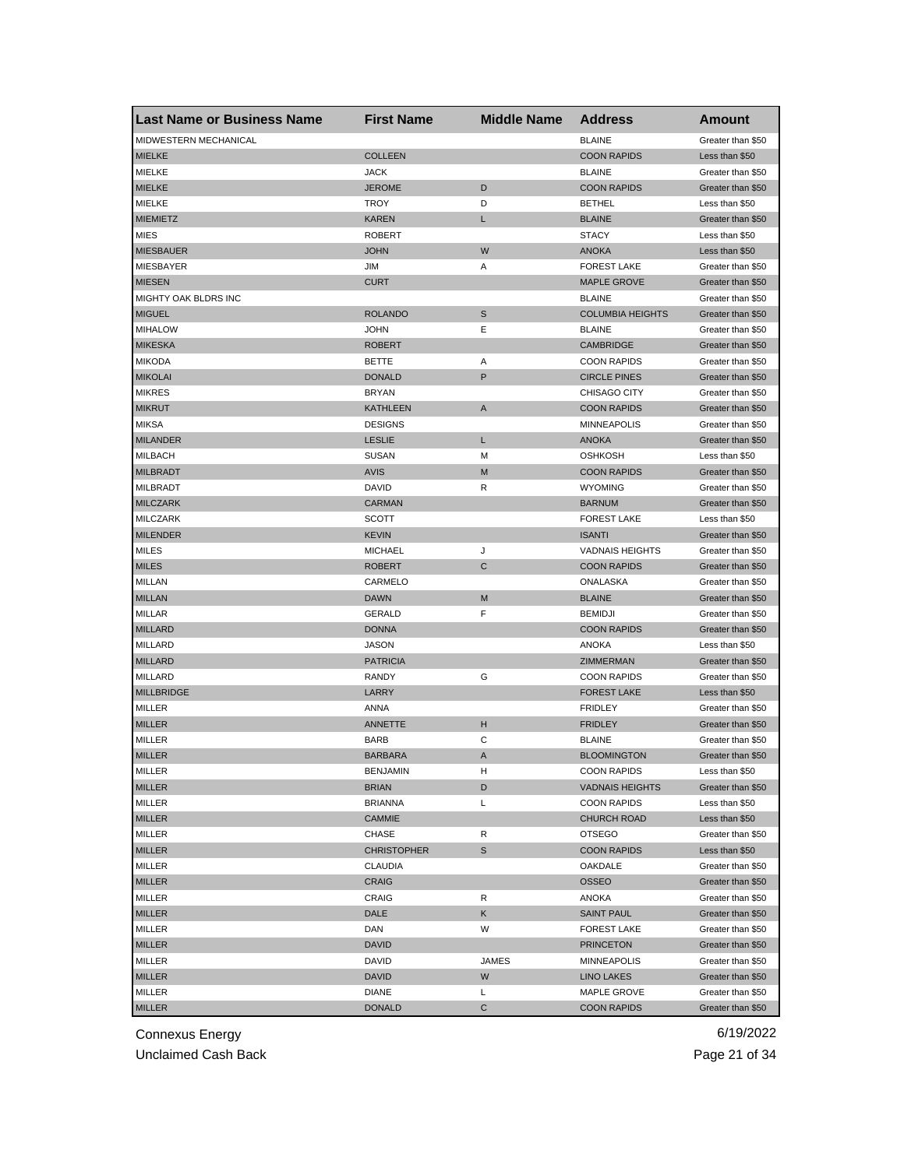| <b>Last Name or Business Name</b> | <b>First Name</b>  | <b>Middle Name</b> | <b>Address</b>          | <b>Amount</b>     |
|-----------------------------------|--------------------|--------------------|-------------------------|-------------------|
| MIDWESTERN MECHANICAL             |                    |                    | <b>BLAINE</b>           | Greater than \$50 |
| <b>MIELKE</b>                     | <b>COLLEEN</b>     |                    | <b>COON RAPIDS</b>      | Less than \$50    |
| MIELKE                            | <b>JACK</b>        |                    | <b>BLAINE</b>           | Greater than \$50 |
| <b>MIELKE</b>                     | <b>JEROME</b>      | D                  | <b>COON RAPIDS</b>      | Greater than \$50 |
| <b>MIELKE</b>                     | <b>TROY</b>        | D                  | <b>BETHEL</b>           | Less than \$50    |
| <b>MIEMIETZ</b>                   | <b>KAREN</b>       | L                  | <b>BLAINE</b>           | Greater than \$50 |
| <b>MIES</b>                       | <b>ROBERT</b>      |                    | <b>STACY</b>            | Less than \$50    |
| <b>MIESBAUER</b>                  | <b>JOHN</b>        | W                  | <b>ANOKA</b>            | Less than \$50    |
| MIESBAYER                         | JIM                | Α                  | <b>FOREST LAKE</b>      | Greater than \$50 |
| <b>MIESEN</b>                     | <b>CURT</b>        |                    | <b>MAPLE GROVE</b>      | Greater than \$50 |
| MIGHTY OAK BLDRS INC              |                    |                    | <b>BLAINE</b>           | Greater than \$50 |
| <b>MIGUEL</b>                     | <b>ROLANDO</b>     | S                  | <b>COLUMBIA HEIGHTS</b> | Greater than \$50 |
| <b>MIHALOW</b>                    | <b>JOHN</b>        | Ε                  | <b>BLAINE</b>           | Greater than \$50 |
| <b>MIKESKA</b>                    | <b>ROBERT</b>      |                    | <b>CAMBRIDGE</b>        | Greater than \$50 |
| <b>MIKODA</b>                     | <b>BETTE</b>       | Α                  | <b>COON RAPIDS</b>      | Greater than \$50 |
| <b>MIKOLAI</b>                    | <b>DONALD</b>      | P                  | <b>CIRCLE PINES</b>     | Greater than \$50 |
| <b>MIKRES</b>                     | <b>BRYAN</b>       |                    | <b>CHISAGO CITY</b>     | Greater than \$50 |
| <b>MIKRUT</b>                     | <b>KATHLEEN</b>    | Α                  | <b>COON RAPIDS</b>      | Greater than \$50 |
| <b>MIKSA</b>                      | <b>DESIGNS</b>     |                    | <b>MINNEAPOLIS</b>      | Greater than \$50 |
| <b>MILANDER</b>                   | <b>LESLIE</b>      | L                  | <b>ANOKA</b>            | Greater than \$50 |
| <b>MILBACH</b>                    | <b>SUSAN</b>       | М                  | <b>OSHKOSH</b>          | Less than \$50    |
| <b>MILBRADT</b>                   | <b>AVIS</b>        | M                  | <b>COON RAPIDS</b>      | Greater than \$50 |
| MILBRADT                          | DAVID              | R                  | <b>WYOMING</b>          | Greater than \$50 |
| <b>MILCZARK</b>                   | <b>CARMAN</b>      |                    | <b>BARNUM</b>           | Greater than \$50 |
| <b>MILCZARK</b>                   | SCOTT              |                    | <b>FOREST LAKE</b>      | Less than \$50    |
| <b>MILENDER</b>                   | <b>KEVIN</b>       |                    | <b>ISANTI</b>           | Greater than \$50 |
| MILES                             | <b>MICHAEL</b>     | J                  | <b>VADNAIS HEIGHTS</b>  | Greater than \$50 |
| <b>MILES</b>                      | <b>ROBERT</b>      | С                  | <b>COON RAPIDS</b>      | Greater than \$50 |
| MILLAN                            | CARMELO            |                    | ONALASKA                | Greater than \$50 |
| <b>MILLAN</b>                     | <b>DAWN</b>        | M                  | <b>BLAINE</b>           | Greater than \$50 |
| <b>MILLAR</b>                     | <b>GERALD</b>      | F                  | <b>BEMIDJI</b>          | Greater than \$50 |
| <b>MILLARD</b>                    | <b>DONNA</b>       |                    | <b>COON RAPIDS</b>      | Greater than \$50 |
| <b>MILLARD</b>                    | <b>JASON</b>       |                    | <b>ANOKA</b>            | Less than \$50    |
| <b>MILLARD</b>                    | <b>PATRICIA</b>    |                    | ZIMMERMAN               | Greater than \$50 |
|                                   |                    |                    | <b>COON RAPIDS</b>      |                   |
| <b>MILLARD</b>                    | RANDY              | G                  |                         | Greater than \$50 |
| <b>MILLBRIDGE</b>                 | LARRY              |                    | <b>FOREST LAKE</b>      | Less than \$50    |
| MILLER                            | ANNA               |                    | <b>FRIDLEY</b>          | Greater than \$50 |
| <b>MILLER</b>                     | ANNETTE            | н                  | <b>FRIDLEY</b>          | Greater than \$50 |
| MILLER                            | <b>BARB</b>        | С                  | <b>BLAINE</b>           | Greater than \$50 |
| <b>MILLER</b>                     | <b>BARBARA</b>     | A                  | <b>BLOOMINGTON</b>      | Greater than \$50 |
| MILLER                            | <b>BENJAMIN</b>    | н                  | <b>COON RAPIDS</b>      | Less than \$50    |
| <b>MILLER</b>                     | <b>BRIAN</b>       | D                  | <b>VADNAIS HEIGHTS</b>  | Greater than \$50 |
| MILLER                            | <b>BRIANNA</b>     | Г                  | <b>COON RAPIDS</b>      | Less than \$50    |
| <b>MILLER</b>                     | CAMMIE             |                    | <b>CHURCH ROAD</b>      | Less than \$50    |
| MILLER                            | CHASE              | R                  | <b>OTSEGO</b>           | Greater than \$50 |
| <b>MILLER</b>                     | <b>CHRISTOPHER</b> | S                  | <b>COON RAPIDS</b>      | Less than \$50    |
| MILLER                            | CLAUDIA            |                    | OAKDALE                 | Greater than \$50 |
| <b>MILLER</b>                     | <b>CRAIG</b>       |                    | <b>OSSEO</b>            | Greater than \$50 |
| MILLER                            | CRAIG              | R                  | ANOKA                   | Greater than \$50 |
| <b>MILLER</b>                     | DALE               | Κ                  | <b>SAINT PAUL</b>       | Greater than \$50 |
| MILLER                            | DAN                | W                  | <b>FOREST LAKE</b>      | Greater than \$50 |
| <b>MILLER</b>                     | <b>DAVID</b>       |                    | <b>PRINCETON</b>        | Greater than \$50 |
| MILLER                            | DAVID              | JAMES              | <b>MINNEAPOLIS</b>      | Greater than \$50 |
| <b>MILLER</b>                     | DAVID              | W                  | LINO LAKES              | Greater than \$50 |
| MILLER                            | <b>DIANE</b>       | L                  | MAPLE GROVE             | Greater than \$50 |
| <b>MILLER</b>                     | <b>DONALD</b>      | С                  | <b>COON RAPIDS</b>      | Greater than \$50 |

Unclaimed Cash Back **Page 21 of 34**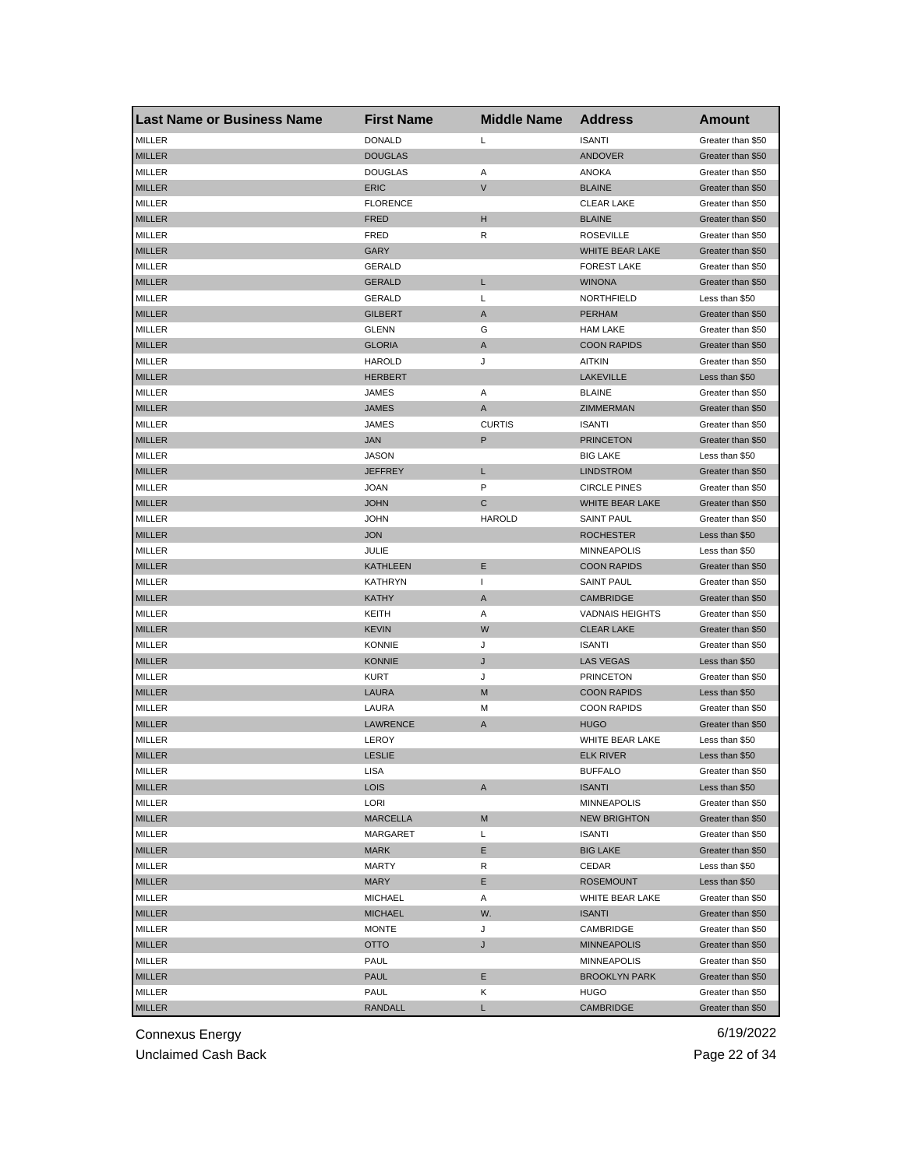| <b>Last Name or Business Name</b> | <b>First Name</b> | <b>Middle Name</b> | <b>Address</b>         | <b>Amount</b>     |
|-----------------------------------|-------------------|--------------------|------------------------|-------------------|
| MILLER                            | <b>DONALD</b>     | L                  | <b>ISANTI</b>          | Greater than \$50 |
| <b>MILLER</b>                     | <b>DOUGLAS</b>    |                    | <b>ANDOVER</b>         | Greater than \$50 |
| MILLER                            | <b>DOUGLAS</b>    | Α                  | <b>ANOKA</b>           | Greater than \$50 |
| <b>MILLER</b>                     | <b>ERIC</b>       | $\mathsf{V}$       | <b>BLAINE</b>          | Greater than \$50 |
| MILLER                            | <b>FLORENCE</b>   |                    | <b>CLEAR LAKE</b>      | Greater than \$50 |
| <b>MILLER</b>                     | <b>FRED</b>       | н                  | <b>BLAINE</b>          | Greater than \$50 |
| MILLER                            | <b>FRED</b>       | R                  | <b>ROSEVILLE</b>       | Greater than \$50 |
| <b>MILLER</b>                     | <b>GARY</b>       |                    | WHITE BEAR LAKE        | Greater than \$50 |
| MILLER                            | GERALD            |                    | <b>FOREST LAKE</b>     | Greater than \$50 |
| <b>MILLER</b>                     | <b>GERALD</b>     | L                  | <b>WINONA</b>          | Greater than \$50 |
| MILLER                            | <b>GERALD</b>     | L                  | NORTHFIELD             | Less than \$50    |
| <b>MILLER</b>                     | <b>GILBERT</b>    | A                  | <b>PERHAM</b>          | Greater than \$50 |
| MILLER                            | <b>GLENN</b>      | G                  | <b>HAM LAKE</b>        | Greater than \$50 |
| <b>MILLER</b>                     | <b>GLORIA</b>     | A                  | <b>COON RAPIDS</b>     | Greater than \$50 |
| MILLER                            | <b>HAROLD</b>     | J                  | <b>AITKIN</b>          | Greater than \$50 |
| <b>MILLER</b>                     | <b>HERBERT</b>    |                    | <b>LAKEVILLE</b>       | Less than \$50    |
| <b>MILLER</b>                     | <b>JAMES</b>      | Α                  | <b>BLAINE</b>          | Greater than \$50 |
| <b>MILLER</b>                     | <b>JAMES</b>      | Α                  | ZIMMERMAN              | Greater than \$50 |
| MILLER                            | <b>JAMES</b>      | <b>CURTIS</b>      | <b>ISANTI</b>          | Greater than \$50 |
| <b>MILLER</b>                     | <b>JAN</b>        | P                  | <b>PRINCETON</b>       | Greater than \$50 |
| MILLER                            | <b>JASON</b>      |                    | <b>BIG LAKE</b>        | Less than \$50    |
| <b>MILLER</b>                     | <b>JEFFREY</b>    | L                  | <b>LINDSTROM</b>       | Greater than \$50 |
| MILLER                            | <b>JOAN</b>       | P                  | <b>CIRCLE PINES</b>    | Greater than \$50 |
| <b>MILLER</b>                     | <b>JOHN</b>       | C                  | WHITE BEAR LAKE        | Greater than \$50 |
| <b>MILLER</b>                     | <b>JOHN</b>       | <b>HAROLD</b>      | <b>SAINT PAUL</b>      | Greater than \$50 |
| <b>MILLER</b>                     | <b>JON</b>        |                    | <b>ROCHESTER</b>       | Less than \$50    |
| MILLER                            | JULIE             |                    | <b>MINNEAPOLIS</b>     | Less than \$50    |
| <b>MILLER</b>                     | <b>KATHLEEN</b>   | Ε                  | <b>COON RAPIDS</b>     | Greater than \$50 |
| MILLER                            | <b>KATHRYN</b>    | $\overline{1}$     | <b>SAINT PAUL</b>      | Greater than \$50 |
| <b>MILLER</b>                     | KATHY             | A                  | <b>CAMBRIDGE</b>       | Greater than \$50 |
| MILLER                            | KEITH             | Α                  | <b>VADNAIS HEIGHTS</b> | Greater than \$50 |
| <b>MILLER</b>                     | <b>KEVIN</b>      | W                  | <b>CLEAR LAKE</b>      | Greater than \$50 |
| MILLER                            | <b>KONNIE</b>     | J                  | <b>ISANTI</b>          | Greater than \$50 |
| <b>MILLER</b>                     | <b>KONNIE</b>     | J                  | <b>LAS VEGAS</b>       | Less than \$50    |
| MILLER                            | <b>KURT</b>       | J                  | <b>PRINCETON</b>       | Greater than \$50 |
| <b>MILLER</b>                     | <b>LAURA</b>      | M                  | <b>COON RAPIDS</b>     | Less than \$50    |
| MILLER                            | LAURA             | M                  | <b>COON RAPIDS</b>     | Greater than \$50 |
| <b>MILLER</b>                     | <b>LAWRENCE</b>   | A                  | <b>HUGO</b>            | Greater than \$50 |
| <b>MILLER</b>                     | LEROY             |                    | WHITE BEAR LAKE        | Less than \$50    |
| <b>MILLER</b>                     | <b>LESLIE</b>     |                    | <b>ELK RIVER</b>       | Less than \$50    |
| MILLER                            | LISA              |                    | <b>BUFFALO</b>         | Greater than \$50 |
| <b>MILLER</b>                     | <b>LOIS</b>       | A                  | <b>ISANTI</b>          | Less than \$50    |
| <b>MILLER</b>                     | LORI              |                    | MINNEAPOLIS            | Greater than \$50 |
| <b>MILLER</b>                     | <b>MARCELLA</b>   | M                  | <b>NEW BRIGHTON</b>    | Greater than \$50 |
| MILLER                            | MARGARET          | Г                  | <b>ISANTI</b>          | Greater than \$50 |
| <b>MILLER</b>                     | <b>MARK</b>       | Е                  | <b>BIG LAKE</b>        | Greater than \$50 |
| MILLER                            | MARTY             | R                  | CEDAR                  | Less than \$50    |
| <b>MILLER</b>                     | <b>MARY</b>       | Е                  | <b>ROSEMOUNT</b>       | Less than \$50    |
| MILLER                            | <b>MICHAEL</b>    | Α                  | WHITE BEAR LAKE        | Greater than \$50 |
| <b>MILLER</b>                     | <b>MICHAEL</b>    | W.                 | <b>ISANTI</b>          | Greater than \$50 |
| MILLER                            | <b>MONTE</b>      | J                  | CAMBRIDGE              | Greater than \$50 |
| <b>MILLER</b>                     | OTTO              | J                  | <b>MINNEAPOLIS</b>     | Greater than \$50 |
| MILLER                            | PAUL              |                    | MINNEAPOLIS            | Greater than \$50 |
| <b>MILLER</b>                     | <b>PAUL</b>       | Е                  | <b>BROOKLYN PARK</b>   | Greater than \$50 |
| MILLER                            | PAUL              | Κ                  | <b>HUGO</b>            | Greater than \$50 |
| <b>MILLER</b>                     | <b>RANDALL</b>    | L                  | <b>CAMBRIDGE</b>       | Greater than \$50 |

Unclaimed Cash Back **Page 22 of 34**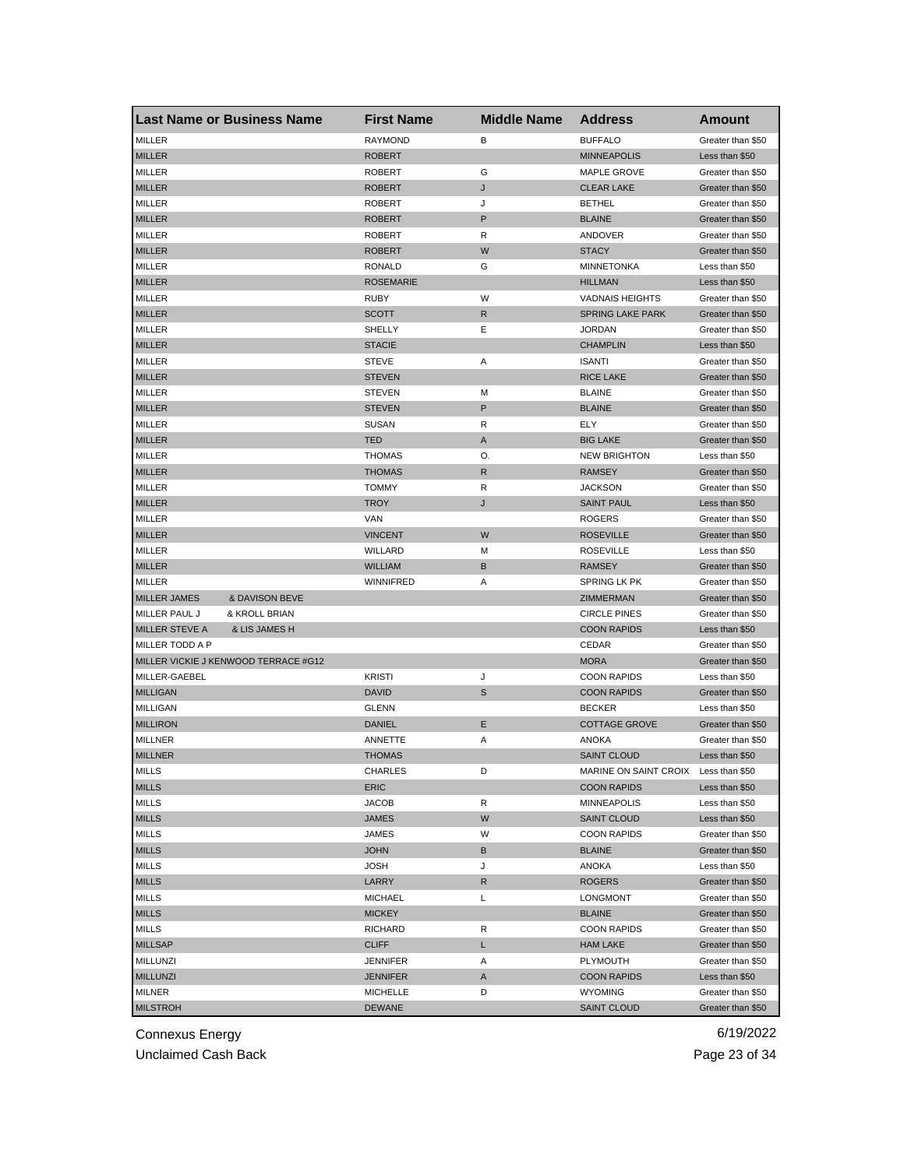| <b>Last Name or Business Name</b>    |                | <b>First Name</b> | <b>Middle Name</b> | <b>Address</b>          | Amount            |
|--------------------------------------|----------------|-------------------|--------------------|-------------------------|-------------------|
| MILLER                               |                | <b>RAYMOND</b>    | B                  | <b>BUFFALO</b>          | Greater than \$50 |
| <b>MILLER</b>                        |                | <b>ROBERT</b>     |                    | <b>MINNEAPOLIS</b>      | Less than \$50    |
| MILLER                               |                | <b>ROBERT</b>     | G                  | <b>MAPLE GROVE</b>      | Greater than \$50 |
| <b>MILLER</b>                        |                | <b>ROBERT</b>     | J                  | <b>CLEAR LAKE</b>       | Greater than \$50 |
| MILLER                               |                | <b>ROBERT</b>     | J                  | <b>BETHEL</b>           | Greater than \$50 |
| <b>MILLER</b>                        |                | <b>ROBERT</b>     | P                  | <b>BLAINE</b>           | Greater than \$50 |
| MILLER                               |                | <b>ROBERT</b>     | R                  | ANDOVER                 | Greater than \$50 |
| <b>MILLER</b>                        |                | <b>ROBERT</b>     | W                  | <b>STACY</b>            | Greater than \$50 |
| MILLER                               |                | <b>RONALD</b>     | G                  | <b>MINNETONKA</b>       | Less than \$50    |
| <b>MILLER</b>                        |                | <b>ROSEMARIE</b>  |                    | <b>HILLMAN</b>          | Less than \$50    |
| <b>MILLER</b>                        |                | RUBY              | W                  | <b>VADNAIS HEIGHTS</b>  | Greater than \$50 |
| <b>MILLER</b>                        |                | <b>SCOTT</b>      | R                  | <b>SPRING LAKE PARK</b> | Greater than \$50 |
| MILLER                               |                | SHELLY            | Ε                  | <b>JORDAN</b>           | Greater than \$50 |
| <b>MILLER</b>                        |                | <b>STACIE</b>     |                    | <b>CHAMPLIN</b>         | Less than \$50    |
| MILLER                               |                | <b>STEVE</b>      | Α                  | <b>ISANTI</b>           | Greater than \$50 |
| <b>MILLER</b>                        |                | <b>STEVEN</b>     |                    | <b>RICE LAKE</b>        | Greater than \$50 |
| <b>MILLER</b>                        |                | <b>STEVEN</b>     | м                  | <b>BLAINE</b>           | Greater than \$50 |
| <b>MILLER</b>                        |                | <b>STEVEN</b>     | P                  | <b>BLAINE</b>           | Greater than \$50 |
| MILLER                               |                | SUSAN             | R                  | ELY                     | Greater than \$50 |
| <b>MILLER</b>                        |                | <b>TED</b>        | Α                  | <b>BIG LAKE</b>         | Greater than \$50 |
| <b>MILLER</b>                        |                | <b>THOMAS</b>     | О.                 | <b>NEW BRIGHTON</b>     | Less than \$50    |
| <b>MILLER</b>                        |                | <b>THOMAS</b>     | R                  | <b>RAMSEY</b>           | Greater than \$50 |
| MILLER                               |                | <b>TOMMY</b>      | R                  | <b>JACKSON</b>          | Greater than \$50 |
| <b>MILLER</b>                        |                | <b>TROY</b>       | J                  | <b>SAINT PAUL</b>       | Less than \$50    |
| <b>MILLER</b>                        |                | VAN               |                    | <b>ROGERS</b>           | Greater than \$50 |
| <b>MILLER</b>                        |                | VINCENT           | W                  | <b>ROSEVILLE</b>        | Greater than \$50 |
| MILLER                               |                | WILLARD           | М                  | <b>ROSEVILLE</b>        | Less than \$50    |
| <b>MILLER</b>                        |                | <b>WILLIAM</b>    | В                  | <b>RAMSEY</b>           | Greater than \$50 |
| MILLER                               |                | <b>WINNIFRED</b>  | Α                  | SPRING LK PK            | Greater than \$50 |
| <b>MILLER JAMES</b>                  | & DAVISON BEVE |                   |                    | ZIMMERMAN               | Greater than \$50 |
|                                      |                |                   |                    |                         |                   |
| MILLER PAUL J                        | & KROLL BRIAN  |                   |                    | <b>CIRCLE PINES</b>     | Greater than \$50 |
| MILLER STEVE A                       | & LIS JAMES H  |                   |                    | <b>COON RAPIDS</b>      | Less than \$50    |
| MILLER TODD A P                      |                |                   |                    | CEDAR                   | Greater than \$50 |
| MILLER VICKIE J KENWOOD TERRACE #G12 |                |                   |                    | <b>MORA</b>             | Greater than \$50 |
| MILLER-GAEBEL                        |                | <b>KRISTI</b>     | J                  | <b>COON RAPIDS</b>      | Less than \$50    |
| <b>MILLIGAN</b>                      |                | <b>DAVID</b>      | S                  | <b>COON RAPIDS</b>      | Greater than \$50 |
| <b>MILLIGAN</b>                      |                | <b>GLENN</b>      |                    | <b>BECKER</b>           | Less than \$50    |
| <b>MILLIRON</b>                      |                | DANIEL            | Ε                  | <b>COTTAGE GROVE</b>    | Greater than \$50 |
| <b>MILLNER</b>                       |                | ANNETTE           | Α                  | <b>ANOKA</b>            | Greater than \$50 |
| <b>MILLNER</b>                       |                | <b>THOMAS</b>     |                    | <b>SAINT CLOUD</b>      | Less than \$50    |
| <b>MILLS</b>                         |                | CHARLES           | D                  | MARINE ON SAINT CROIX   | Less than \$50    |
| <b>MILLS</b>                         |                | ERIC              |                    | <b>COON RAPIDS</b>      | Less than \$50    |
| <b>MILLS</b>                         |                | <b>JACOB</b>      | R                  | MINNEAPOLIS             | Less than \$50    |
| <b>MILLS</b>                         |                | JAMES             | W                  | <b>SAINT CLOUD</b>      | Less than \$50    |
| <b>MILLS</b>                         |                | JAMES             | W                  | <b>COON RAPIDS</b>      | Greater than \$50 |
| <b>MILLS</b>                         |                | <b>JOHN</b>       | В                  | <b>BLAINE</b>           | Greater than \$50 |
| <b>MILLS</b>                         |                | <b>JOSH</b>       | J                  | ANOKA                   | Less than \$50    |
| <b>MILLS</b>                         |                | LARRY             | R                  | <b>ROGERS</b>           | Greater than \$50 |
| MILLS                                |                | <b>MICHAEL</b>    | Г                  | <b>LONGMONT</b>         | Greater than \$50 |
| <b>MILLS</b>                         |                | <b>MICKEY</b>     |                    | <b>BLAINE</b>           | Greater than \$50 |
| MILLS                                |                | <b>RICHARD</b>    | R                  | <b>COON RAPIDS</b>      | Greater than \$50 |
| <b>MILLSAP</b>                       |                | <b>CLIFF</b>      | L                  | <b>HAM LAKE</b>         | Greater than \$50 |
| MILLUNZI                             |                | <b>JENNIFER</b>   | Α                  | PLYMOUTH                | Greater than \$50 |
| <b>MILLUNZI</b>                      |                | JENNIFER          | A                  | <b>COON RAPIDS</b>      | Less than \$50    |
| MILNER                               |                | <b>MICHELLE</b>   | D                  | <b>WYOMING</b>          | Greater than \$50 |
| <b>MILSTROH</b>                      |                | <b>DEWANE</b>     |                    | <b>SAINT CLOUD</b>      | Greater than \$50 |

Unclaimed Cash Back **Page 23 of 34**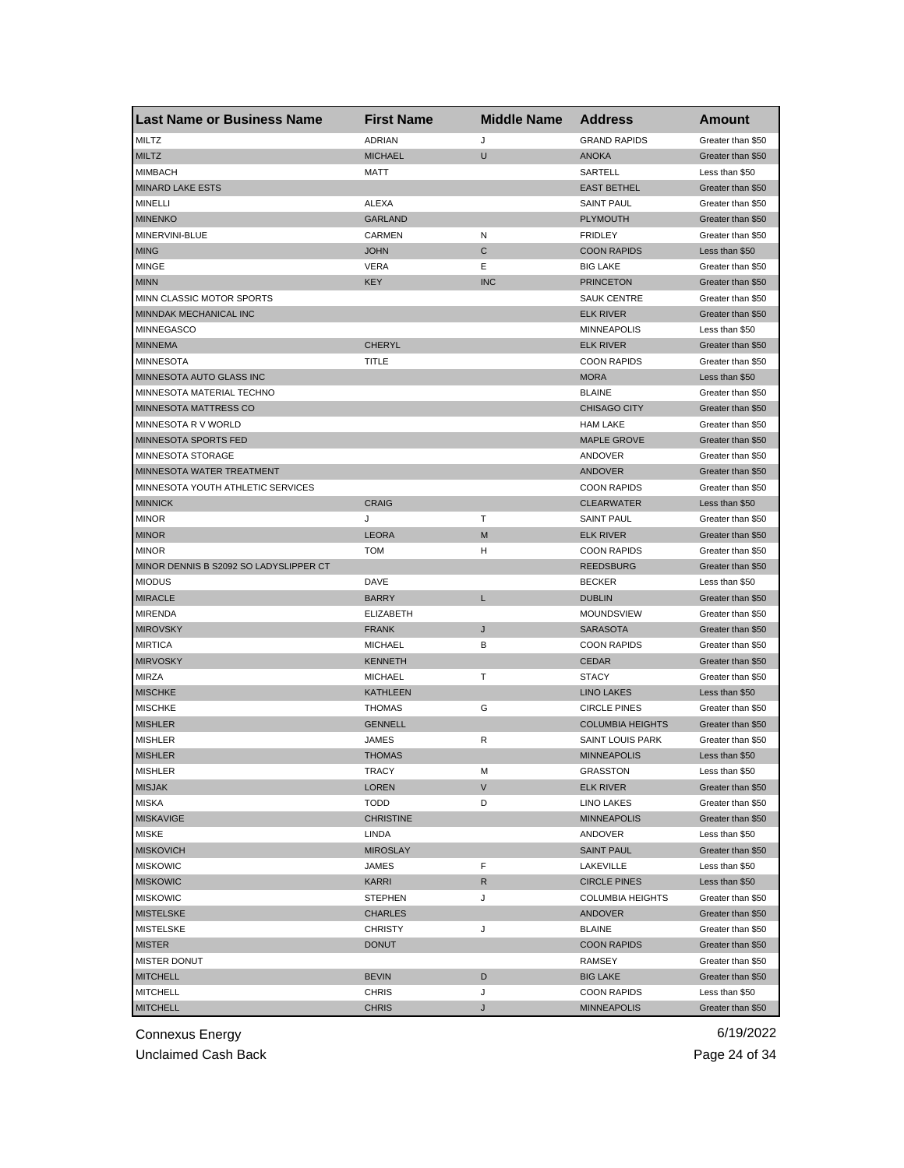| Last Name or Business Name             | <b>First Name</b> | <b>Middle Name</b> | <b>Address</b>          | Amount            |
|----------------------------------------|-------------------|--------------------|-------------------------|-------------------|
| MILTZ                                  | <b>ADRIAN</b>     | J                  | <b>GRAND RAPIDS</b>     | Greater than \$50 |
| <b>MILTZ</b>                           | <b>MICHAEL</b>    | U                  | <b>ANOKA</b>            | Greater than \$50 |
| <b>MIMBACH</b>                         | MATT              |                    | SARTELL                 | Less than \$50    |
| <b>MINARD LAKE ESTS</b>                |                   |                    | <b>EAST BETHEL</b>      | Greater than \$50 |
| <b>MINELLI</b>                         | <b>ALEXA</b>      |                    | <b>SAINT PAUL</b>       | Greater than \$50 |
| <b>MINENKO</b>                         | <b>GARLAND</b>    |                    | <b>PLYMOUTH</b>         | Greater than \$50 |
| MINERVINI-BLUE                         | CARMEN            | N                  | <b>FRIDLEY</b>          | Greater than \$50 |
| <b>MING</b>                            | <b>JOHN</b>       | C                  | <b>COON RAPIDS</b>      | Less than \$50    |
| <b>MINGE</b>                           | VERA              | Ε                  | <b>BIG LAKE</b>         | Greater than \$50 |
| <b>MINN</b>                            | <b>KEY</b>        | <b>INC</b>         | <b>PRINCETON</b>        | Greater than \$50 |
| MINN CLASSIC MOTOR SPORTS              |                   |                    | <b>SAUK CENTRE</b>      | Greater than \$50 |
| MINNDAK MECHANICAL INC                 |                   |                    | <b>ELK RIVER</b>        | Greater than \$50 |
| <b>MINNEGASCO</b>                      |                   |                    | <b>MINNEAPOLIS</b>      | Less than \$50    |
| <b>MINNEMA</b>                         | <b>CHERYL</b>     |                    | <b>ELK RIVER</b>        | Greater than \$50 |
| <b>MINNESOTA</b>                       | TITLE             |                    | <b>COON RAPIDS</b>      | Greater than \$50 |
| MINNESOTA AUTO GLASS INC               |                   |                    | <b>MORA</b>             | Less than \$50    |
| MINNESOTA MATERIAL TECHNO              |                   |                    | <b>BLAINE</b>           | Greater than \$50 |
| MINNESOTA MATTRESS CO                  |                   |                    | <b>CHISAGO CITY</b>     | Greater than \$50 |
| MINNESOTA R V WORLD                    |                   |                    | <b>HAM LAKE</b>         | Greater than \$50 |
| <b>MINNESOTA SPORTS FED</b>            |                   |                    | <b>MAPLE GROVE</b>      | Greater than \$50 |
| MINNESOTA STORAGE                      |                   |                    | ANDOVER                 | Greater than \$50 |
| MINNESOTA WATER TREATMENT              |                   |                    | <b>ANDOVER</b>          | Greater than \$50 |
| MINNESOTA YOUTH ATHLETIC SERVICES      |                   |                    | <b>COON RAPIDS</b>      | Greater than \$50 |
| <b>MINNICK</b>                         | <b>CRAIG</b>      |                    | <b>CLEARWATER</b>       | Less than \$50    |
| <b>MINOR</b>                           | J                 | т                  | <b>SAINT PAUL</b>       | Greater than \$50 |
| <b>MINOR</b>                           | <b>LEORA</b>      | M                  | <b>ELK RIVER</b>        | Greater than \$50 |
| <b>MINOR</b>                           | <b>TOM</b>        | н                  | <b>COON RAPIDS</b>      | Greater than \$50 |
| MINOR DENNIS B S2092 SO LADYSLIPPER CT |                   |                    | <b>REEDSBURG</b>        | Greater than \$50 |
| <b>MIODUS</b>                          | DAVE              |                    | <b>BECKER</b>           | Less than \$50    |
| <b>MIRACLE</b>                         | <b>BARRY</b>      | L                  | <b>DUBLIN</b>           | Greater than \$50 |
| <b>MIRENDA</b>                         | <b>ELIZABETH</b>  |                    | <b>MOUNDSVIEW</b>       | Greater than \$50 |
| <b>MIROVSKY</b>                        | <b>FRANK</b>      | J                  | <b>SARASOTA</b>         | Greater than \$50 |
| <b>MIRTICA</b>                         | MICHAEL           | В                  | <b>COON RAPIDS</b>      | Greater than \$50 |
| <b>MIRVOSKY</b>                        | <b>KENNETH</b>    |                    | <b>CEDAR</b>            | Greater than \$50 |
| <b>MIRZA</b>                           | <b>MICHAEL</b>    | т                  | <b>STACY</b>            | Greater than \$50 |
| <b>MISCHKE</b>                         | <b>KATHLEEN</b>   |                    | <b>LINO LAKES</b>       | Less than \$50    |
| <b>MISCHKE</b>                         | <b>THOMAS</b>     | G                  | <b>CIRCLE PINES</b>     | Greater than \$50 |
| <b>MISHLER</b>                         | <b>GENNELL</b>    |                    | <b>COLUMBIA HEIGHTS</b> | Greater than \$50 |
| <b>MISHLER</b>                         | JAMES             | R                  | <b>SAINT LOUIS PARK</b> | Greater than \$50 |
| <b>MISHLER</b>                         | <b>THOMAS</b>     |                    | <b>MINNEAPOLIS</b>      | Less than \$50    |
| MISHLER                                | TRACY             | м                  | GRASSTON                | Less than \$50    |
| <b>MISJAK</b>                          | <b>LOREN</b>      | V                  | <b>ELK RIVER</b>        | Greater than \$50 |
| <b>MISKA</b>                           | TODD              | D                  | <b>LINO LAKES</b>       | Greater than \$50 |
| <b>MISKAVIGE</b>                       | <b>CHRISTINE</b>  |                    | <b>MINNEAPOLIS</b>      | Greater than \$50 |
| <b>MISKE</b>                           | LINDA             |                    | ANDOVER                 | Less than \$50    |
| <b>MISKOVICH</b>                       | <b>MIROSLAY</b>   |                    | <b>SAINT PAUL</b>       | Greater than \$50 |
| <b>MISKOWIC</b>                        | JAMES             | F                  | LAKEVILLE               | Less than \$50    |
| <b>MISKOWIC</b>                        | KARRI             | R                  | <b>CIRCLE PINES</b>     | Less than \$50    |
| <b>MISKOWIC</b>                        | <b>STEPHEN</b>    | J                  | <b>COLUMBIA HEIGHTS</b> | Greater than \$50 |
| <b>MISTELSKE</b>                       | <b>CHARLES</b>    |                    | <b>ANDOVER</b>          | Greater than \$50 |
| MISTELSKE                              | <b>CHRISTY</b>    | J                  | BLAINE                  | Greater than \$50 |
| <b>MISTER</b>                          | <b>DONUT</b>      |                    | <b>COON RAPIDS</b>      | Greater than \$50 |
| MISTER DONUT                           |                   |                    | RAMSEY                  | Greater than \$50 |
| <b>MITCHELL</b>                        | <b>BEVIN</b>      | D                  | <b>BIG LAKE</b>         | Greater than \$50 |
| <b>MITCHELL</b>                        | <b>CHRIS</b>      | J                  | <b>COON RAPIDS</b>      | Less than \$50    |
| <b>MITCHELL</b>                        | <b>CHRIS</b>      | J                  | <b>MINNEAPOLIS</b>      | Greater than \$50 |

Unclaimed Cash Back **Page 24 of 34**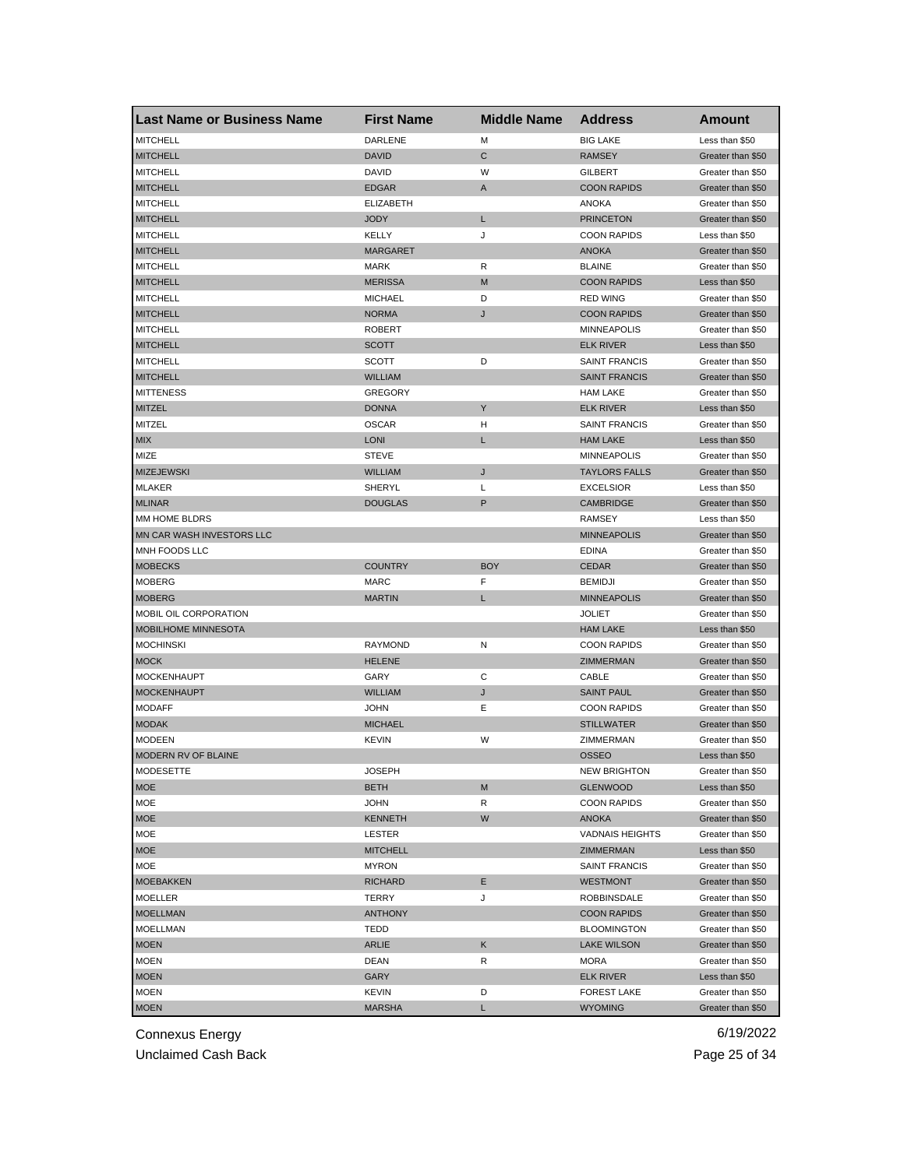| <b>Last Name or Business Name</b> | <b>First Name</b> | <b>Middle Name</b> | <b>Address</b>                  | Amount                              |
|-----------------------------------|-------------------|--------------------|---------------------------------|-------------------------------------|
| <b>MITCHELL</b>                   | DARLENE           | М                  | <b>BIG LAKE</b>                 | Less than \$50                      |
| <b>MITCHELL</b>                   | <b>DAVID</b>      | С                  | <b>RAMSEY</b>                   | Greater than \$50                   |
| <b>MITCHELL</b>                   | DAVID             | W                  | <b>GILBERT</b>                  | Greater than \$50                   |
| <b>MITCHELL</b>                   | <b>EDGAR</b>      | Α                  | <b>COON RAPIDS</b>              | Greater than \$50                   |
| <b>MITCHELL</b>                   | <b>ELIZABETH</b>  |                    | ANOKA                           | Greater than \$50                   |
| <b>MITCHELL</b>                   | <b>JODY</b>       | L                  | <b>PRINCETON</b>                | Greater than \$50                   |
| <b>MITCHELL</b>                   | KELLY             | J                  | <b>COON RAPIDS</b>              | Less than \$50                      |
| <b>MITCHELL</b>                   | <b>MARGARET</b>   |                    | <b>ANOKA</b>                    | Greater than \$50                   |
| <b>MITCHELL</b>                   | <b>MARK</b>       | R                  | <b>BLAINE</b>                   | Greater than \$50                   |
| <b>MITCHELL</b>                   | <b>MERISSA</b>    | M                  | <b>COON RAPIDS</b>              | Less than \$50                      |
| <b>MITCHELL</b>                   | <b>MICHAEL</b>    | D                  | <b>RED WING</b>                 | Greater than \$50                   |
| <b>MITCHELL</b>                   | <b>NORMA</b>      | J                  | <b>COON RAPIDS</b>              | Greater than \$50                   |
| <b>MITCHELL</b>                   | <b>ROBERT</b>     |                    | <b>MINNEAPOLIS</b>              | Greater than \$50                   |
| <b>MITCHELL</b>                   | SCOTT             |                    | <b>ELK RIVER</b>                | Less than \$50                      |
| <b>MITCHELL</b>                   | <b>SCOTT</b>      | D                  | <b>SAINT FRANCIS</b>            | Greater than \$50                   |
| <b>MITCHELL</b>                   | <b>WILLIAM</b>    |                    | <b>SAINT FRANCIS</b>            | Greater than \$50                   |
| <b>MITTENESS</b>                  | <b>GREGORY</b>    |                    | <b>HAM LAKE</b>                 | Greater than \$50                   |
| MITZEL                            | <b>DONNA</b>      | Y                  | <b>ELK RIVER</b>                | Less than \$50                      |
| MITZEL                            | <b>OSCAR</b>      | н                  | <b>SAINT FRANCIS</b>            | Greater than \$50                   |
| <b>MIX</b>                        | <b>LONI</b>       | L                  | <b>HAM LAKE</b>                 | Less than \$50                      |
| MIZE                              | <b>STEVE</b>      |                    | <b>MINNEAPOLIS</b>              | Greater than \$50                   |
| <b>MIZEJEWSKI</b>                 | <b>WILLIAM</b>    | J                  | <b>TAYLORS FALLS</b>            | Greater than \$50                   |
| <b>MLAKER</b>                     | SHERYL            | Г                  | <b>EXCELSIOR</b>                | Less than \$50                      |
| <b>MLINAR</b>                     | <b>DOUGLAS</b>    | P                  | <b>CAMBRIDGE</b>                | Greater than \$50                   |
| MM HOME BLDRS                     |                   |                    | <b>RAMSEY</b>                   | Less than \$50                      |
| MN CAR WASH INVESTORS LLC         |                   |                    | <b>MINNEAPOLIS</b>              | Greater than \$50                   |
| MNH FOODS LLC                     |                   |                    | <b>EDINA</b>                    | Greater than \$50                   |
| <b>MOBECKS</b>                    | <b>COUNTRY</b>    | <b>BOY</b>         | <b>CEDAR</b>                    | Greater than \$50                   |
| <b>MOBERG</b>                     | MARC              | F                  | <b>BEMIDJI</b>                  | Greater than \$50                   |
| <b>MOBERG</b>                     | <b>MARTIN</b>     | Г                  | <b>MINNEAPOLIS</b>              | Greater than \$50                   |
| MOBIL OIL CORPORATION             |                   |                    | <b>JOLIET</b>                   | Greater than \$50                   |
| MOBILHOME MINNESOTA               |                   |                    | <b>HAM LAKE</b>                 | Less than \$50                      |
| <b>MOCHINSKI</b>                  | <b>RAYMOND</b>    | Ν                  | <b>COON RAPIDS</b>              | Greater than \$50                   |
| <b>MOCK</b>                       | <b>HELENE</b>     |                    | <b>ZIMMERMAN</b>                | Greater than \$50                   |
| <b>MOCKENHAUPT</b>                | GARY              | С                  | CABLE                           | Greater than \$50                   |
| <b>MOCKENHAUPT</b>                | <b>WILLIAM</b>    | J                  | <b>SAINT PAUL</b>               | Greater than \$50                   |
| <b>MODAFF</b>                     | <b>JOHN</b>       | Ε                  | <b>COON RAPIDS</b>              | Greater than \$50                   |
| <b>MODAK</b>                      | <b>MICHAEL</b>    |                    | <b>STILLWATER</b>               | Greater than \$50                   |
| <b>MODEEN</b>                     | <b>KEVIN</b>      | W                  | ZIMMERMAN                       | Greater than \$50                   |
| MODERN RV OF BLAINE               |                   |                    | <b>OSSEO</b>                    | Less than \$50                      |
|                                   |                   |                    |                                 |                                     |
| <b>MODESETTE</b><br><b>MOE</b>    | JOSEPH            | M                  | NEW BRIGHTON<br><b>GLENWOOD</b> | Greater than \$50<br>Less than \$50 |
|                                   | BETH              |                    | <b>COON RAPIDS</b>              | Greater than \$50                   |
| <b>MOE</b>                        | <b>JOHN</b>       | R                  |                                 |                                     |
| <b>MOE</b>                        | KENNETH           | W                  | ANOKA                           | Greater than \$50                   |
| <b>MOE</b>                        | LESTER            |                    | <b>VADNAIS HEIGHTS</b>          | Greater than \$50                   |
| <b>MOE</b>                        | <b>MITCHELL</b>   |                    | ZIMMERMAN                       | Less than \$50                      |
| <b>MOE</b>                        | <b>MYRON</b>      |                    | SAINT FRANCIS                   | Greater than \$50                   |
| <b>MOEBAKKEN</b>                  | <b>RICHARD</b>    | Е                  | <b>WESTMONT</b>                 | Greater than \$50                   |
| MOELLER                           | <b>TERRY</b>      | J                  | ROBBINSDALE                     | Greater than \$50                   |
| <b>MOELLMAN</b>                   | <b>ANTHONY</b>    |                    | <b>COON RAPIDS</b>              | Greater than \$50                   |
| <b>MOELLMAN</b>                   | TEDD              |                    | <b>BLOOMINGTON</b>              | Greater than \$50                   |
| <b>MOEN</b>                       | ARLIE             | Κ                  | <b>LAKE WILSON</b>              | Greater than \$50                   |
| <b>MOEN</b>                       | DEAN              | R                  | MORA                            | Greater than \$50                   |
| <b>MOEN</b>                       | GARY              |                    | <b>ELK RIVER</b>                | Less than \$50                      |
| <b>MOEN</b>                       | KEVIN             | D                  | <b>FOREST LAKE</b>              | Greater than \$50                   |
| <b>MOEN</b>                       | <b>MARSHA</b>     | L                  | <b>WYOMING</b>                  | Greater than \$50                   |

Unclaimed Cash Back **Page 25 of 34**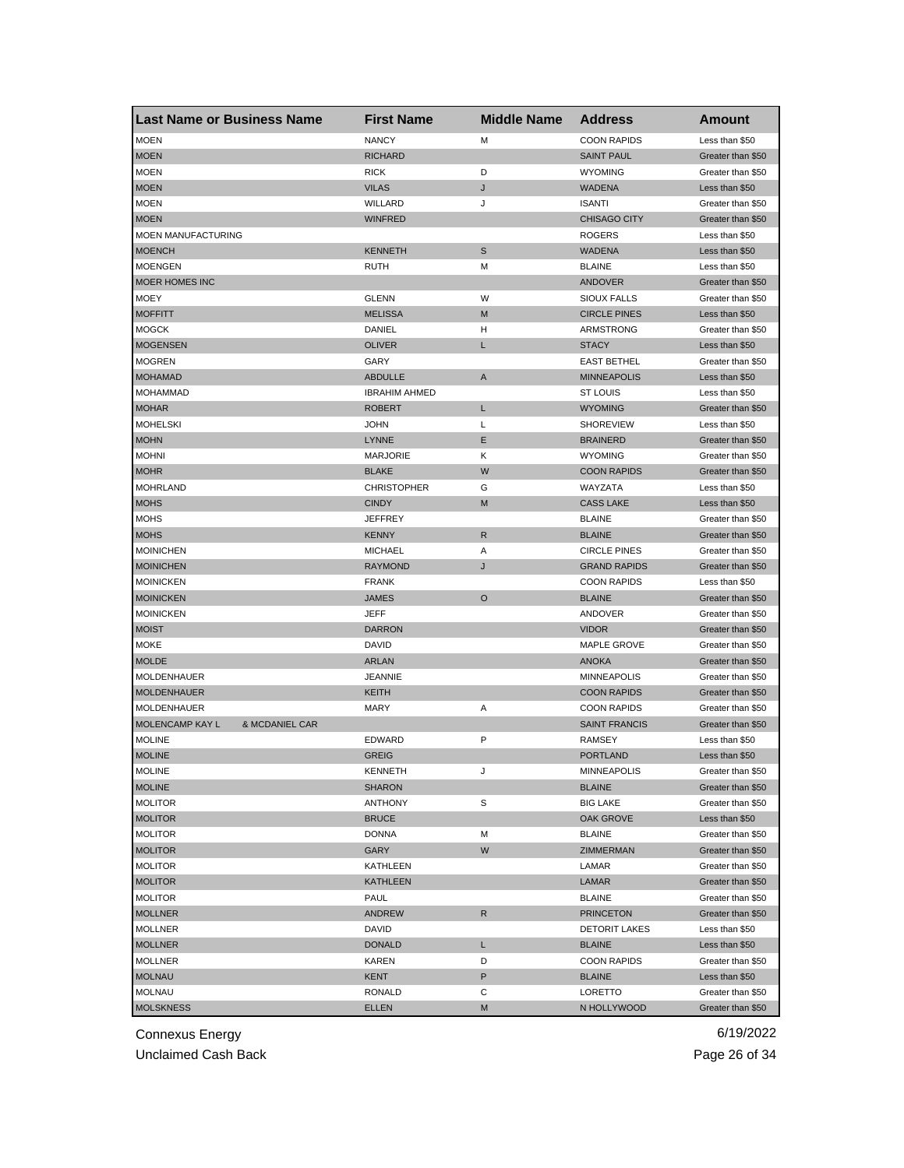| <b>Last Name or Business Name</b> | <b>First Name</b>    | <b>Middle Name</b> | <b>Address</b>       | Amount            |
|-----------------------------------|----------------------|--------------------|----------------------|-------------------|
| <b>MOEN</b>                       | <b>NANCY</b>         | М                  | <b>COON RAPIDS</b>   | Less than \$50    |
| <b>MOEN</b>                       | <b>RICHARD</b>       |                    | <b>SAINT PAUL</b>    | Greater than \$50 |
| <b>MOEN</b>                       | <b>RICK</b>          | D                  | <b>WYOMING</b>       | Greater than \$50 |
| <b>MOEN</b>                       | <b>VILAS</b>         | J                  | WADENA               | Less than \$50    |
| <b>MOEN</b>                       | WILLARD              | J                  | <b>ISANTI</b>        | Greater than \$50 |
| <b>MOEN</b>                       | <b>WINFRED</b>       |                    | <b>CHISAGO CITY</b>  | Greater than \$50 |
| MOEN MANUFACTURING                |                      |                    | <b>ROGERS</b>        | Less than \$50    |
| <b>MOENCH</b>                     | <b>KENNETH</b>       | S                  | <b>WADENA</b>        | Less than \$50    |
| <b>MOENGEN</b>                    | RUTH                 | м                  | <b>BLAINE</b>        | Less than \$50    |
| <b>MOER HOMES INC</b>             |                      |                    | <b>ANDOVER</b>       | Greater than \$50 |
| MOEY                              | <b>GLENN</b>         | W                  | <b>SIOUX FALLS</b>   | Greater than \$50 |
| <b>MOFFITT</b>                    | <b>MELISSA</b>       | M                  | <b>CIRCLE PINES</b>  | Less than \$50    |
| <b>MOGCK</b>                      | DANIEL               | н                  | ARMSTRONG            | Greater than \$50 |
| <b>MOGENSEN</b>                   | <b>OLIVER</b>        | L                  | <b>STACY</b>         | Less than \$50    |
| <b>MOGREN</b>                     | GARY                 |                    | <b>EAST BETHEL</b>   | Greater than \$50 |
| <b>MOHAMAD</b>                    | <b>ABDULLE</b>       | A                  | <b>MINNEAPOLIS</b>   | Less than \$50    |
| <b>MOHAMMAD</b>                   | <b>IBRAHIM AHMED</b> |                    | ST LOUIS             | Less than \$50    |
| <b>MOHAR</b>                      | <b>ROBERT</b>        | L.                 | <b>WYOMING</b>       | Greater than \$50 |
| <b>MOHELSKI</b>                   | JOHN                 | Г                  | <b>SHOREVIEW</b>     | Less than \$50    |
| <b>MOHN</b>                       | <b>LYNNE</b>         | Ε                  | <b>BRAINERD</b>      | Greater than \$50 |
| <b>MOHNI</b>                      | <b>MARJORIE</b>      | Κ                  | <b>WYOMING</b>       | Greater than \$50 |
| <b>MOHR</b>                       | <b>BLAKE</b>         | W                  | <b>COON RAPIDS</b>   | Greater than \$50 |
| <b>MOHRLAND</b>                   | <b>CHRISTOPHER</b>   | G                  | WAYZATA              | Less than \$50    |
| <b>MOHS</b>                       | <b>CINDY</b>         | M                  | <b>CASS LAKE</b>     | Less than \$50    |
| <b>MOHS</b>                       | JEFFREY              |                    | <b>BLAINE</b>        | Greater than \$50 |
| <b>MOHS</b>                       | <b>KENNY</b>         | R                  | <b>BLAINE</b>        | Greater than \$50 |
| <b>MOINICHEN</b>                  | <b>MICHAEL</b>       | Α                  | <b>CIRCLE PINES</b>  | Greater than \$50 |
| <b>MOINICHEN</b>                  | <b>RAYMOND</b>       | J                  | <b>GRAND RAPIDS</b>  | Greater than \$50 |
| <b>MOINICKEN</b>                  | <b>FRANK</b>         |                    | <b>COON RAPIDS</b>   | Less than \$50    |
| <b>MOINICKEN</b>                  | JAMES                | O                  | <b>BLAINE</b>        | Greater than \$50 |
| <b>MOINICKEN</b>                  | JEFF                 |                    | ANDOVER              | Greater than \$50 |
| <b>MOIST</b>                      | <b>DARRON</b>        |                    | <b>VIDOR</b>         | Greater than \$50 |
| <b>MOKE</b>                       | DAVID                |                    | <b>MAPLE GROVE</b>   | Greater than \$50 |
| <b>MOLDE</b>                      | <b>ARLAN</b>         |                    | <b>ANOKA</b>         | Greater than \$50 |
| MOLDENHAUER                       | <b>JEANNIE</b>       |                    | <b>MINNEAPOLIS</b>   | Greater than \$50 |
| <b>MOLDENHAUER</b>                | KEITH                |                    | <b>COON RAPIDS</b>   | Greater than \$50 |
| MOLDENHAUER                       | <b>MARY</b>          | Α                  | <b>COON RAPIDS</b>   | Greater than \$50 |
| & MCDANIEL CAR<br>MOLENCAMP KAY L |                      |                    | <b>SAINT FRANCIS</b> | Greater than \$50 |
| <b>MOLINE</b>                     | EDWARD               | P                  | <b>RAMSEY</b>        | Less than \$50    |
| <b>MOLINE</b>                     | <b>GREIG</b>         |                    | <b>PORTLAND</b>      | Less than \$50    |
| <b>MOLINE</b>                     | KENNETH              | J                  | <b>MINNEAPOLIS</b>   | Greater than \$50 |
| <b>MOLINE</b>                     | <b>SHARON</b>        |                    | <b>BLAINE</b>        | Greater than \$50 |
| <b>MOLITOR</b>                    | <b>ANTHONY</b>       | S                  | <b>BIG LAKE</b>      | Greater than \$50 |
| <b>MOLITOR</b>                    | <b>BRUCE</b>         |                    | OAK GROVE            | Less than \$50    |
| <b>MOLITOR</b>                    | <b>DONNA</b>         | М                  | <b>BLAINE</b>        | Greater than \$50 |
| <b>MOLITOR</b>                    | GARY                 | W                  | <b>ZIMMERMAN</b>     | Greater than \$50 |
| <b>MOLITOR</b>                    | KATHLEEN             |                    | LAMAR                | Greater than \$50 |
| <b>MOLITOR</b>                    | <b>KATHLEEN</b>      |                    | <b>LAMAR</b>         | Greater than \$50 |
| <b>MOLITOR</b>                    | PAUL                 |                    | <b>BLAINE</b>        | Greater than \$50 |
| <b>MOLLNER</b>                    | ANDREW               | R                  | <b>PRINCETON</b>     | Greater than \$50 |
| <b>MOLLNER</b>                    | DAVID                |                    | <b>DETORIT LAKES</b> | Less than \$50    |
| <b>MOLLNER</b>                    | <b>DONALD</b>        | L                  | <b>BLAINE</b>        | Less than \$50    |
| <b>MOLLNER</b>                    | KAREN                | D                  | <b>COON RAPIDS</b>   | Greater than \$50 |
| <b>MOLNAU</b>                     | KENT                 | P                  | <b>BLAINE</b>        | Less than \$50    |
| <b>MOLNAU</b>                     | <b>RONALD</b>        | С                  | LORETTO              | Greater than \$50 |
| <b>MOLSKNESS</b>                  | ELLEN                | M                  | N HOLLYWOOD          | Greater than \$50 |

Unclaimed Cash Back **Page 26 of 34**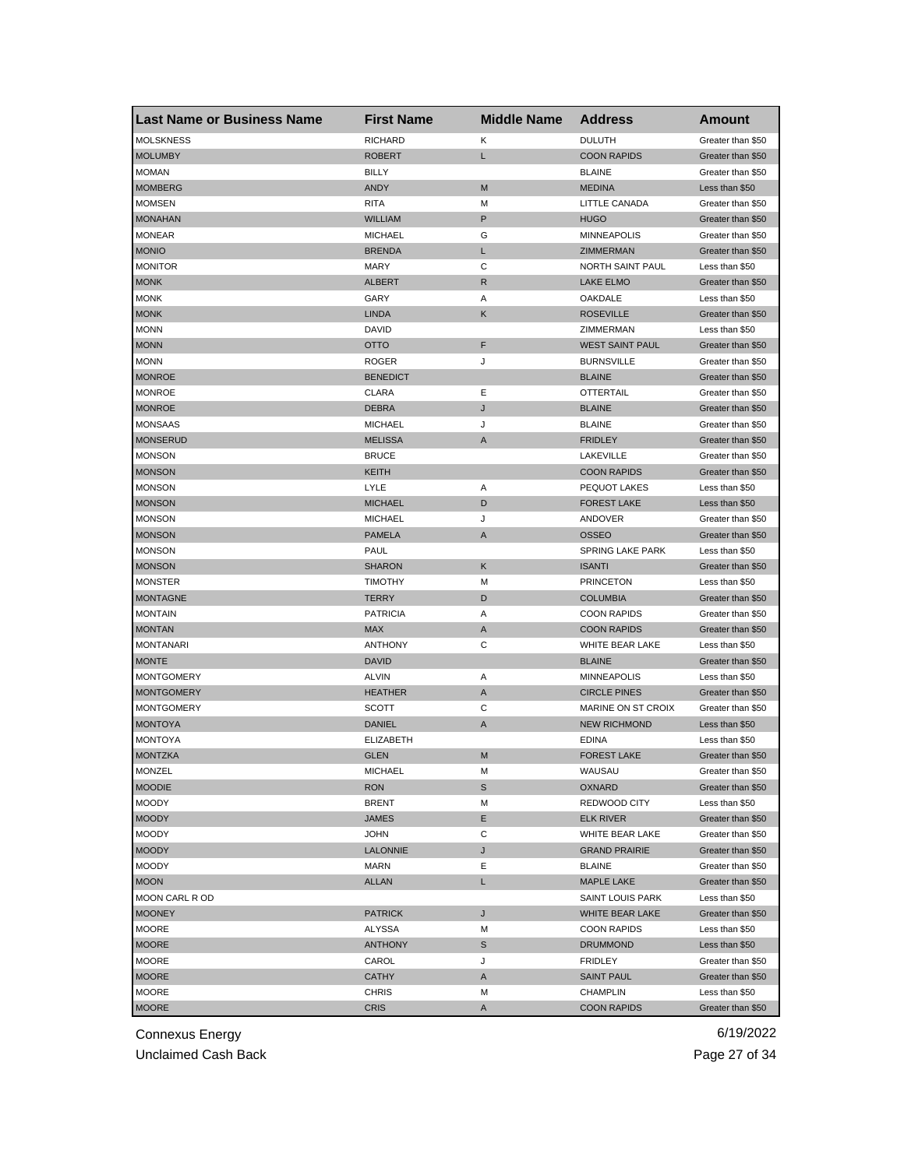| <b>Last Name or Business Name</b> | <b>First Name</b> | <b>Middle Name</b> | <b>Address</b>          | Amount            |
|-----------------------------------|-------------------|--------------------|-------------------------|-------------------|
| <b>MOLSKNESS</b>                  | <b>RICHARD</b>    | Κ                  | <b>DULUTH</b>           | Greater than \$50 |
| <b>MOLUMBY</b>                    | <b>ROBERT</b>     | L                  | <b>COON RAPIDS</b>      | Greater than \$50 |
| <b>MOMAN</b>                      | <b>BILLY</b>      |                    | <b>BLAINE</b>           | Greater than \$50 |
| <b>MOMBERG</b>                    | <b>ANDY</b>       | M                  | <b>MEDINA</b>           | Less than \$50    |
| <b>MOMSEN</b>                     | <b>RITA</b>       | M                  | LITTLE CANADA           | Greater than \$50 |
| <b>MONAHAN</b>                    | <b>WILLIAM</b>    | P                  | <b>HUGO</b>             | Greater than \$50 |
| <b>MONEAR</b>                     | <b>MICHAEL</b>    | G                  | <b>MINNEAPOLIS</b>      | Greater than \$50 |
| <b>MONIO</b>                      | <b>BRENDA</b>     | L                  | <b>ZIMMERMAN</b>        | Greater than \$50 |
| <b>MONITOR</b>                    | <b>MARY</b>       | С                  | NORTH SAINT PAUL        | Less than \$50    |
| <b>MONK</b>                       | <b>ALBERT</b>     | R                  | <b>LAKE ELMO</b>        | Greater than \$50 |
| <b>MONK</b>                       | GARY              | Α                  | OAKDALE                 | Less than \$50    |
| <b>MONK</b>                       | <b>LINDA</b>      | Κ                  | <b>ROSEVILLE</b>        | Greater than \$50 |
| <b>MONN</b>                       | <b>DAVID</b>      |                    | ZIMMERMAN               | Less than \$50    |
| <b>MONN</b>                       | <b>OTTO</b>       | F                  | <b>WEST SAINT PAUL</b>  | Greater than \$50 |
| <b>MONN</b>                       | <b>ROGER</b>      | J                  | <b>BURNSVILLE</b>       | Greater than \$50 |
| <b>MONROE</b>                     | <b>BENEDICT</b>   |                    | <b>BLAINE</b>           | Greater than \$50 |
| <b>MONROE</b>                     | <b>CLARA</b>      | Ε                  | <b>OTTERTAIL</b>        | Greater than \$50 |
| <b>MONROE</b>                     | <b>DEBRA</b>      | J                  | <b>BLAINE</b>           | Greater than \$50 |
| <b>MONSAAS</b>                    | <b>MICHAEL</b>    | J                  | <b>BLAINE</b>           | Greater than \$50 |
| <b>MONSERUD</b>                   | <b>MELISSA</b>    | A                  | <b>FRIDLEY</b>          | Greater than \$50 |
| <b>MONSON</b>                     | <b>BRUCE</b>      |                    | LAKEVILLE               | Greater than \$50 |
| <b>MONSON</b>                     | KEITH             |                    | <b>COON RAPIDS</b>      | Greater than \$50 |
| <b>MONSON</b>                     | LYLE              | Α                  | PEQUOT LAKES            | Less than \$50    |
| <b>MONSON</b>                     | <b>MICHAEL</b>    | D                  | <b>FOREST LAKE</b>      | Less than \$50    |
| <b>MONSON</b>                     | <b>MICHAEL</b>    | J                  | ANDOVER                 | Greater than \$50 |
| <b>MONSON</b>                     | <b>PAMELA</b>     | A                  | <b>OSSEO</b>            | Greater than \$50 |
| <b>MONSON</b>                     | PAUL              |                    | <b>SPRING LAKE PARK</b> | Less than \$50    |
| <b>MONSON</b>                     | <b>SHARON</b>     | Κ                  | <b>ISANTI</b>           | Greater than \$50 |
| <b>MONSTER</b>                    | <b>TIMOTHY</b>    | М                  | <b>PRINCETON</b>        | Less than \$50    |
| <b>MONTAGNE</b>                   | <b>TERRY</b>      | D                  | <b>COLUMBIA</b>         | Greater than \$50 |
| <b>MONTAIN</b>                    | <b>PATRICIA</b>   | Α                  | <b>COON RAPIDS</b>      | Greater than \$50 |
| <b>MONTAN</b>                     | <b>MAX</b>        | A                  | <b>COON RAPIDS</b>      | Greater than \$50 |
| <b>MONTANARI</b>                  | <b>ANTHONY</b>    | C                  | WHITE BEAR LAKE         | Less than \$50    |
| <b>MONTE</b>                      | <b>DAVID</b>      |                    | <b>BLAINE</b>           | Greater than \$50 |
| <b>MONTGOMERY</b>                 | <b>ALVIN</b>      | Α                  | <b>MINNEAPOLIS</b>      | Less than \$50    |
| <b>MONTGOMERY</b>                 | <b>HEATHER</b>    | A                  | <b>CIRCLE PINES</b>     | Greater than \$50 |
| <b>MONTGOMERY</b>                 | SCOTT             | С                  | MARINE ON ST CROIX      | Greater than \$50 |
| <b>MONTOYA</b>                    | DANIEL            | A                  | <b>NEW RICHMOND</b>     | Less than \$50    |
| MONTOYA                           | <b>ELIZABETH</b>  |                    | <b>EDINA</b>            | Less than \$50    |
| <b>MONTZKA</b>                    | <b>GLEN</b>       | M                  | <b>FOREST LAKE</b>      | Greater than \$50 |
| <b>MONZEL</b>                     | MICHAEL           | M                  | WAUSAU                  | Greater than \$50 |
| <b>MOODIE</b>                     | <b>RON</b>        | S                  | OXNARD                  | Greater than \$50 |
| <b>MOODY</b>                      | <b>BRENT</b>      | M                  | REDWOOD CITY            | Less than \$50    |
| <b>MOODY</b>                      | JAMES             | Е                  | <b>ELK RIVER</b>        | Greater than \$50 |
| <b>MOODY</b>                      | <b>JOHN</b>       | С                  | WHITE BEAR LAKE         | Greater than \$50 |
| <b>MOODY</b>                      | LALONNIE          | J                  | <b>GRAND PRAIRIE</b>    | Greater than \$50 |
| <b>MOODY</b>                      | <b>MARN</b>       | Ε                  | <b>BLAINE</b>           | Greater than \$50 |
| <b>MOON</b>                       | <b>ALLAN</b>      | L                  | <b>MAPLE LAKE</b>       | Greater than \$50 |
| MOON CARL R OD                    |                   |                    | SAINT LOUIS PARK        | Less than \$50    |
| <b>MOONEY</b>                     | <b>PATRICK</b>    | J                  | WHITE BEAR LAKE         | Greater than \$50 |
| MOORE                             | ALYSSA            | М                  | <b>COON RAPIDS</b>      | Less than \$50    |
|                                   | <b>ANTHONY</b>    |                    |                         |                   |
| <b>MOORE</b><br>MOORE             |                   | S<br>J             | <b>DRUMMOND</b>         | Less than \$50    |
|                                   | CAROL             |                    | <b>FRIDLEY</b>          | Greater than \$50 |
| <b>MOORE</b>                      | CATHY             | A                  | <b>SAINT PAUL</b>       | Greater than \$50 |
| <b>MOORE</b>                      | CHRIS             | M                  | <b>CHAMPLIN</b>         | Less than \$50    |
| <b>MOORE</b>                      | <b>CRIS</b>       | A                  | <b>COON RAPIDS</b>      | Greater than \$50 |

Unclaimed Cash Back **Page 27 of 34**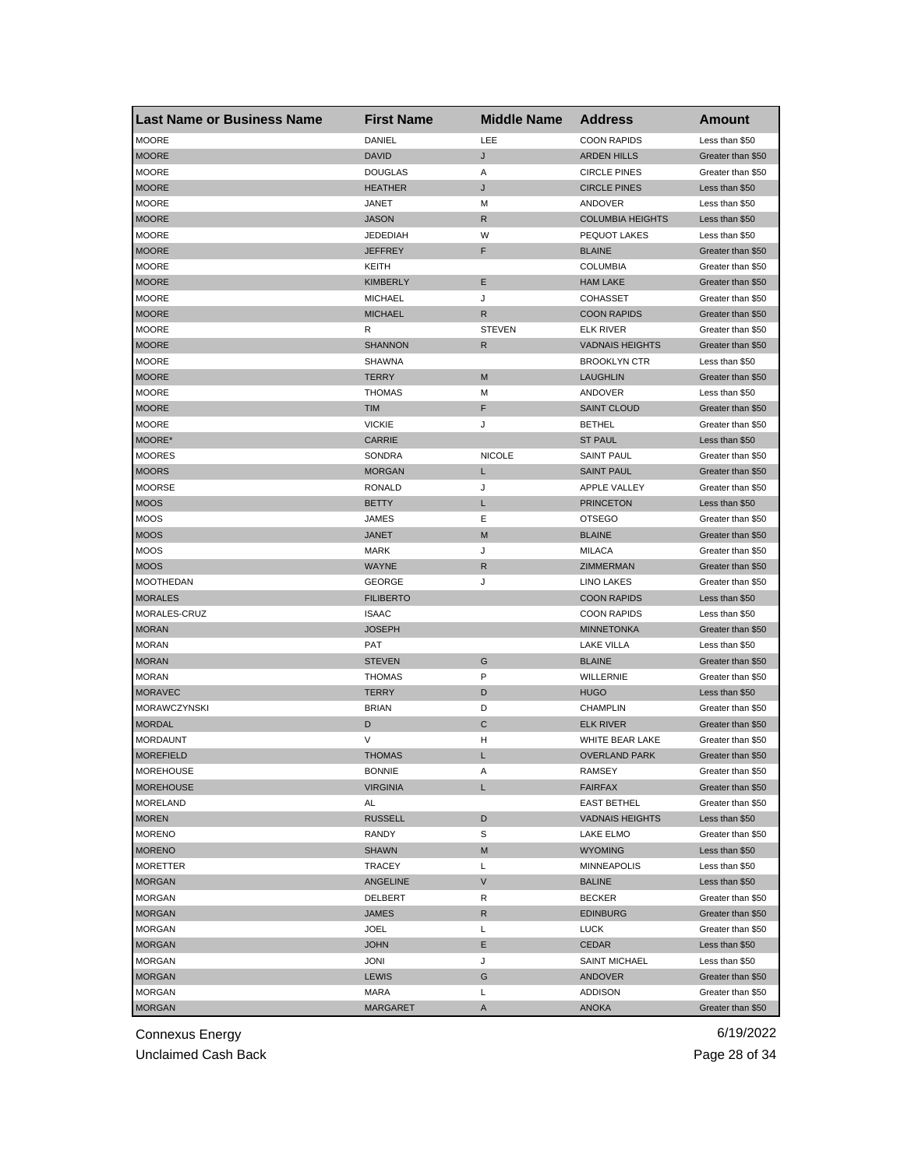| DANIEL<br>LEE<br><b>MOORE</b><br><b>COON RAPIDS</b><br>Less than \$50<br><b>DAVID</b><br><b>MOORE</b><br>J<br><b>ARDEN HILLS</b><br>Greater than \$50<br><b>MOORE</b><br><b>DOUGLAS</b><br>Α<br><b>CIRCLE PINES</b><br>Greater than \$50 |  |
|------------------------------------------------------------------------------------------------------------------------------------------------------------------------------------------------------------------------------------------|--|
|                                                                                                                                                                                                                                          |  |
|                                                                                                                                                                                                                                          |  |
|                                                                                                                                                                                                                                          |  |
| <b>MOORE</b><br>J<br><b>CIRCLE PINES</b><br><b>HEATHER</b><br>Less than \$50                                                                                                                                                             |  |
| <b>MOORE</b><br>JANET<br>М<br>ANDOVER<br>Less than \$50                                                                                                                                                                                  |  |
| <b>COLUMBIA HEIGHTS</b><br><b>MOORE</b><br><b>JASON</b><br>R<br>Less than \$50                                                                                                                                                           |  |
| <b>MOORE</b><br><b>JEDEDIAH</b><br>W<br>PEQUOT LAKES<br>Less than \$50                                                                                                                                                                   |  |
| <b>MOORE</b><br><b>JEFFREY</b><br>F<br><b>BLAINE</b><br>Greater than \$50                                                                                                                                                                |  |
| <b>MOORE</b><br><b>COLUMBIA</b><br>Greater than \$50<br>KEITH                                                                                                                                                                            |  |
| <b>MOORE</b><br><b>KIMBERLY</b><br>Ε<br><b>HAM LAKE</b><br>Greater than \$50                                                                                                                                                             |  |
| <b>MOORE</b><br><b>MICHAEL</b><br>J<br><b>COHASSET</b><br>Greater than \$50                                                                                                                                                              |  |
| <b>MOORE</b><br><b>MICHAEL</b><br><b>COON RAPIDS</b><br>R<br>Greater than \$50                                                                                                                                                           |  |
| <b>STEVEN</b><br><b>MOORE</b><br>R<br>ELK RIVER<br>Greater than \$50                                                                                                                                                                     |  |
| <b>MOORE</b><br><b>SHANNON</b><br>R<br><b>VADNAIS HEIGHTS</b><br>Greater than \$50                                                                                                                                                       |  |
| <b>MOORE</b><br>SHAWNA<br><b>BROOKLYN CTR</b><br>Less than \$50                                                                                                                                                                          |  |
| <b>MOORE</b><br><b>TERRY</b><br>M<br><b>LAUGHLIN</b><br>Greater than \$50                                                                                                                                                                |  |
| <b>MOORE</b><br><b>THOMAS</b><br>ANDOVER<br>М<br>Less than \$50                                                                                                                                                                          |  |
| F<br><b>MOORE</b><br><b>TIM</b><br><b>SAINT CLOUD</b><br>Greater than \$50                                                                                                                                                               |  |
| <b>MOORE</b><br><b>VICKIE</b><br>J<br><b>BETHEL</b><br>Greater than \$50                                                                                                                                                                 |  |
| MOORE*<br><b>CARRIE</b><br><b>ST PAUL</b><br>Less than \$50                                                                                                                                                                              |  |
| <b>MOORES</b><br><b>NICOLE</b><br><b>SAINT PAUL</b><br>SONDRA<br>Greater than \$50                                                                                                                                                       |  |
| <b>MOORS</b><br><b>MORGAN</b><br>L<br><b>SAINT PAUL</b><br>Greater than \$50                                                                                                                                                             |  |
| <b>MOORSE</b><br><b>RONALD</b><br>J<br><b>APPLE VALLEY</b><br>Greater than \$50                                                                                                                                                          |  |
| <b>MOOS</b><br><b>BETTY</b><br>L<br><b>PRINCETON</b><br>Less than \$50                                                                                                                                                                   |  |
| <b>MOOS</b><br><b>JAMES</b><br>Ε<br><b>OTSEGO</b><br>Greater than \$50                                                                                                                                                                   |  |
| <b>MOOS</b><br><b>JANET</b><br><b>BLAINE</b><br>M<br>Greater than \$50                                                                                                                                                                   |  |
| <b>MOOS</b><br><b>MARK</b><br>J<br><b>MILACA</b><br>Greater than \$50                                                                                                                                                                    |  |
| <b>WAYNE</b><br>R<br>ZIMMERMAN<br><b>MOOS</b><br>Greater than \$50                                                                                                                                                                       |  |
| J<br><b>GEORGE</b><br>MOOTHEDAN<br>LINO LAKES<br>Greater than \$50                                                                                                                                                                       |  |
| <b>MORALES</b><br><b>FILIBERTO</b><br><b>COON RAPIDS</b><br>Less than \$50                                                                                                                                                               |  |
| MORALES-CRUZ<br><b>ISAAC</b><br><b>COON RAPIDS</b><br>Less than \$50                                                                                                                                                                     |  |
| <b>MORAN</b><br><b>JOSEPH</b><br><b>MINNETONKA</b><br>Greater than \$50                                                                                                                                                                  |  |
| <b>MORAN</b><br><b>LAKE VILLA</b><br>PAT<br>Less than \$50                                                                                                                                                                               |  |
| G<br><b>MORAN</b><br><b>STEVEN</b><br><b>BLAINE</b><br>Greater than \$50                                                                                                                                                                 |  |
| P<br><b>MORAN</b><br>WILLERNIE<br>Greater than \$50<br><b>THOMAS</b>                                                                                                                                                                     |  |
| <b>MORAVEC</b><br><b>TERRY</b><br>D<br><b>HUGO</b><br>Less than \$50                                                                                                                                                                     |  |
| MORAWCZYNSKI<br><b>BRIAN</b><br>D<br><b>CHAMPLIN</b><br>Greater than \$50                                                                                                                                                                |  |
| <b>MORDAL</b><br>D<br>С<br><b>ELK RIVER</b><br>Greater than \$50                                                                                                                                                                         |  |
| V<br><b>MORDAUNT</b><br>н<br>WHITE BEAR LAKE<br>Greater than \$50                                                                                                                                                                        |  |
| <b>MOREFIELD</b><br><b>THOMAS</b><br><b>OVERLAND PARK</b><br>Greater than \$50<br>L                                                                                                                                                      |  |
| <b>MOREHOUSE</b><br><b>BONNIE</b><br>A<br>RAMSEY<br>Greater than \$50                                                                                                                                                                    |  |
| <b>MOREHOUSE</b><br><b>VIRGINIA</b><br>L<br><b>FAIRFAX</b><br>Greater than \$50                                                                                                                                                          |  |
| <b>MORELAND</b><br>AL<br><b>EAST BETHEL</b><br>Greater than \$50                                                                                                                                                                         |  |
| <b>MOREN</b><br>RUSSELL<br>D<br><b>VADNAIS HEIGHTS</b><br>Less than \$50                                                                                                                                                                 |  |
| <b>MORENO</b><br>RANDY<br>S<br>LAKE ELMO<br>Greater than \$50                                                                                                                                                                            |  |
| <b>MORENO</b><br><b>SHAWN</b><br>M<br><b>WYOMING</b><br>Less than \$50                                                                                                                                                                   |  |
| <b>MORETTER</b><br>TRACEY<br>Г<br><b>MINNEAPOLIS</b><br>Less than \$50                                                                                                                                                                   |  |
| V<br><b>MORGAN</b><br><b>BALINE</b><br>ANGELINE<br>Less than \$50                                                                                                                                                                        |  |
| <b>MORGAN</b><br>R<br><b>BECKER</b><br>Greater than \$50<br>DELBERT                                                                                                                                                                      |  |
| <b>MORGAN</b><br>JAMES<br>R<br><b>EDINBURG</b><br>Greater than \$50                                                                                                                                                                      |  |
| <b>MORGAN</b><br>L<br>JOEL<br>LUCK<br>Greater than \$50                                                                                                                                                                                  |  |
| <b>MORGAN</b><br><b>JOHN</b><br>Е<br><b>CEDAR</b><br>Less than \$50                                                                                                                                                                      |  |
| MORGAN<br>JONI<br>J<br><b>SAINT MICHAEL</b><br>Less than \$50                                                                                                                                                                            |  |
| <b>MORGAN</b><br>LEWIS<br>G<br>ANDOVER<br>Greater than \$50                                                                                                                                                                              |  |
| <b>MORGAN</b><br>MARA<br>L<br><b>ADDISON</b><br>Greater than \$50                                                                                                                                                                        |  |
| <b>MORGAN</b><br><b>MARGARET</b><br>Α<br><b>ANOKA</b><br>Greater than \$50                                                                                                                                                               |  |

Unclaimed Cash Back **Page 28 of 34**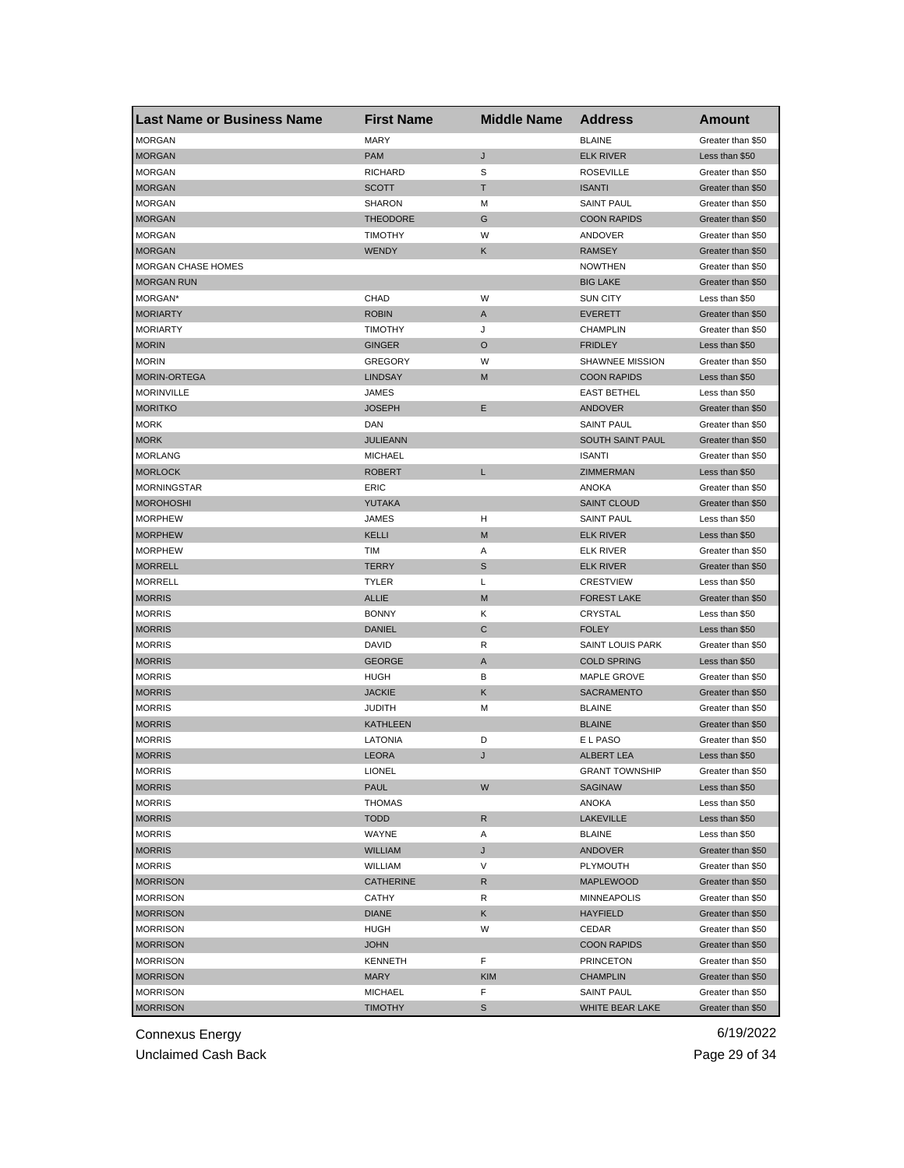| <b>Last Name or Business Name</b>  | <b>First Name</b>                | <b>Middle Name</b> | <b>Address</b>          | <b>Amount</b>                          |
|------------------------------------|----------------------------------|--------------------|-------------------------|----------------------------------------|
| <b>MORGAN</b>                      | <b>MARY</b>                      |                    | <b>BLAINE</b>           | Greater than \$50                      |
| <b>MORGAN</b>                      | <b>PAM</b>                       | J                  | <b>ELK RIVER</b>        | Less than \$50                         |
| <b>MORGAN</b>                      | <b>RICHARD</b>                   | S                  | <b>ROSEVILLE</b>        | Greater than \$50                      |
| <b>MORGAN</b>                      | <b>SCOTT</b>                     | Τ                  | <b>ISANTI</b>           | Greater than \$50                      |
| <b>MORGAN</b>                      | SHARON                           | М                  | <b>SAINT PAUL</b>       | Greater than \$50                      |
| <b>MORGAN</b>                      | <b>THEODORE</b>                  | G                  | <b>COON RAPIDS</b>      | Greater than \$50                      |
| <b>MORGAN</b>                      | <b>TIMOTHY</b>                   | W                  | ANDOVER                 | Greater than \$50                      |
| <b>MORGAN</b>                      | WENDY                            | Κ                  | <b>RAMSEY</b>           | Greater than \$50                      |
| MORGAN CHASE HOMES                 |                                  |                    | <b>NOWTHEN</b>          | Greater than \$50                      |
| <b>MORGAN RUN</b>                  |                                  |                    | <b>BIG LAKE</b>         | Greater than \$50                      |
| MORGAN*                            | CHAD                             | W                  | <b>SUN CITY</b>         | Less than \$50                         |
| <b>MORIARTY</b>                    | <b>ROBIN</b>                     | A                  | <b>EVERETT</b>          | Greater than \$50                      |
| <b>MORIARTY</b>                    | <b>TIMOTHY</b>                   | J                  | <b>CHAMPLIN</b>         | Greater than \$50                      |
| <b>MORIN</b>                       | <b>GINGER</b>                    | $\circ$            | <b>FRIDLEY</b>          | Less than \$50                         |
| <b>MORIN</b>                       | <b>GREGORY</b>                   | W                  | SHAWNEE MISSION         | Greater than \$50                      |
| MORIN-ORTEGA                       | LINDSAY                          | M                  | <b>COON RAPIDS</b>      | Less than \$50                         |
| <b>MORINVILLE</b>                  | JAMES                            |                    | <b>EAST BETHEL</b>      | Less than \$50                         |
| <b>MORITKO</b>                     | <b>JOSEPH</b>                    | Ε                  | ANDOVER                 | Greater than \$50                      |
| <b>MORK</b>                        | DAN                              |                    | <b>SAINT PAUL</b>       | Greater than \$50                      |
| <b>MORK</b>                        | <b>JULIEANN</b>                  |                    | <b>SOUTH SAINT PAUL</b> | Greater than \$50                      |
| <b>MORLANG</b>                     | <b>MICHAEL</b>                   |                    | <b>ISANTI</b>           | Greater than \$50                      |
| <b>MORLOCK</b>                     | <b>ROBERT</b>                    | L                  | ZIMMERMAN               | Less than \$50                         |
| <b>MORNINGSTAR</b>                 | ERIC                             |                    | <b>ANOKA</b>            | Greater than \$50                      |
| <b>MOROHOSHI</b>                   | YUTAKA                           |                    | <b>SAINT CLOUD</b>      | Greater than \$50                      |
| <b>MORPHEW</b>                     | JAMES                            | н                  | <b>SAINT PAUL</b>       | Less than \$50                         |
| <b>MORPHEW</b>                     | <b>KELLI</b>                     | M                  | <b>ELK RIVER</b>        | Less than \$50                         |
| <b>MORPHEW</b>                     | <b>TIM</b>                       | Α                  | <b>ELK RIVER</b>        | Greater than \$50                      |
| <b>MORRELL</b>                     | <b>TERRY</b>                     | S                  | <b>ELK RIVER</b>        | Greater than \$50                      |
| <b>MORRELL</b>                     | <b>TYLER</b>                     | Г                  | <b>CRESTVIEW</b>        | Less than \$50                         |
| <b>MORRIS</b>                      | <b>ALLIE</b>                     | M                  | <b>FOREST LAKE</b>      | Greater than \$50                      |
| <b>MORRIS</b>                      | <b>BONNY</b>                     | Κ                  | CRYSTAL                 | Less than \$50                         |
| <b>MORRIS</b>                      | DANIEL                           | $\mathsf{C}$       | <b>FOLEY</b>            | Less than \$50                         |
| <b>MORRIS</b>                      | DAVID                            | R                  | SAINT LOUIS PARK        | Greater than \$50                      |
| <b>MORRIS</b>                      | <b>GEORGE</b>                    | A                  | <b>COLD SPRING</b>      | Less than \$50                         |
| <b>MORRIS</b>                      | <b>HUGH</b>                      | в                  | MAPLE GROVE             | Greater than \$50                      |
| <b>MORRIS</b>                      | <b>JACKIE</b>                    | Κ                  | <b>SACRAMENTO</b>       | Greater than \$50                      |
| <b>MORRIS</b>                      | <b>JUDITH</b>                    | M                  | <b>BLAINE</b>           | Greater than \$50                      |
| <b>MORRIS</b>                      | <b>KATHLEEN</b>                  |                    | <b>BLAINE</b>           | Greater than \$50                      |
| <b>MORRIS</b>                      | LATONIA                          | D                  | E L PASO                | Greater than \$50                      |
| <b>MORRIS</b>                      | <b>LEORA</b>                     | J                  | <b>ALBERT LEA</b>       | Less than \$50                         |
|                                    | LIONEL                           |                    | <b>GRANT TOWNSHIP</b>   | Greater than \$50                      |
| <b>MORRIS</b><br><b>MORRIS</b>     | <b>PAUL</b>                      | W                  | SAGINAW                 | Less than \$50                         |
| <b>MORRIS</b>                      | <b>THOMAS</b>                    |                    | ANOKA                   | Less than \$50                         |
| <b>MORRIS</b>                      | <b>TODD</b>                      | R                  | <b>LAKEVILLE</b>        | Less than \$50                         |
| <b>MORRIS</b>                      | WAYNE                            | Α                  | <b>BLAINE</b>           | Less than \$50                         |
| <b>MORRIS</b>                      | <b>WILLIAM</b>                   | J                  | <b>ANDOVER</b>          | Greater than \$50                      |
| <b>MORRIS</b>                      | WILLIAM                          | V                  | PLYMOUTH                | Greater than \$50                      |
|                                    |                                  |                    |                         |                                        |
| <b>MORRISON</b><br><b>MORRISON</b> | <b>CATHERINE</b><br><b>CATHY</b> | R<br>R             | <b>MAPLEWOOD</b>        | Greater than \$50<br>Greater than \$50 |
|                                    |                                  |                    | MINNEAPOLIS             |                                        |
| <b>MORRISON</b>                    | <b>DIANE</b>                     | Κ                  | <b>HAYFIELD</b>         | Greater than \$50                      |
| <b>MORRISON</b>                    | <b>HUGH</b>                      | W                  | CEDAR                   | Greater than \$50                      |
| <b>MORRISON</b>                    | <b>JOHN</b>                      |                    | <b>COON RAPIDS</b>      | Greater than \$50                      |
| <b>MORRISON</b>                    | KENNETH                          | F                  | <b>PRINCETON</b>        | Greater than \$50                      |
| <b>MORRISON</b>                    | MARY                             | KIM                | <b>CHAMPLIN</b>         | Greater than \$50                      |
| <b>MORRISON</b>                    | <b>MICHAEL</b>                   | F                  | <b>SAINT PAUL</b>       | Greater than \$50                      |
| <b>MORRISON</b>                    | <b>TIMOTHY</b>                   | S                  | WHITE BEAR LAKE         | Greater than \$50                      |

Unclaimed Cash Back **Page 29 of 34**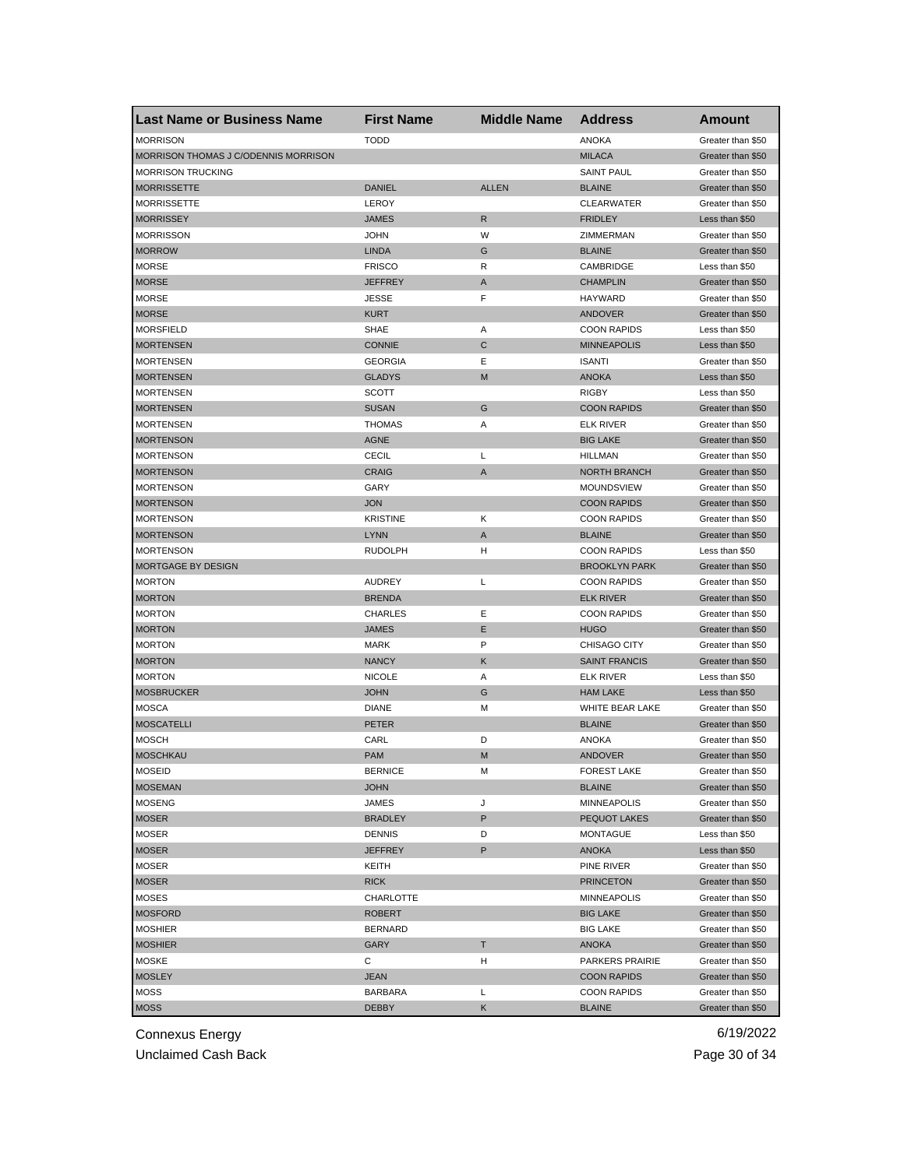| <b>Last Name or Business Name</b>    | <b>First Name</b> | <b>Middle Name</b> | <b>Address</b>       | Amount            |
|--------------------------------------|-------------------|--------------------|----------------------|-------------------|
| <b>MORRISON</b>                      | <b>TODD</b>       |                    | <b>ANOKA</b>         | Greater than \$50 |
| MORRISON THOMAS J C/ODENNIS MORRISON |                   |                    | <b>MILACA</b>        | Greater than \$50 |
| <b>MORRISON TRUCKING</b>             |                   |                    | <b>SAINT PAUL</b>    | Greater than \$50 |
| <b>MORRISSETTE</b>                   | <b>DANIEL</b>     | <b>ALLEN</b>       | <b>BLAINE</b>        | Greater than \$50 |
| <b>MORRISSETTE</b>                   | LEROY             |                    | <b>CLEARWATER</b>    | Greater than \$50 |
| <b>MORRISSEY</b>                     | <b>JAMES</b>      | R                  | <b>FRIDLEY</b>       | Less than \$50    |
| <b>MORRISSON</b>                     | <b>JOHN</b>       | W                  | ZIMMERMAN            | Greater than \$50 |
| <b>MORROW</b>                        | <b>LINDA</b>      | G                  | <b>BLAINE</b>        | Greater than \$50 |
| <b>MORSE</b>                         | <b>FRISCO</b>     | R                  | CAMBRIDGE            | Less than \$50    |
| <b>MORSE</b>                         | <b>JEFFREY</b>    | $\mathsf{A}$       | <b>CHAMPLIN</b>      | Greater than \$50 |
| <b>MORSE</b>                         | <b>JESSE</b>      | F                  | HAYWARD              | Greater than \$50 |
| <b>MORSE</b>                         | <b>KURT</b>       |                    | ANDOVER              | Greater than \$50 |
| <b>MORSFIELD</b>                     | SHAE              | Α                  | <b>COON RAPIDS</b>   | Less than \$50    |
| <b>MORTENSEN</b>                     | <b>CONNIE</b>     | $\mathsf{C}$       | <b>MINNEAPOLIS</b>   | Less than \$50    |
| <b>MORTENSEN</b>                     | <b>GEORGIA</b>    | Ε                  | <b>ISANTI</b>        | Greater than \$50 |
| <b>MORTENSEN</b>                     | <b>GLADYS</b>     | M                  | <b>ANOKA</b>         | Less than \$50    |
| <b>MORTENSEN</b>                     | <b>SCOTT</b>      |                    | <b>RIGBY</b>         | Less than \$50    |
| <b>MORTENSEN</b>                     | <b>SUSAN</b>      | G                  | <b>COON RAPIDS</b>   | Greater than \$50 |
| MORTENSEN                            | <b>THOMAS</b>     | A                  | <b>ELK RIVER</b>     | Greater than \$50 |
| <b>MORTENSON</b>                     | <b>AGNE</b>       |                    | <b>BIG LAKE</b>      | Greater than \$50 |
| <b>MORTENSON</b>                     | <b>CECIL</b>      | L                  | <b>HILLMAN</b>       | Greater than \$50 |
| <b>MORTENSON</b>                     | <b>CRAIG</b>      | A                  | <b>NORTH BRANCH</b>  | Greater than \$50 |
| MORTENSON                            | GARY              |                    | <b>MOUNDSVIEW</b>    | Greater than \$50 |
| <b>MORTENSON</b>                     | <b>JON</b>        |                    | <b>COON RAPIDS</b>   | Greater than \$50 |
| MORTENSON                            | <b>KRISTINE</b>   | Κ                  | <b>COON RAPIDS</b>   | Greater than \$50 |
| <b>MORTENSON</b>                     | <b>LYNN</b>       | A                  | <b>BLAINE</b>        | Greater than \$50 |
| <b>MORTENSON</b>                     | <b>RUDOLPH</b>    | н                  | <b>COON RAPIDS</b>   | Less than \$50    |
| MORTGAGE BY DESIGN                   |                   |                    | <b>BROOKLYN PARK</b> | Greater than \$50 |
| <b>MORTON</b>                        | <b>AUDREY</b>     | L                  | <b>COON RAPIDS</b>   | Greater than \$50 |
| <b>MORTON</b>                        | <b>BRENDA</b>     |                    | <b>ELK RIVER</b>     | Greater than \$50 |
| <b>MORTON</b>                        | <b>CHARLES</b>    | Ε                  | <b>COON RAPIDS</b>   | Greater than \$50 |
| <b>MORTON</b>                        | <b>JAMES</b>      | Ε                  | <b>HUGO</b>          | Greater than \$50 |
| <b>MORTON</b>                        | <b>MARK</b>       | P                  | CHISAGO CITY         | Greater than \$50 |
| <b>MORTON</b>                        | <b>NANCY</b>      | Κ                  | <b>SAINT FRANCIS</b> |                   |
|                                      |                   |                    | <b>ELK RIVER</b>     | Greater than \$50 |
| <b>MORTON</b>                        | <b>NICOLE</b>     | Α                  |                      | Less than \$50    |
| <b>MOSBRUCKER</b>                    | <b>JOHN</b>       | G                  | <b>HAM LAKE</b>      | Less than \$50    |
| <b>MOSCA</b>                         | <b>DIANE</b>      | M                  | WHITE BEAR LAKE      | Greater than \$50 |
| <b>MOSCATELLI</b>                    | PETER             |                    | <b>BLAINE</b>        | Greater than \$50 |
| <b>MOSCH</b>                         | CARL              | D                  | <b>ANOKA</b>         | Greater than \$50 |
| <b>MOSCHKAU</b>                      | <b>PAM</b>        | M                  | ANDOVER              | Greater than \$50 |
| <b>MOSEID</b>                        | <b>BERNICE</b>    | M                  | <b>FOREST LAKE</b>   | Greater than \$50 |
| <b>MOSEMAN</b>                       | <b>JOHN</b>       |                    | <b>BLAINE</b>        | Greater than \$50 |
| <b>MOSENG</b>                        | <b>JAMES</b>      | J                  | <b>MINNEAPOLIS</b>   | Greater than \$50 |
| <b>MOSER</b>                         | <b>BRADLEY</b>    | P                  | PEQUOT LAKES         | Greater than \$50 |
| MOSER                                | <b>DENNIS</b>     | D                  | <b>MONTAGUE</b>      | Less than \$50    |
| <b>MOSER</b>                         | <b>JEFFREY</b>    | P                  | ANOKA                | Less than \$50    |
| <b>MOSER</b>                         | KEITH             |                    | PINE RIVER           | Greater than \$50 |
| <b>MOSER</b>                         | <b>RICK</b>       |                    | <b>PRINCETON</b>     | Greater than \$50 |
| <b>MOSES</b>                         | CHARLOTTE         |                    | <b>MINNEAPOLIS</b>   | Greater than \$50 |
| <b>MOSFORD</b>                       | <b>ROBERT</b>     |                    | <b>BIG LAKE</b>      | Greater than \$50 |
| <b>MOSHIER</b>                       | <b>BERNARD</b>    |                    | <b>BIG LAKE</b>      | Greater than \$50 |
| <b>MOSHIER</b>                       | GARY              | т                  | <b>ANOKA</b>         | Greater than \$50 |
| MOSKE                                | С                 | H                  | PARKERS PRAIRIE      | Greater than \$50 |
| <b>MOSLEY</b>                        | <b>JEAN</b>       |                    | <b>COON RAPIDS</b>   | Greater than \$50 |
| MOSS                                 | BARBARA           | L                  | <b>COON RAPIDS</b>   | Greater than \$50 |
| <b>MOSS</b>                          | <b>DEBBY</b>      | Κ                  | <b>BLAINE</b>        | Greater than \$50 |

Unclaimed Cash Back **Page 30 of 34**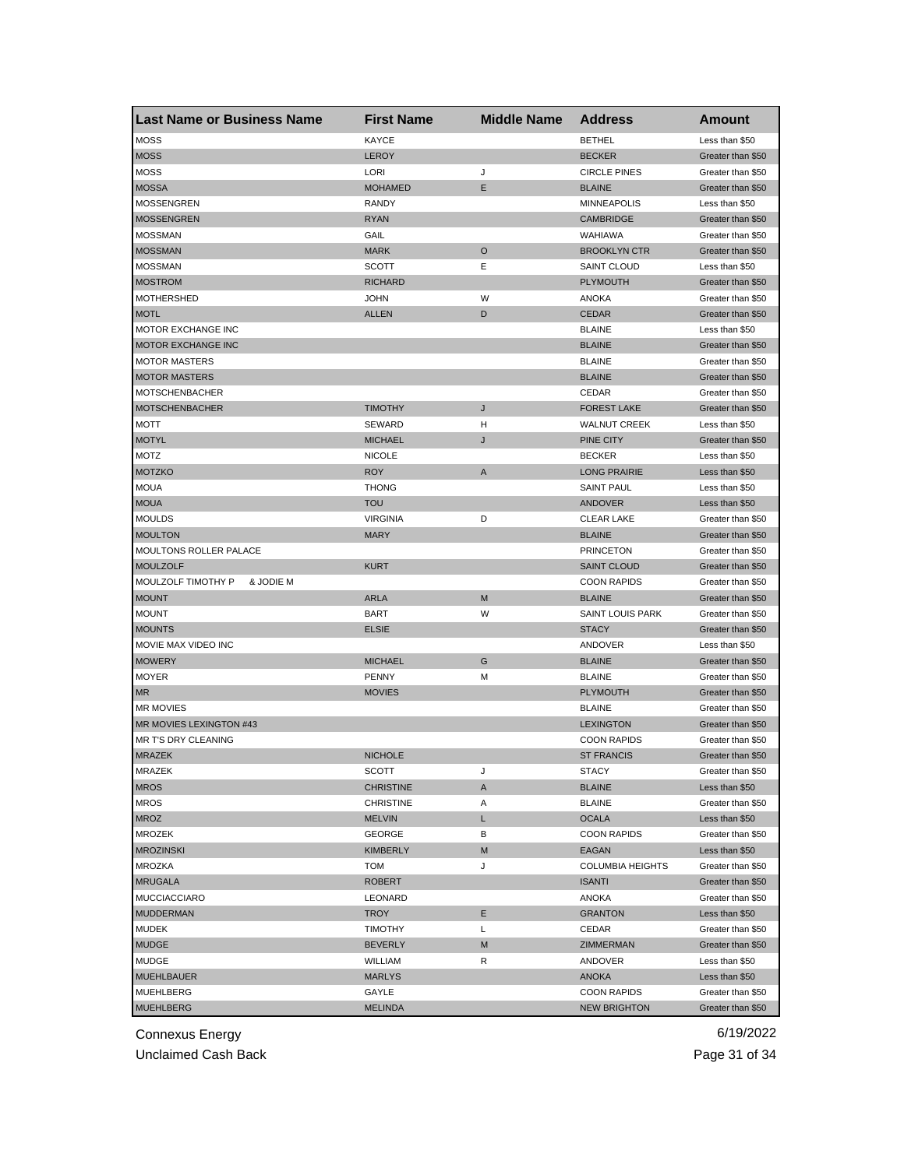| <b>Last Name or Business Name</b> | <b>First Name</b>      | <b>Middle Name</b> | <b>Address</b>          | Amount                              |
|-----------------------------------|------------------------|--------------------|-------------------------|-------------------------------------|
| <b>MOSS</b>                       | <b>KAYCE</b>           |                    | <b>BETHEL</b>           | Less than \$50                      |
| <b>MOSS</b>                       | <b>LEROY</b>           |                    | <b>BECKER</b>           | Greater than \$50                   |
| <b>MOSS</b>                       | LORI                   | J                  | <b>CIRCLE PINES</b>     | Greater than \$50                   |
| <b>MOSSA</b>                      | <b>MOHAMED</b>         | E                  | <b>BLAINE</b>           | Greater than \$50                   |
| <b>MOSSENGREN</b>                 | <b>RANDY</b>           |                    | <b>MINNEAPOLIS</b>      | Less than \$50                      |
| <b>MOSSENGREN</b>                 | <b>RYAN</b>            |                    | <b>CAMBRIDGE</b>        | Greater than \$50                   |
| <b>MOSSMAN</b>                    | GAIL                   |                    | WAHIAWA                 | Greater than \$50                   |
| <b>MOSSMAN</b>                    | <b>MARK</b>            | O                  | <b>BROOKLYN CTR</b>     | Greater than \$50                   |
| <b>MOSSMAN</b>                    | <b>SCOTT</b>           | Е                  | SAINT CLOUD             | Less than \$50                      |
| <b>MOSTROM</b>                    | <b>RICHARD</b>         |                    | <b>PLYMOUTH</b>         | Greater than \$50                   |
| <b>MOTHERSHED</b>                 | <b>JOHN</b>            | W                  | ANOKA                   | Greater than \$50                   |
| <b>MOTL</b>                       | <b>ALLEN</b>           | D                  | <b>CEDAR</b>            | Greater than \$50                   |
| MOTOR EXCHANGE INC                |                        |                    | <b>BLAINE</b>           | Less than \$50                      |
| MOTOR EXCHANGE INC                |                        |                    | <b>BLAINE</b>           | Greater than \$50                   |
| <b>MOTOR MASTERS</b>              |                        |                    | <b>BLAINE</b>           | Greater than \$50                   |
| <b>MOTOR MASTERS</b>              |                        |                    | <b>BLAINE</b>           | Greater than \$50                   |
| <b>MOTSCHENBACHER</b>             |                        |                    | CEDAR                   | Greater than \$50                   |
| <b>MOTSCHENBACHER</b>             | <b>TIMOTHY</b>         | J                  | <b>FOREST LAKE</b>      | Greater than \$50                   |
| MOTT                              | SEWARD                 | н                  | <b>WALNUT CREEK</b>     | Less than \$50                      |
| <b>MOTYL</b>                      | <b>MICHAEL</b>         | J                  | PINE CITY               | Greater than \$50                   |
| MOTZ                              | <b>NICOLE</b>          |                    | <b>BECKER</b>           | Less than \$50                      |
| <b>MOTZKO</b>                     | <b>ROY</b>             | A                  | <b>LONG PRAIRIE</b>     | Less than \$50                      |
| <b>MOUA</b>                       | <b>THONG</b>           |                    | <b>SAINT PAUL</b>       | Less than \$50                      |
| <b>MOUA</b>                       | <b>TOU</b>             |                    | <b>ANDOVER</b>          | Less than \$50                      |
| <b>MOULDS</b>                     | <b>VIRGINIA</b>        | D                  | <b>CLEAR LAKE</b>       | Greater than \$50                   |
| <b>MOULTON</b>                    | <b>MARY</b>            |                    | <b>BLAINE</b>           | Greater than \$50                   |
| MOULTONS ROLLER PALACE            |                        |                    | <b>PRINCETON</b>        | Greater than \$50                   |
| <b>MOULZOLF</b>                   | <b>KURT</b>            |                    | <b>SAINT CLOUD</b>      | Greater than \$50                   |
| & JODIE M<br>MOULZOLF TIMOTHY P   |                        |                    | <b>COON RAPIDS</b>      | Greater than \$50                   |
| <b>MOUNT</b>                      | <b>ARLA</b>            | M                  | <b>BLAINE</b>           | Greater than \$50                   |
| <b>MOUNT</b>                      | <b>BART</b>            | W                  | <b>SAINT LOUIS PARK</b> | Greater than \$50                   |
| <b>MOUNTS</b>                     | <b>ELSIE</b>           |                    | <b>STACY</b>            | Greater than \$50                   |
| MOVIE MAX VIDEO INC               |                        |                    | ANDOVER                 | Less than \$50                      |
| <b>MOWERY</b>                     | <b>MICHAEL</b>         | G                  | <b>BLAINE</b>           | Greater than \$50                   |
| <b>MOYER</b>                      | <b>PENNY</b>           | М                  | <b>BLAINE</b>           | Greater than \$50                   |
| <b>MR</b>                         | <b>MOVIES</b>          |                    | <b>PLYMOUTH</b>         | Greater than \$50                   |
| <b>MR MOVIES</b>                  |                        |                    | <b>BLAINE</b>           | Greater than \$50                   |
| MR MOVIES LEXINGTON #43           |                        |                    | <b>LEXINGTON</b>        | Greater than \$50                   |
| MR T'S DRY CLEANING               |                        |                    | <b>COON RAPIDS</b>      | Greater than \$50                   |
| <b>MRAZEK</b>                     | <b>NICHOLE</b>         |                    | <b>ST FRANCIS</b>       | Greater than \$50                   |
| MRAZEK                            | SCOTT                  | J                  | <b>STACY</b>            | Greater than \$50                   |
| <b>MROS</b>                       | <b>CHRISTINE</b>       | A                  | <b>BLAINE</b>           | Less than \$50                      |
| <b>MROS</b>                       | <b>CHRISTINE</b>       | Α                  | <b>BLAINE</b>           | Greater than \$50                   |
| <b>MROZ</b>                       | <b>MELVIN</b>          | L                  | <b>OCALA</b>            | Less than \$50                      |
| <b>MROZEK</b>                     | GEORGE                 | В                  | <b>COON RAPIDS</b>      | Greater than \$50                   |
| <b>MROZINSKI</b>                  | KIMBERLY               | M                  | EAGAN                   | Less than \$50                      |
| <b>MROZKA</b>                     | <b>TOM</b>             | J                  | <b>COLUMBIA HEIGHTS</b> | Greater than \$50                   |
| <b>MRUGALA</b>                    | <b>ROBERT</b>          |                    | <b>ISANTI</b>           | Greater than \$50                   |
| <b>MUCCIACCIARO</b>               | LEONARD                |                    | ANOKA                   | Greater than \$50                   |
| <b>MUDDERMAN</b>                  |                        |                    | <b>GRANTON</b>          |                                     |
|                                   | TROY<br><b>TIMOTHY</b> | Е                  |                         | Less than \$50<br>Greater than \$50 |
| MUDEK                             |                        | L                  | CEDAR                   | Greater than \$50                   |
| <b>MUDGE</b>                      | <b>BEVERLY</b>         | M                  | ZIMMERMAN               |                                     |
| MUDGE                             | WILLIAM                | R                  | ANDOVER                 | Less than \$50                      |
| <b>MUEHLBAUER</b>                 | <b>MARLYS</b>          |                    | <b>ANOKA</b>            | Less than \$50                      |
| MUEHLBERG                         | GAYLE                  |                    | <b>COON RAPIDS</b>      | Greater than \$50                   |
| <b>MUEHLBERG</b>                  | <b>MELINDA</b>         |                    | <b>NEW BRIGHTON</b>     | Greater than \$50                   |

Unclaimed Cash Back **Page 31 of 34**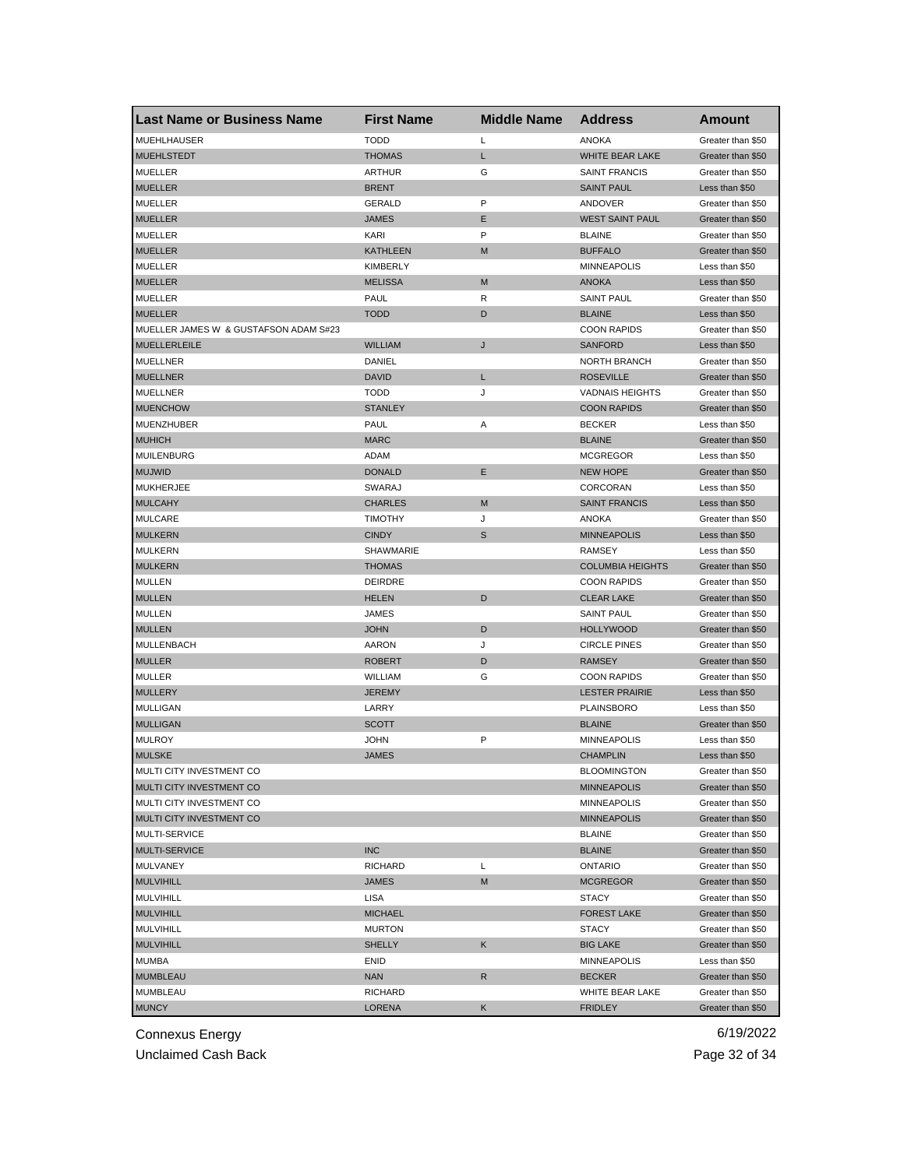| <b>Last Name or Business Name</b>     | <b>First Name</b>             | <b>Middle Name</b> | <b>Address</b>          | Amount            |
|---------------------------------------|-------------------------------|--------------------|-------------------------|-------------------|
| <b>MUEHLHAUSER</b>                    | <b>TODD</b>                   | L                  | <b>ANOKA</b>            | Greater than \$50 |
| <b>MUEHLSTEDT</b>                     | <b>THOMAS</b>                 | L                  | WHITE BEAR LAKE         | Greater than \$50 |
| <b>MUELLER</b>                        | <b>ARTHUR</b>                 | G                  | <b>SAINT FRANCIS</b>    | Greater than \$50 |
| <b>MUELLER</b>                        | <b>BRENT</b>                  |                    | <b>SAINT PAUL</b>       | Less than \$50    |
| <b>MUELLER</b>                        | <b>GERALD</b>                 | P                  | ANDOVER                 | Greater than \$50 |
| <b>MUELLER</b>                        | <b>JAMES</b>                  | Е                  | <b>WEST SAINT PAUL</b>  | Greater than \$50 |
| <b>MUELLER</b>                        | <b>KARI</b>                   | P                  | <b>BLAINE</b>           | Greater than \$50 |
| <b>MUELLER</b>                        | <b>KATHLEEN</b>               | M                  | <b>BUFFALO</b>          | Greater than \$50 |
| <b>MUELLER</b>                        | KIMBERLY                      |                    | <b>MINNEAPOLIS</b>      | Less than \$50    |
| <b>MUELLER</b>                        | <b>MELISSA</b>                | M                  | <b>ANOKA</b>            | Less than \$50    |
| <b>MUELLER</b>                        | PAUL                          | R                  | <b>SAINT PAUL</b>       | Greater than \$50 |
| <b>MUELLER</b>                        | <b>TODD</b>                   | D                  | <b>BLAINE</b>           | Less than \$50    |
| MUELLER JAMES W & GUSTAFSON ADAM S#23 |                               |                    | <b>COON RAPIDS</b>      | Greater than \$50 |
| <b>MUELLERLEILE</b>                   | <b>WILLIAM</b>                | J                  | <b>SANFORD</b>          | Less than \$50    |
| <b>MUELLNER</b>                       | DANIEL                        |                    | <b>NORTH BRANCH</b>     | Greater than \$50 |
| <b>MUELLNER</b>                       | <b>DAVID</b>                  | L                  | <b>ROSEVILLE</b>        | Greater than \$50 |
| <b>MUELLNER</b>                       | <b>TODD</b>                   | J                  | <b>VADNAIS HEIGHTS</b>  | Greater than \$50 |
| <b>MUENCHOW</b>                       | <b>STANLEY</b>                |                    | <b>COON RAPIDS</b>      | Greater than \$50 |
| MUENZHUBER                            | <b>PAUL</b>                   | Α                  | <b>BECKER</b>           | Less than \$50    |
| <b>MUHICH</b>                         | <b>MARC</b>                   |                    | <b>BLAINE</b>           | Greater than \$50 |
| <b>MUILENBURG</b>                     | ADAM                          |                    | <b>MCGREGOR</b>         | Less than \$50    |
| <b>MUJWID</b>                         | <b>DONALD</b>                 | Ε                  | <b>NEW HOPE</b>         | Greater than \$50 |
| <b>MUKHERJEE</b>                      | SWARAJ                        |                    | CORCORAN                | Less than \$50    |
| <b>MULCAHY</b>                        | <b>CHARLES</b>                | M                  | <b>SAINT FRANCIS</b>    | Less than \$50    |
| <b>MULCARE</b>                        | <b>TIMOTHY</b>                | J                  | <b>ANOKA</b>            | Greater than \$50 |
| <b>MULKERN</b>                        | <b>CINDY</b>                  | S                  | <b>MINNEAPOLIS</b>      | Less than \$50    |
| <b>MULKERN</b>                        | SHAWMARIE                     |                    | RAMSEY                  | Less than \$50    |
| <b>MULKERN</b>                        | <b>THOMAS</b>                 |                    | <b>COLUMBIA HEIGHTS</b> | Greater than \$50 |
| <b>MULLEN</b>                         | <b>DEIRDRE</b>                |                    | <b>COON RAPIDS</b>      | Greater than \$50 |
| <b>MULLEN</b>                         | <b>HELEN</b>                  | D                  | <b>CLEAR LAKE</b>       | Greater than \$50 |
| <b>MULLEN</b>                         | JAMES                         |                    | <b>SAINT PAUL</b>       |                   |
| <b>MULLEN</b>                         | <b>JOHN</b>                   | D                  |                         | Greater than \$50 |
|                                       |                               |                    | <b>HOLLYWOOD</b>        | Greater than \$50 |
| MULLENBACH                            | <b>AARON</b><br><b>ROBERT</b> | J                  | <b>CIRCLE PINES</b>     | Greater than \$50 |
| <b>MULLER</b>                         |                               | D                  | <b>RAMSEY</b>           | Greater than \$50 |
| <b>MULLER</b>                         | WILLIAM                       | G                  | <b>COON RAPIDS</b>      | Greater than \$50 |
| <b>MULLERY</b>                        | <b>JEREMY</b>                 |                    | <b>LESTER PRAIRIE</b>   | Less than \$50    |
| <b>MULLIGAN</b>                       | LARRY                         |                    | <b>PLAINSBORO</b>       | Less than \$50    |
| <b>MULLIGAN</b>                       | <b>SCOTT</b>                  |                    | <b>BLAINE</b>           | Greater than \$50 |
| <b>MULROY</b>                         | <b>JOHN</b>                   | P                  | <b>MINNEAPOLIS</b>      | Less than \$50    |
| <b>MULSKE</b>                         | <b>JAMES</b>                  |                    | <b>CHAMPLIN</b>         | Less than \$50    |
| MULTI CITY INVESTMENT CO              |                               |                    | <b>BLOOMINGTON</b>      | Greater than \$50 |
| MULTI CITY INVESTMENT CO              |                               |                    | <b>MINNEAPOLIS</b>      | Greater than \$50 |
| MULTI CITY INVESTMENT CO              |                               |                    | <b>MINNEAPOLIS</b>      | Greater than \$50 |
| MULTI CITY INVESTMENT CO              |                               |                    | <b>MINNEAPOLIS</b>      | Greater than \$50 |
| MULTI-SERVICE                         |                               |                    | <b>BLAINE</b>           | Greater than \$50 |
| <b>MULTI-SERVICE</b>                  | <b>INC</b>                    |                    | <b>BLAINE</b>           | Greater than \$50 |
| MULVANEY                              | <b>RICHARD</b>                | Г                  | <b>ONTARIO</b>          | Greater than \$50 |
| <b>MULVIHILL</b>                      | <b>JAMES</b>                  | M                  | <b>MCGREGOR</b>         | Greater than \$50 |
| MULVIHILL                             | LISA                          |                    | <b>STACY</b>            | Greater than \$50 |
| <b>MULVIHILL</b>                      | <b>MICHAEL</b>                |                    | <b>FOREST LAKE</b>      | Greater than \$50 |
| <b>MULVIHILL</b>                      | <b>MURTON</b>                 |                    | STACY                   | Greater than \$50 |
| <b>MULVIHILL</b>                      | <b>SHELLY</b>                 | Κ                  | <b>BIG LAKE</b>         | Greater than \$50 |
| MUMBA                                 | <b>ENID</b>                   |                    | MINNEAPOLIS             | Less than \$50    |
| <b>MUMBLEAU</b>                       | <b>NAN</b>                    | R                  | <b>BECKER</b>           | Greater than \$50 |
| <b>MUMBLEAU</b>                       | RICHARD                       |                    | WHITE BEAR LAKE         | Greater than \$50 |
| <b>MUNCY</b>                          | LORENA                        | K                  | <b>FRIDLEY</b>          | Greater than \$50 |

Unclaimed Cash Back **Page 32 of 34**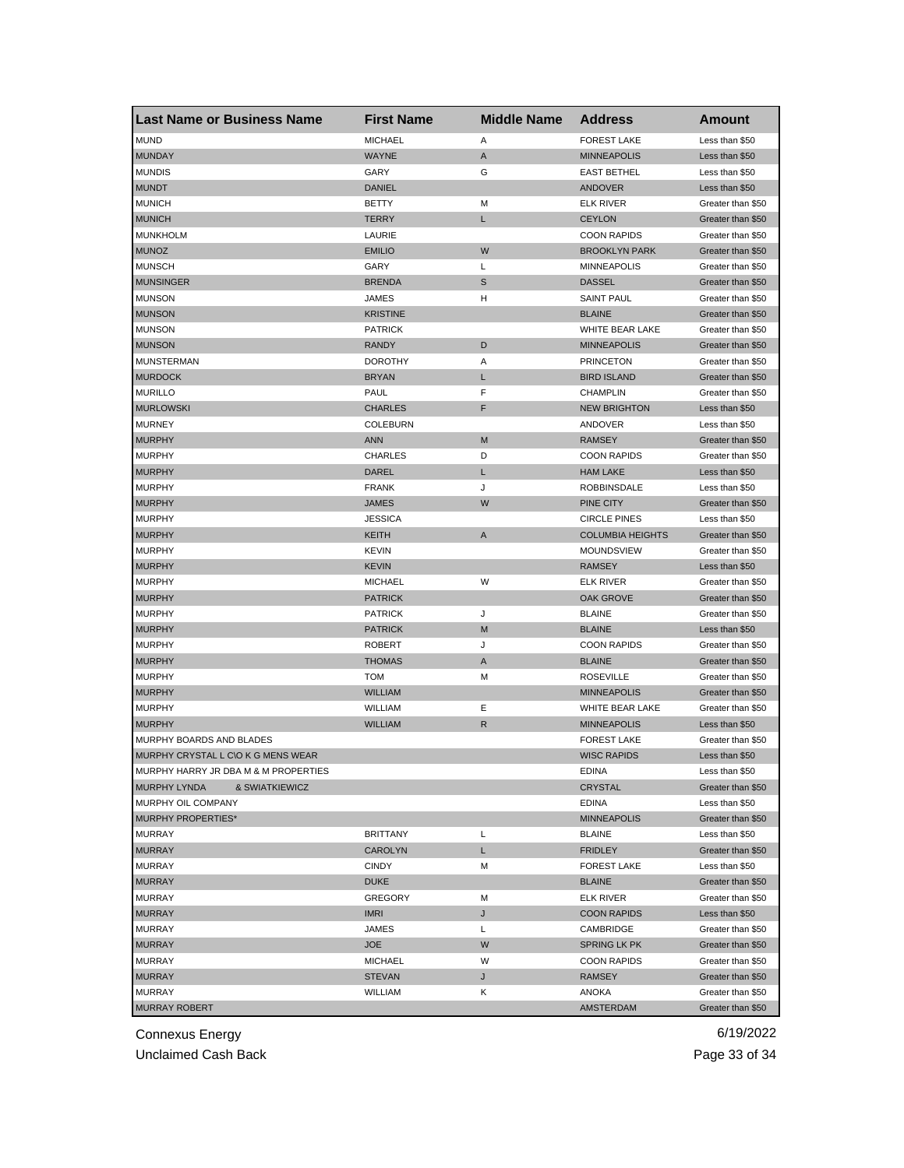| <b>Last Name or Business Name</b>     | <b>First Name</b> | <b>Middle Name</b> | <b>Address</b>          | Amount            |
|---------------------------------------|-------------------|--------------------|-------------------------|-------------------|
| <b>MUND</b>                           | <b>MICHAEL</b>    | Α                  | <b>FOREST LAKE</b>      | Less than \$50    |
| <b>MUNDAY</b>                         | <b>WAYNE</b>      | A                  | <b>MINNEAPOLIS</b>      | Less than \$50    |
| <b>MUNDIS</b>                         | GARY              | G                  | <b>EAST BETHEL</b>      | Less than \$50    |
| <b>MUNDT</b>                          | <b>DANIEL</b>     |                    | ANDOVER                 | Less than \$50    |
| <b>MUNICH</b>                         | BETTY             | M                  | <b>ELK RIVER</b>        | Greater than \$50 |
| <b>MUNICH</b>                         | <b>TERRY</b>      | L                  | <b>CEYLON</b>           | Greater than \$50 |
| <b>MUNKHOLM</b>                       | LAURIE            |                    | <b>COON RAPIDS</b>      | Greater than \$50 |
| <b>MUNOZ</b>                          | <b>EMILIO</b>     | W                  | <b>BROOKLYN PARK</b>    | Greater than \$50 |
| <b>MUNSCH</b>                         | GARY              | L                  | <b>MINNEAPOLIS</b>      | Greater than \$50 |
| <b>MUNSINGER</b>                      | <b>BRENDA</b>     | S                  | <b>DASSEL</b>           | Greater than \$50 |
| <b>MUNSON</b>                         | JAMES             | н                  | <b>SAINT PAUL</b>       | Greater than \$50 |
| <b>MUNSON</b>                         | <b>KRISTINE</b>   |                    | <b>BLAINE</b>           | Greater than \$50 |
| <b>MUNSON</b>                         | <b>PATRICK</b>    |                    | WHITE BEAR LAKE         | Greater than \$50 |
| <b>MUNSON</b>                         | <b>RANDY</b>      | D                  | <b>MINNEAPOLIS</b>      | Greater than \$50 |
| <b>MUNSTERMAN</b>                     | <b>DOROTHY</b>    | Α                  | <b>PRINCETON</b>        | Greater than \$50 |
| <b>MURDOCK</b>                        | <b>BRYAN</b>      | L                  | <b>BIRD ISLAND</b>      | Greater than \$50 |
| <b>MURILLO</b>                        | PAUL              | F                  | <b>CHAMPLIN</b>         | Greater than \$50 |
| <b>MURLOWSKI</b>                      | <b>CHARLES</b>    | F                  | <b>NEW BRIGHTON</b>     | Less than \$50    |
| <b>MURNEY</b>                         | COLEBURN          |                    | ANDOVER                 | Less than \$50    |
| <b>MURPHY</b>                         | <b>ANN</b>        | M                  | <b>RAMSEY</b>           | Greater than \$50 |
| <b>MURPHY</b>                         | <b>CHARLES</b>    | D                  | <b>COON RAPIDS</b>      | Greater than \$50 |
| <b>MURPHY</b>                         | DAREL             | L                  | <b>HAM LAKE</b>         | Less than \$50    |
| <b>MURPHY</b>                         | <b>FRANK</b>      | J                  | <b>ROBBINSDALE</b>      | Less than \$50    |
| <b>MURPHY</b>                         | <b>JAMES</b>      | W                  | PINE CITY               | Greater than \$50 |
| <b>MURPHY</b>                         | <b>JESSICA</b>    |                    | <b>CIRCLE PINES</b>     | Less than \$50    |
| <b>MURPHY</b>                         | <b>KEITH</b>      | A                  | <b>COLUMBIA HEIGHTS</b> | Greater than \$50 |
| <b>MURPHY</b>                         | <b>KEVIN</b>      |                    | MOUNDSVIEW              | Greater than \$50 |
| <b>MURPHY</b>                         | <b>KEVIN</b>      |                    | <b>RAMSEY</b>           | Less than \$50    |
| <b>MURPHY</b>                         | <b>MICHAEL</b>    | W                  | <b>ELK RIVER</b>        | Greater than \$50 |
| <b>MURPHY</b>                         | <b>PATRICK</b>    |                    | <b>OAK GROVE</b>        | Greater than \$50 |
| <b>MURPHY</b>                         | <b>PATRICK</b>    | J                  | <b>BLAINE</b>           | Greater than \$50 |
| <b>MURPHY</b>                         | <b>PATRICK</b>    | M                  | <b>BLAINE</b>           | Less than \$50    |
| <b>MURPHY</b>                         | <b>ROBERT</b>     | J                  | <b>COON RAPIDS</b>      | Greater than \$50 |
| <b>MURPHY</b>                         | <b>THOMAS</b>     | A                  | <b>BLAINE</b>           | Greater than \$50 |
| <b>MURPHY</b>                         | <b>TOM</b>        | М                  | <b>ROSEVILLE</b>        | Greater than \$50 |
| <b>MURPHY</b>                         | <b>WILLIAM</b>    |                    | <b>MINNEAPOLIS</b>      | Greater than \$50 |
| <b>MURPHY</b>                         | WILLIAM           | Ε                  | WHITE BEAR LAKE         | Greater than \$50 |
| <b>MURPHY</b>                         | <b>WILLIAM</b>    | R                  | <b>MINNEAPOLIS</b>      | Less than \$50    |
| MURPHY BOARDS AND BLADES              |                   |                    | <b>FOREST LAKE</b>      | Greater than \$50 |
| MURPHY CRYSTAL L C\O K G MENS WEAR    |                   |                    | <b>WISC RAPIDS</b>      | Less than \$50    |
| MURPHY HARRY JR DBA M & M PROPERTIES  |                   |                    | <b>EDINA</b>            | Less than \$50    |
| <b>MURPHY LYNDA</b><br>& SWIATKIEWICZ |                   |                    | CRYSTAL                 | Greater than \$50 |
| MURPHY OIL COMPANY                    |                   |                    | <b>EDINA</b>            | Less than \$50    |
| <b>MURPHY PROPERTIES*</b>             |                   |                    | <b>MINNEAPOLIS</b>      | Greater than \$50 |
| <b>MURRAY</b>                         | <b>BRITTANY</b>   | L                  | <b>BLAINE</b>           | Less than \$50    |
| <b>MURRAY</b>                         | CAROLYN           | L                  | <b>FRIDLEY</b>          | Greater than \$50 |
| <b>MURRAY</b>                         | <b>CINDY</b>      | M                  | <b>FOREST LAKE</b>      | Less than \$50    |
| <b>MURRAY</b>                         | <b>DUKE</b>       |                    | <b>BLAINE</b>           | Greater than \$50 |
| MURRAY                                | <b>GREGORY</b>    | M                  | <b>ELK RIVER</b>        | Greater than \$50 |
| <b>MURRAY</b>                         | <b>IMRI</b>       | J                  | <b>COON RAPIDS</b>      | Less than \$50    |
| MURRAY                                | JAMES             | L                  | CAMBRIDGE               | Greater than \$50 |
| <b>MURRAY</b>                         | <b>JOE</b>        | W                  | <b>SPRING LK PK</b>     | Greater than \$50 |
| MURRAY                                | <b>MICHAEL</b>    | W                  | <b>COON RAPIDS</b>      | Greater than \$50 |
| <b>MURRAY</b>                         | <b>STEVAN</b>     | J                  | RAMSEY                  | Greater than \$50 |
| <b>MURRAY</b>                         | <b>WILLIAM</b>    | Κ                  | ANOKA                   | Greater than \$50 |
| <b>MURRAY ROBERT</b>                  |                   |                    | AMSTERDAM               | Greater than \$50 |
|                                       |                   |                    |                         |                   |

Unclaimed Cash Back **Page 33 of 34**